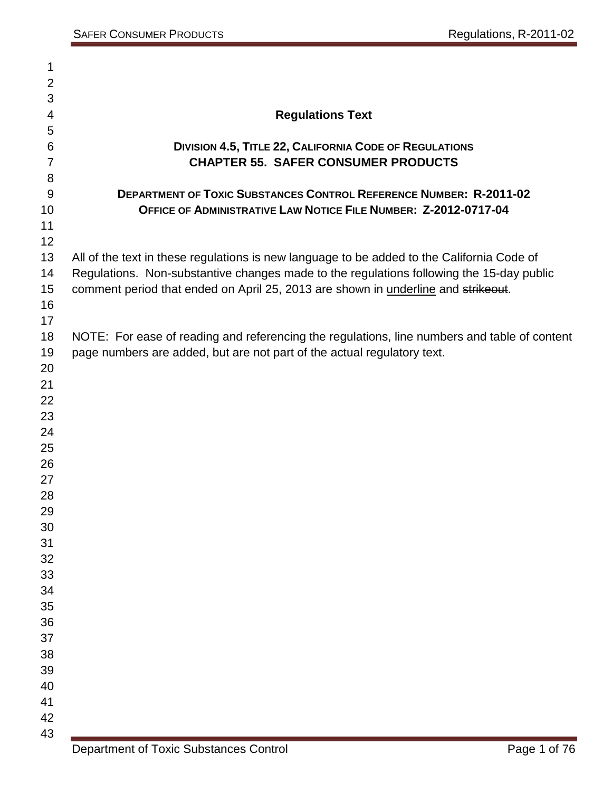| 1              |                                                                                              |
|----------------|----------------------------------------------------------------------------------------------|
| $\overline{2}$ |                                                                                              |
| 3              |                                                                                              |
| 4              | <b>Regulations Text</b>                                                                      |
| 5              |                                                                                              |
| 6              | <b>DIVISION 4.5, TITLE 22, CALIFORNIA CODE OF REGULATIONS</b>                                |
| $\overline{7}$ | <b>CHAPTER 55. SAFER CONSUMER PRODUCTS</b>                                                   |
| 8              |                                                                                              |
| 9              | <b>DEPARTMENT OF TOXIC SUBSTANCES CONTROL REFERENCE NUMBER: R-2011-02</b>                    |
| 10             | OFFICE OF ADMINISTRATIVE LAW NOTICE FILE NUMBER: Z-2012-0717-04                              |
| 11             |                                                                                              |
| 12             |                                                                                              |
| 13             | All of the text in these regulations is new language to be added to the California Code of   |
| 14             | Regulations. Non-substantive changes made to the regulations following the 15-day public     |
| 15             | comment period that ended on April 25, 2013 are shown in underline and strikeout.            |
| 16             |                                                                                              |
| 17             |                                                                                              |
| 18             | NOTE: For ease of reading and referencing the regulations, line numbers and table of content |
| 19             | page numbers are added, but are not part of the actual regulatory text.                      |
| 20             |                                                                                              |
| 21             |                                                                                              |
| 22             |                                                                                              |
| 23             |                                                                                              |
| 24             |                                                                                              |
| 25             |                                                                                              |
| 26             |                                                                                              |
| 27             |                                                                                              |
| 28             |                                                                                              |
| 29             |                                                                                              |
| 30             |                                                                                              |
| 31             |                                                                                              |
| 32<br>33       |                                                                                              |
| 34             |                                                                                              |
| 35             |                                                                                              |
| 36             |                                                                                              |
| 37             |                                                                                              |
| 38             |                                                                                              |
| 39             |                                                                                              |
| 40             |                                                                                              |
| 41             |                                                                                              |
| 42             |                                                                                              |
| 43             |                                                                                              |
|                |                                                                                              |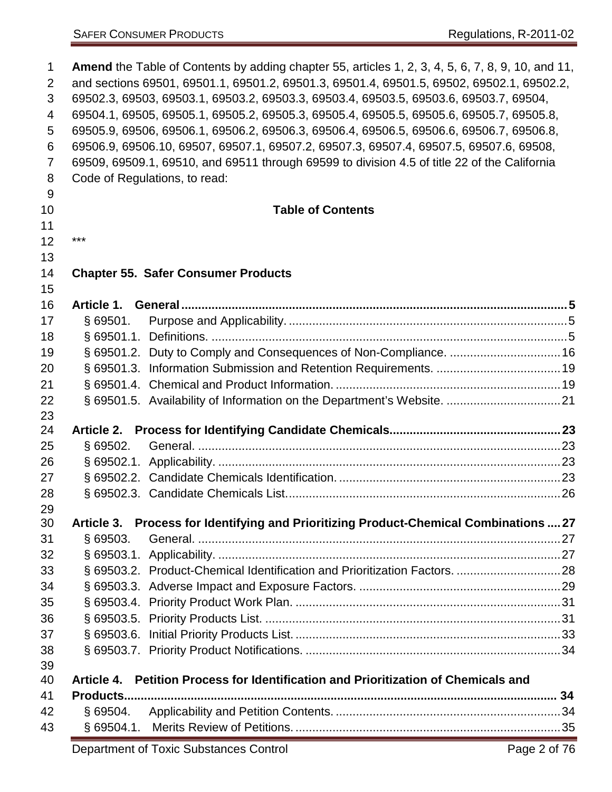| $\mathbf{1}$   | <b>Amend</b> the Table of Contents by adding chapter 55, articles 1, 2, 3, 4, 5, 6, 7, 8, 9, 10, and 11, |                                                                                              |  |  |
|----------------|----------------------------------------------------------------------------------------------------------|----------------------------------------------------------------------------------------------|--|--|
| 2              | and sections 69501, 69501.1, 69501.2, 69501.3, 69501.4, 69501.5, 69502, 69502.1, 69502.2,                |                                                                                              |  |  |
| 3              | 69502.3, 69503, 69503.1, 69503.2, 69503.3, 69503.4, 69503.5, 69503.6, 69503.7, 69504,                    |                                                                                              |  |  |
| 4              |                                                                                                          | 69504.1, 69505, 69505.1, 69505.2, 69505.3, 69505.4, 69505.5, 69505.6, 69505.7, 69505.8,      |  |  |
| 5              |                                                                                                          | 69505.9, 69506, 69506.1, 69506.2, 69506.3, 69506.4, 69506.5, 69506.6, 69506.7, 69506.8,      |  |  |
| 6              |                                                                                                          | 69506.9, 69506.10, 69507, 69507.1, 69507.2, 69507.3, 69507.4, 69507.5, 69507.6, 69508,       |  |  |
| $\overline{7}$ |                                                                                                          | 69509, 69509.1, 69510, and 69511 through 69599 to division 4.5 of title 22 of the California |  |  |
| 8              |                                                                                                          | Code of Regulations, to read:                                                                |  |  |
| 9<br>10        |                                                                                                          | <b>Table of Contents</b>                                                                     |  |  |
| 11             |                                                                                                          |                                                                                              |  |  |
| 12             | ***                                                                                                      |                                                                                              |  |  |
| 13             |                                                                                                          |                                                                                              |  |  |
| 14             |                                                                                                          | <b>Chapter 55. Safer Consumer Products</b>                                                   |  |  |
| 15             |                                                                                                          |                                                                                              |  |  |
| 16             |                                                                                                          |                                                                                              |  |  |
| 17             | \$69501.                                                                                                 |                                                                                              |  |  |
| 18             |                                                                                                          |                                                                                              |  |  |
| 19             |                                                                                                          | § 69501.2. Duty to Comply and Consequences of Non-Compliance.  16                            |  |  |
| 20             |                                                                                                          |                                                                                              |  |  |
| 21             |                                                                                                          |                                                                                              |  |  |
| 22             |                                                                                                          |                                                                                              |  |  |
| 23             |                                                                                                          |                                                                                              |  |  |
| 24             |                                                                                                          |                                                                                              |  |  |
| 25             | $§$ 69502.                                                                                               |                                                                                              |  |  |
| 26             |                                                                                                          |                                                                                              |  |  |
| 27             |                                                                                                          |                                                                                              |  |  |
| 28             |                                                                                                          |                                                                                              |  |  |
| 29             |                                                                                                          |                                                                                              |  |  |
| 30             |                                                                                                          | Article 3. Process for Identifying and Prioritizing Product-Chemical Combinations  27        |  |  |
| 31             | \$69503.                                                                                                 |                                                                                              |  |  |
| 32<br>33       |                                                                                                          |                                                                                              |  |  |
| 34             |                                                                                                          |                                                                                              |  |  |
|                |                                                                                                          |                                                                                              |  |  |
| 35             |                                                                                                          |                                                                                              |  |  |
| 36             |                                                                                                          |                                                                                              |  |  |
| 37             |                                                                                                          |                                                                                              |  |  |
| 38<br>39       |                                                                                                          |                                                                                              |  |  |
| 40             |                                                                                                          | Article 4. Petition Process for Identification and Prioritization of Chemicals and           |  |  |
| 41             |                                                                                                          |                                                                                              |  |  |
| 42             | § 69504.                                                                                                 |                                                                                              |  |  |
| 43             |                                                                                                          |                                                                                              |  |  |
|                |                                                                                                          |                                                                                              |  |  |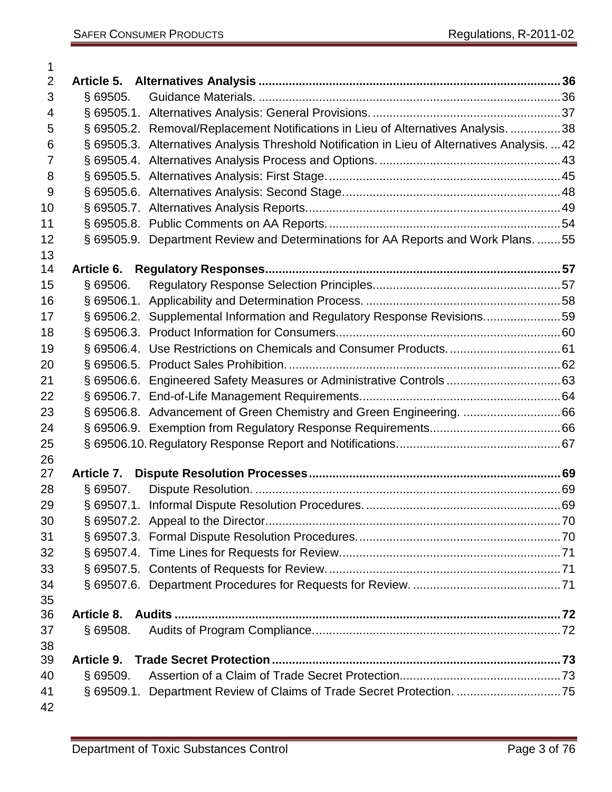| 1              |            |                                                                                               |  |
|----------------|------------|-----------------------------------------------------------------------------------------------|--|
| $\overline{2}$ |            |                                                                                               |  |
| 3              | § 69505.   |                                                                                               |  |
| 4              |            |                                                                                               |  |
| 5              |            | § 69505.2. Removal/Replacement Notifications in Lieu of Alternatives Analysis. 38             |  |
| 6              |            | § 69505.3. Alternatives Analysis Threshold Notification in Lieu of Alternatives Analysis.  42 |  |
| $\overline{7}$ |            |                                                                                               |  |
| 8              |            |                                                                                               |  |
| 9              |            |                                                                                               |  |
| 10             |            |                                                                                               |  |
| 11             |            |                                                                                               |  |
| 12             |            | § 69505.9. Department Review and Determinations for AA Reports and Work Plans. 55             |  |
| 13             |            |                                                                                               |  |
| 14             |            |                                                                                               |  |
| 15             | \$69506.   |                                                                                               |  |
| 16             |            |                                                                                               |  |
| 17             |            | § 69506.2. Supplemental Information and Regulatory Response Revisions59                       |  |
| 18             |            |                                                                                               |  |
| 19             |            |                                                                                               |  |
| 20             |            |                                                                                               |  |
| 21             |            |                                                                                               |  |
| 22             |            |                                                                                               |  |
| 23             |            |                                                                                               |  |
| 24             |            |                                                                                               |  |
| 25             |            |                                                                                               |  |
| 26             |            |                                                                                               |  |
| 27             |            |                                                                                               |  |
| 28             | $§$ 69507. |                                                                                               |  |
| 29             |            |                                                                                               |  |
| 30             |            |                                                                                               |  |
| 31             |            |                                                                                               |  |
| 32             |            |                                                                                               |  |
| 33             |            |                                                                                               |  |
| 34             |            |                                                                                               |  |
| 35             |            |                                                                                               |  |
| 36             |            |                                                                                               |  |
| 37             | $§$ 69508. |                                                                                               |  |
| 38             |            |                                                                                               |  |
| 39             |            |                                                                                               |  |
| 40             | $§$ 69509. |                                                                                               |  |
| 41             |            | § 69509.1. Department Review of Claims of Trade Secret Protection. 75                         |  |
| 42             |            |                                                                                               |  |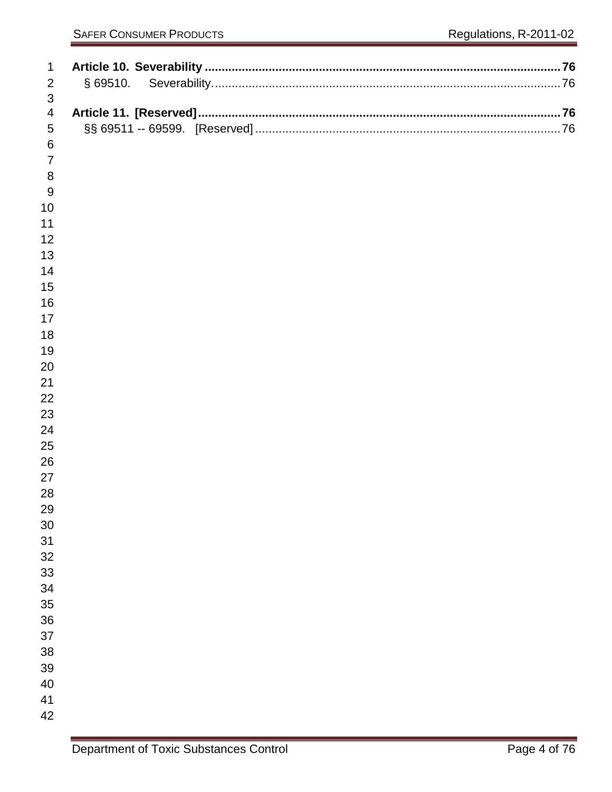| $\mathbf{1}$              |  |
|---------------------------|--|
| $\overline{2}$            |  |
| $\ensuremath{\mathsf{3}}$ |  |
| $\overline{4}$            |  |
| $\sqrt{5}$                |  |
| $\,6\,$                   |  |
| $\overline{7}$            |  |
| $\, 8$                    |  |
| 9                         |  |
| 10                        |  |
| 11                        |  |
| 12                        |  |
| 13<br>14                  |  |
| 15                        |  |
| 16                        |  |
| 17                        |  |
| 18                        |  |
| 19                        |  |
| 20                        |  |
| 21                        |  |
| 22                        |  |
| 23                        |  |
| 24                        |  |
| 25                        |  |
| 26                        |  |
| 27                        |  |
| 28                        |  |
| 29<br>30                  |  |
| 31                        |  |
| 32                        |  |
| 33                        |  |
| 34                        |  |
| 35                        |  |
| 36                        |  |
| 37                        |  |
| 38                        |  |
| 39                        |  |
| 40                        |  |
| 41                        |  |
| 42                        |  |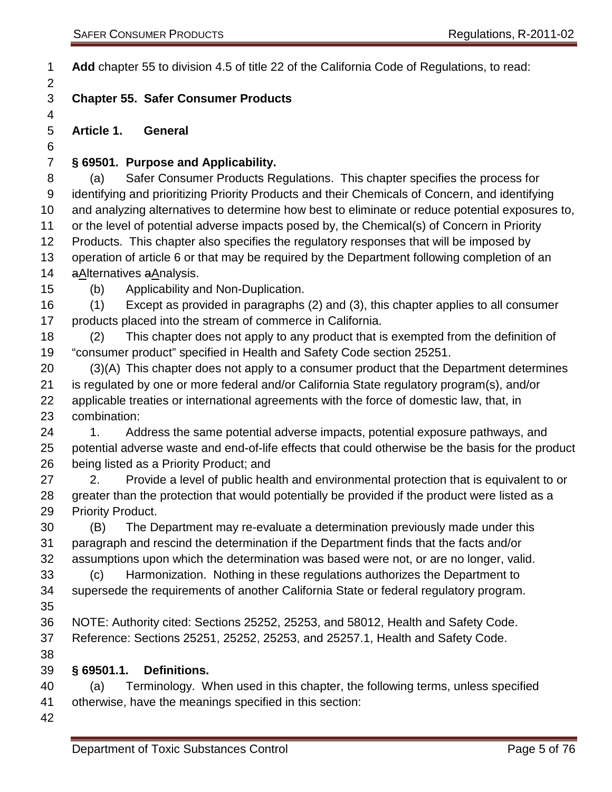**Add** chapter 55 to division 4.5 of title 22 of the California Code of Regulations, to read:

### **Chapter 55. Safer Consumer Products**

<span id="page-4-0"></span>**Article 1. General**

#### <span id="page-4-1"></span>**§ 69501. Purpose and Applicability.**

 (a) Safer Consumer Products Regulations. This chapter specifies the process for identifying and prioritizing Priority Products and their Chemicals of Concern, and identifying and analyzing alternatives to determine how best to eliminate or reduce potential exposures to, or the level of potential adverse impacts posed by, the Chemical(s) of Concern in Priority Products. This chapter also specifies the regulatory responses that will be imposed by operation of article 6 or that may be required by the Department following completion of an 14 aAlternatives aAnalysis.

(b) Applicability and Non-Duplication.

 (1) Except as provided in paragraphs (2) and (3), this chapter applies to all consumer products placed into the stream of commerce in California.

 (2) This chapter does not apply to any product that is exempted from the definition of "consumer product" specified in Health and Safety Code section 25251.

 (3)(A) This chapter does not apply to a consumer product that the Department determines is regulated by one or more federal and/or California State regulatory program(s), and/or applicable treaties or international agreements with the force of domestic law, that, in combination:

24 1. Address the same potential adverse impacts, potential exposure pathways, and potential adverse waste and end-of-life effects that could otherwise be the basis for the product being listed as a Priority Product; and

27 2. Provide a level of public health and environmental protection that is equivalent to or greater than the protection that would potentially be provided if the product were listed as a Priority Product.

 (B) The Department may re-evaluate a determination previously made under this paragraph and rescind the determination if the Department finds that the facts and/or assumptions upon which the determination was based were not, or are no longer, valid.

 (c) Harmonization. Nothing in these regulations authorizes the Department to supersede the requirements of another California State or federal regulatory program. 

- NOTE: Authority cited: Sections 25252, 25253, and 58012, Health and Safety Code. Reference: Sections 25251, 25252, 25253, and 25257.1, Health and Safety Code.
- 

#### <span id="page-4-2"></span>**§ 69501.1. Definitions.**

 (a) Terminology. When used in this chapter, the following terms, unless specified otherwise, have the meanings specified in this section: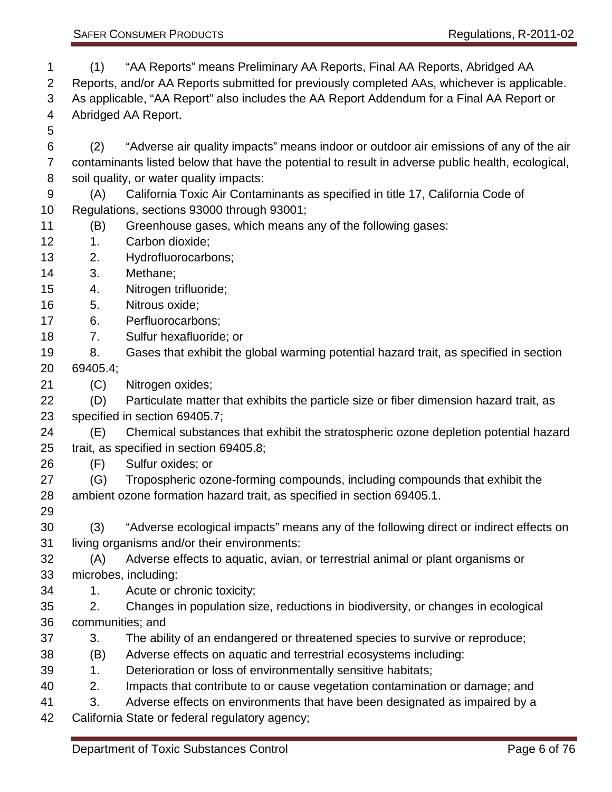- (1) "AA Reports" means Preliminary AA Reports, Final AA Reports, Abridged AA Reports, and/or AA Reports submitted for previously completed AAs, whichever is applicable. As applicable, "AA Report" also includes the AA Report Addendum for a Final AA Report or Abridged AA Report. (2) "Adverse air quality impacts" means indoor or outdoor air emissions of any of the air contaminants listed below that have the potential to result in adverse public health, ecological, soil quality, or water quality impacts: (A) California Toxic Air Contaminants as specified in title 17, California Code of Regulations, sections 93000 through 93001; (B) Greenhouse gases, which means any of the following gases: 1. Carbon dioxide; 2. Hydrofluorocarbons; 3. Methane; 4. Nitrogen trifluoride; 5. Nitrous oxide; 6. Perfluorocarbons; 7. Sulfur hexafluoride; or 8. Gases that exhibit the global warming potential hazard trait, as specified in section 69405.4; (C) Nitrogen oxides; (D) Particulate matter that exhibits the particle size or fiber dimension hazard trait, as specified in section 69405.7; (E) Chemical substances that exhibit the stratospheric ozone depletion potential hazard trait, as specified in section 69405.8; (F) Sulfur oxides; or (G) Tropospheric ozone-forming compounds, including compounds that exhibit the ambient ozone formation hazard trait, as specified in section 69405.1. (3) "Adverse ecological impacts" means any of the following direct or indirect effects on living organisms and/or their environments: (A) Adverse effects to aquatic, avian, or terrestrial animal or plant organisms or microbes, including: 1. Acute or chronic toxicity; 2. Changes in population size, reductions in biodiversity, or changes in ecological communities; and 3. The ability of an endangered or threatened species to survive or reproduce; (B) Adverse effects on aquatic and terrestrial ecosystems including: 1. Deterioration or loss of environmentally sensitive habitats; 2. Impacts that contribute to or cause vegetation contamination or damage; and
- 3. Adverse effects on environments that have been designated as impaired by a
- California State or federal regulatory agency;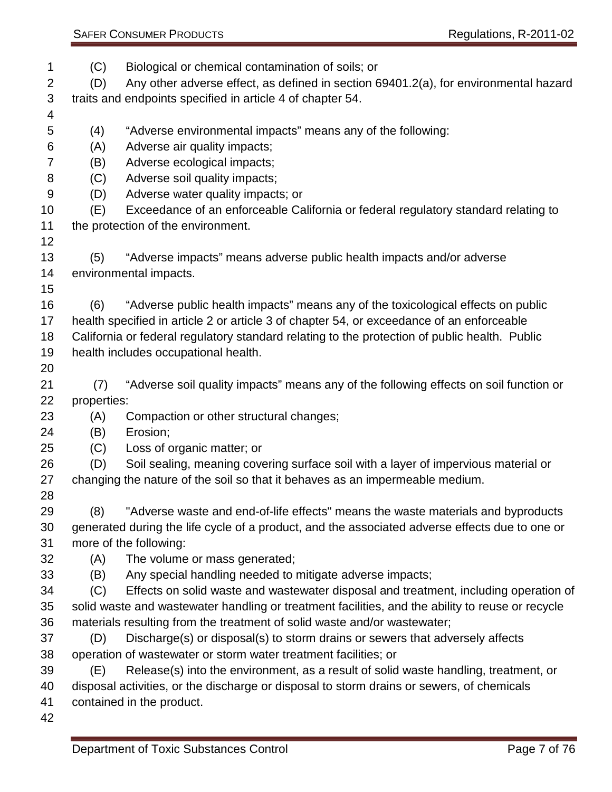| <b>SAFER CONSUMER PRODUCTS</b> |  |
|--------------------------------|--|
|                                |  |

- (C) Biological or chemical contamination of soils; or (D) Any other adverse effect, as defined in section 69401.2(a), for environmental hazard traits and endpoints specified in article 4 of chapter 54. (4) "Adverse environmental impacts" means any of the following: (A) Adverse air quality impacts; (B) Adverse ecological impacts; (C) Adverse soil quality impacts; (D) Adverse water quality impacts; or (E) Exceedance of an enforceable California or federal regulatory standard relating to the protection of the environment. (5) "Adverse impacts" means adverse public health impacts and/or adverse environmental impacts. (6) "Adverse public health impacts" means any of the toxicological effects on public health specified in article 2 or article 3 of chapter 54, or exceedance of an enforceable California or federal regulatory standard relating to the protection of public health. Public health includes occupational health. (7) "Adverse soil quality impacts" means any of the following effects on soil function or properties: (A) Compaction or other structural changes; (B) Erosion; (C) Loss of organic matter; or (D) Soil sealing, meaning covering surface soil with a layer of impervious material or changing the nature of the soil so that it behaves as an impermeable medium. (8) "Adverse waste and end-of-life effects" means the waste materials and byproducts generated during the life cycle of a product, and the associated adverse effects due to one or more of the following: (A) The volume or mass generated; (B) Any special handling needed to mitigate adverse impacts; (C) Effects on solid waste and wastewater disposal and treatment, including operation of solid waste and wastewater handling or treatment facilities, and the ability to reuse or recycle materials resulting from the treatment of solid waste and/or wastewater; (D) Discharge(s) or disposal(s) to storm drains or sewers that adversely affects operation of wastewater or storm water treatment facilities; or (E) Release(s) into the environment, as a result of solid waste handling, treatment, or disposal activities, or the discharge or disposal to storm drains or sewers, of chemicals contained in the product.
-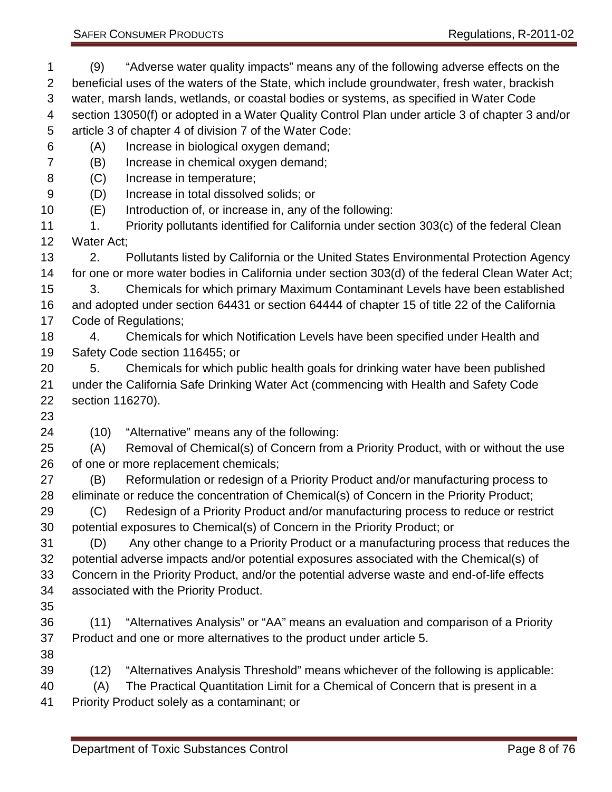(9) "Adverse water quality impacts" means any of the following adverse effects on the beneficial uses of the waters of the State, which include groundwater, fresh water, brackish water, marsh lands, wetlands, or coastal bodies or systems, as specified in Water Code section 13050(f) or adopted in a Water Quality Control Plan under article 3 of chapter 3 and/or article 3 of chapter 4 of division 7 of the Water Code: (A) Increase in biological oxygen demand; (B) Increase in chemical oxygen demand; (C) Increase in temperature; (D) Increase in total dissolved solids; or (E) Introduction of, or increase in, any of the following: 11 1. Priority pollutants identified for California under section 303(c) of the federal Clean Water Act; 2. Pollutants listed by California or the United States Environmental Protection Agency for one or more water bodies in California under section 303(d) of the federal Clean Water Act; 3. Chemicals for which primary Maximum Contaminant Levels have been established and adopted under section 64431 or section 64444 of chapter 15 of title 22 of the California Code of Regulations; 4. Chemicals for which Notification Levels have been specified under Health and Safety Code section 116455; or 5. Chemicals for which public health goals for drinking water have been published under the California Safe Drinking Water Act (commencing with Health and Safety Code section 116270). (10) "Alternative" means any of the following: (A) Removal of Chemical(s) of Concern from a Priority Product, with or without the use of one or more replacement chemicals; (B) Reformulation or redesign of a Priority Product and/or manufacturing process to eliminate or reduce the concentration of Chemical(s) of Concern in the Priority Product; (C) Redesign of a Priority Product and/or manufacturing process to reduce or restrict potential exposures to Chemical(s) of Concern in the Priority Product; or (D) Any other change to a Priority Product or a manufacturing process that reduces the potential adverse impacts and/or potential exposures associated with the Chemical(s) of Concern in the Priority Product, and/or the potential adverse waste and end-of-life effects associated with the Priority Product. (11) "Alternatives Analysis" or "AA" means an evaluation and comparison of a Priority Product and one or more alternatives to the product under article 5. (12) "Alternatives Analysis Threshold" means whichever of the following is applicable: (A) The Practical Quantitation Limit for a Chemical of Concern that is present in a Priority Product solely as a contaminant; or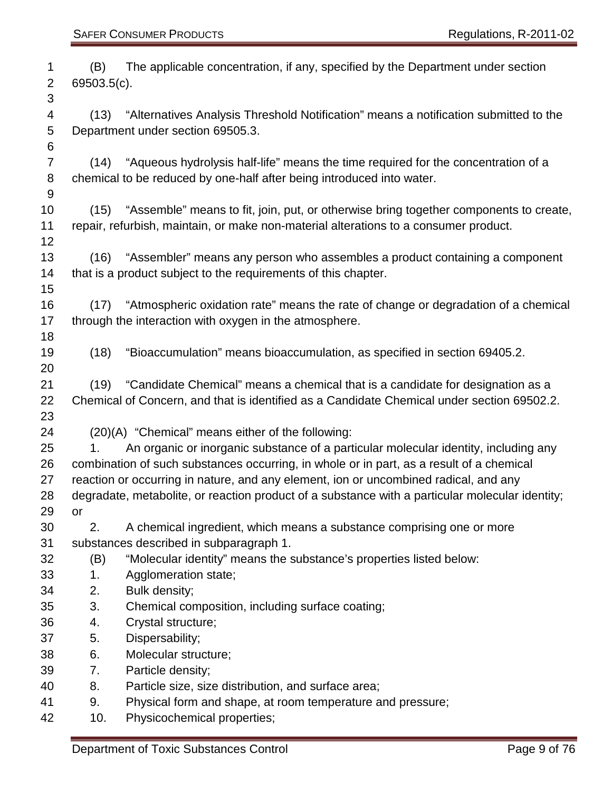| 1              | (B)            | The applicable concentration, if any, specified by the Department under section                 |
|----------------|----------------|-------------------------------------------------------------------------------------------------|
| $\overline{2}$ | 69503.5(c).    |                                                                                                 |
| 3              |                |                                                                                                 |
| 4              | (13)           | "Alternatives Analysis Threshold Notification" means a notification submitted to the            |
| 5              |                | Department under section 69505.3.                                                               |
| 6              |                |                                                                                                 |
| $\overline{7}$ |                | (14) "Aqueous hydrolysis half-life" means the time required for the concentration of a          |
| 8              |                | chemical to be reduced by one-half after being introduced into water.                           |
| $9\,$          |                |                                                                                                 |
| 10             |                | (15) "Assemble" means to fit, join, put, or otherwise bring together components to create,      |
| 11             |                | repair, refurbish, maintain, or make non-material alterations to a consumer product.            |
| 12             |                |                                                                                                 |
| 13             |                | (16) "Assembler" means any person who assembles a product containing a component                |
| 14             |                | that is a product subject to the requirements of this chapter.                                  |
| 15             |                |                                                                                                 |
| 16             |                | (17) "Atmospheric oxidation rate" means the rate of change or degradation of a chemical         |
| 17             |                | through the interaction with oxygen in the atmosphere.                                          |
| 18             |                |                                                                                                 |
| 19             | (18)           | "Bioaccumulation" means bioaccumulation, as specified in section 69405.2.                       |
| 20             |                |                                                                                                 |
| 21             | (19)           | "Candidate Chemical" means a chemical that is a candidate for designation as a                  |
| 22             |                | Chemical of Concern, and that is identified as a Candidate Chemical under section 69502.2.      |
| 23             |                |                                                                                                 |
| 24             |                | (20)(A) "Chemical" means either of the following:                                               |
| 25             | 1 <sub>1</sub> | An organic or inorganic substance of a particular molecular identity, including any             |
| 26             |                | combination of such substances occurring, in whole or in part, as a result of a chemical        |
| 27             |                | reaction or occurring in nature, and any element, ion or uncombined radical, and any            |
| 28             |                | degradate, metabolite, or reaction product of a substance with a particular molecular identity; |
| 29             | or             |                                                                                                 |
| 30             | 2.             | A chemical ingredient, which means a substance comprising one or more                           |
| 31             |                | substances described in subparagraph 1.                                                         |
| 32             | (B)            | "Molecular identity" means the substance's properties listed below:                             |
| 33             | 1.             | Agglomeration state;                                                                            |
| 34             | 2.             | Bulk density;                                                                                   |
| 35             | 3.             | Chemical composition, including surface coating;                                                |
| 36             | 4.             | Crystal structure;                                                                              |
| 37             | 5.             | Dispersability;                                                                                 |
| 38             | 6.             | Molecular structure;                                                                            |
| 39             | 7.             | Particle density;                                                                               |
| 40             | 8.             | Particle size, size distribution, and surface area;                                             |
| 41             | 9.             | Physical form and shape, at room temperature and pressure;                                      |
| 42             | 10.            | Physicochemical properties;                                                                     |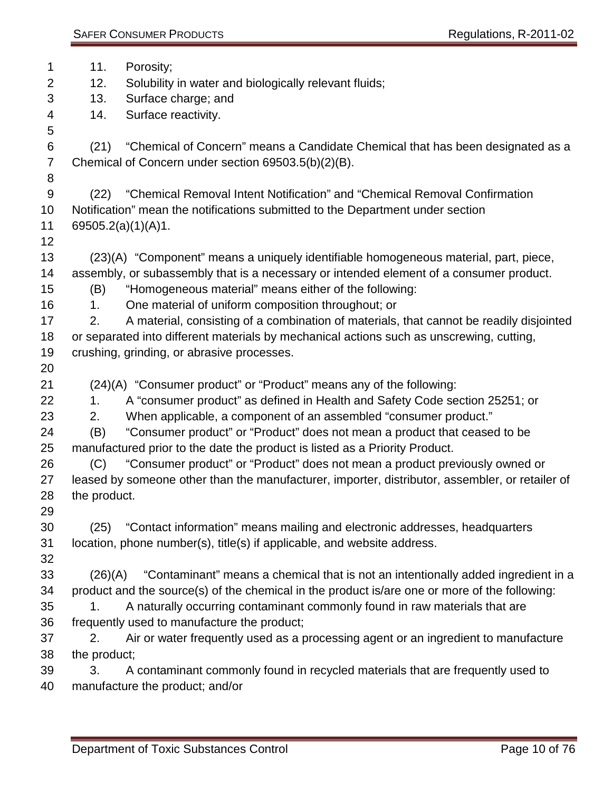| 1              | 11.            | Porosity;                                                                                       |
|----------------|----------------|-------------------------------------------------------------------------------------------------|
| $\overline{2}$ | 12.            | Solubility in water and biologically relevant fluids;                                           |
| 3              | 13.            | Surface charge; and                                                                             |
| 4              | 14.            | Surface reactivity.                                                                             |
| 5              |                |                                                                                                 |
| 6              | (21)           | "Chemical of Concern" means a Candidate Chemical that has been designated as a                  |
| $\overline{7}$ |                | Chemical of Concern under section 69503.5(b)(2)(B).                                             |
| 8              |                |                                                                                                 |
| $9\,$          | (22)           | "Chemical Removal Intent Notification" and "Chemical Removal Confirmation                       |
| 10             |                | Notification" mean the notifications submitted to the Department under section                  |
| 11             |                | 69505.2(a)(1)(A)1.                                                                              |
| 12             |                |                                                                                                 |
| 13             |                | (23)(A) "Component" means a uniquely identifiable homogeneous material, part, piece,            |
| 14             |                | assembly, or subassembly that is a necessary or intended element of a consumer product.         |
| 15             | (B)            | "Homogeneous material" means either of the following:                                           |
| 16             | 1 <sub>1</sub> | One material of uniform composition throughout; or                                              |
| 17             | 2.             | A material, consisting of a combination of materials, that cannot be readily disjointed         |
| 18             |                | or separated into different materials by mechanical actions such as unscrewing, cutting,        |
| 19             |                | crushing, grinding, or abrasive processes.                                                      |
| 20             |                |                                                                                                 |
| 21             |                | (24)(A) "Consumer product" or "Product" means any of the following:                             |
| 22             | 1.             | A "consumer product" as defined in Health and Safety Code section 25251; or                     |
| 23             | 2.             | When applicable, a component of an assembled "consumer product."                                |
| 24             | (B)            | "Consumer product" or "Product" does not mean a product that ceased to be                       |
| 25             |                | manufactured prior to the date the product is listed as a Priority Product.                     |
| 26             | (C)            | "Consumer product" or "Product" does not mean a product previously owned or                     |
| 27             |                | leased by someone other than the manufacturer, importer, distributor, assembler, or retailer of |
| 28             | the product.   |                                                                                                 |
| 29             |                |                                                                                                 |
| 30             | (25)           | "Contact information" means mailing and electronic addresses, headquarters                      |
| 31             |                | location, phone number(s), title(s) if applicable, and website address.                         |
| 32             |                |                                                                                                 |
| 33             | (26)(A)        | "Contaminant" means a chemical that is not an intentionally added ingredient in a               |
| 34             |                | product and the source(s) of the chemical in the product is/are one or more of the following:   |
| 35             | 1.             | A naturally occurring contaminant commonly found in raw materials that are                      |
| 36             |                | frequently used to manufacture the product;                                                     |
| 37             | 2.             | Air or water frequently used as a processing agent or an ingredient to manufacture              |
| 38             | the product;   |                                                                                                 |
| 39             | 3.             | A contaminant commonly found in recycled materials that are frequently used to                  |
| 40             |                | manufacture the product; and/or                                                                 |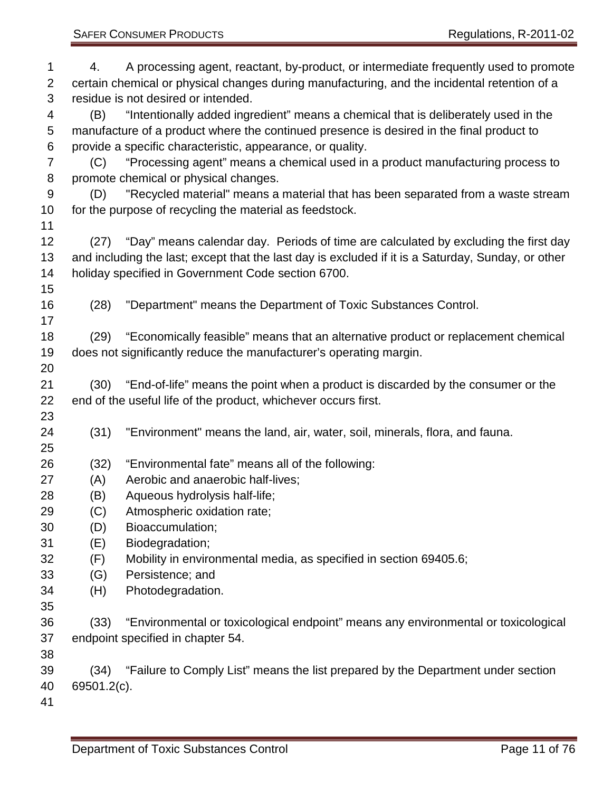4. A processing agent, reactant, by-product, or intermediate frequently used to promote certain chemical or physical changes during manufacturing, and the incidental retention of a residue is not desired or intended. (B) "Intentionally added ingredient" means a chemical that is deliberately used in the manufacture of a product where the continued presence is desired in the final product to provide a specific characteristic, appearance, or quality. (C) "Processing agent" means a chemical used in a product manufacturing process to promote chemical or physical changes. (D) "Recycled material" means a material that has been separated from a waste stream for the purpose of recycling the material as feedstock. (27) "Day" means calendar day. Periods of time are calculated by excluding the first day and including the last; except that the last day is excluded if it is a Saturday, Sunday, or other holiday specified in Government Code section 6700. (28) "Department" means the Department of Toxic Substances Control. (29) "Economically feasible" means that an alternative product or replacement chemical does not significantly reduce the manufacturer's operating margin. (30) "End-of-life" means the point when a product is discarded by the consumer or the end of the useful life of the product, whichever occurs first. (31) "Environment" means the land, air, water, soil, minerals, flora, and fauna. (32) "Environmental fate" means all of the following: (A) Aerobic and anaerobic half-lives; (B) Aqueous hydrolysis half-life; (C) Atmospheric oxidation rate; (D) Bioaccumulation; (E) Biodegradation; (F) Mobility in environmental media, as specified in section 69405.6; (G) Persistence; and (H) Photodegradation. (33) "Environmental or toxicological endpoint" means any environmental or toxicological endpoint specified in chapter 54. (34) "Failure to Comply List" means the list prepared by the Department under section 69501.2(c).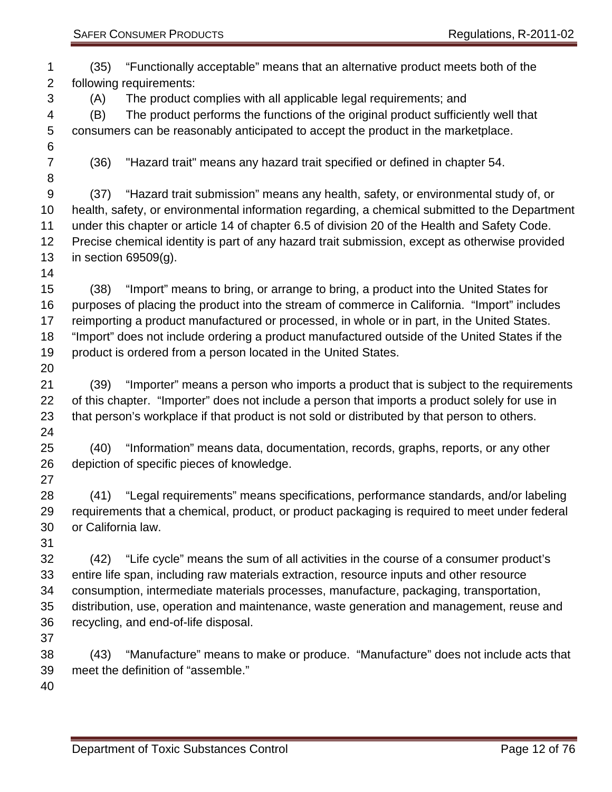| 1<br>$\overline{2}$ | (35)               | "Functionally acceptable" means that an alternative product meets both of the<br>following requirements: |
|---------------------|--------------------|----------------------------------------------------------------------------------------------------------|
| 3                   | (A)                | The product complies with all applicable legal requirements; and                                         |
| 4                   | (B)                | The product performs the functions of the original product sufficiently well that                        |
|                     |                    |                                                                                                          |
| 5                   |                    | consumers can be reasonably anticipated to accept the product in the marketplace.                        |
| 6                   |                    |                                                                                                          |
| $\overline{7}$      | (36)               | "Hazard trait" means any hazard trait specified or defined in chapter 54.                                |
| 8                   |                    |                                                                                                          |
| $9\,$               | (37)               | "Hazard trait submission" means any health, safety, or environmental study of, or                        |
| 10                  |                    | health, safety, or environmental information regarding, a chemical submitted to the Department           |
| 11                  |                    | under this chapter or article 14 of chapter 6.5 of division 20 of the Health and Safety Code.            |
| 12                  |                    | Precise chemical identity is part of any hazard trait submission, except as otherwise provided           |
| 13                  |                    | in section $69509(q)$ .                                                                                  |
| 14                  |                    |                                                                                                          |
| 15                  | (38)               | "Import" means to bring, or arrange to bring, a product into the United States for                       |
| 16                  |                    | purposes of placing the product into the stream of commerce in California. "Import" includes             |
| 17                  |                    | reimporting a product manufactured or processed, in whole or in part, in the United States.              |
| 18                  |                    | "Import" does not include ordering a product manufactured outside of the United States if the            |
| 19                  |                    | product is ordered from a person located in the United States.                                           |
| 20                  |                    |                                                                                                          |
| 21                  | (39)               | "Importer" means a person who imports a product that is subject to the requirements                      |
| 22                  |                    | of this chapter. "Importer" does not include a person that imports a product solely for use in           |
|                     |                    |                                                                                                          |
| 23                  |                    | that person's workplace if that product is not sold or distributed by that person to others.             |
| 24                  |                    |                                                                                                          |
| 25                  | (40)               | "Information" means data, documentation, records, graphs, reports, or any other                          |
| 26                  |                    | depiction of specific pieces of knowledge.                                                               |
| 27                  |                    |                                                                                                          |
| 28                  | (41)               | "Legal requirements" means specifications, performance standards, and/or labeling                        |
| 29                  |                    | requirements that a chemical, product, or product packaging is required to meet under federal            |
| 30                  | or California law. |                                                                                                          |
| 31                  |                    |                                                                                                          |
| 32                  | (42)               | "Life cycle" means the sum of all activities in the course of a consumer product's                       |
| 33                  |                    | entire life span, including raw materials extraction, resource inputs and other resource                 |
| 34                  |                    | consumption, intermediate materials processes, manufacture, packaging, transportation,                   |
| 35                  |                    | distribution, use, operation and maintenance, waste generation and management, reuse and                 |
| 36                  |                    | recycling, and end-of-life disposal.                                                                     |
| 37                  |                    |                                                                                                          |
| 38                  | (43)               | "Manufacture" means to make or produce. "Manufacture" does not include acts that                         |
| 39                  |                    | meet the definition of "assemble."                                                                       |
| 40                  |                    |                                                                                                          |
|                     |                    |                                                                                                          |
|                     |                    |                                                                                                          |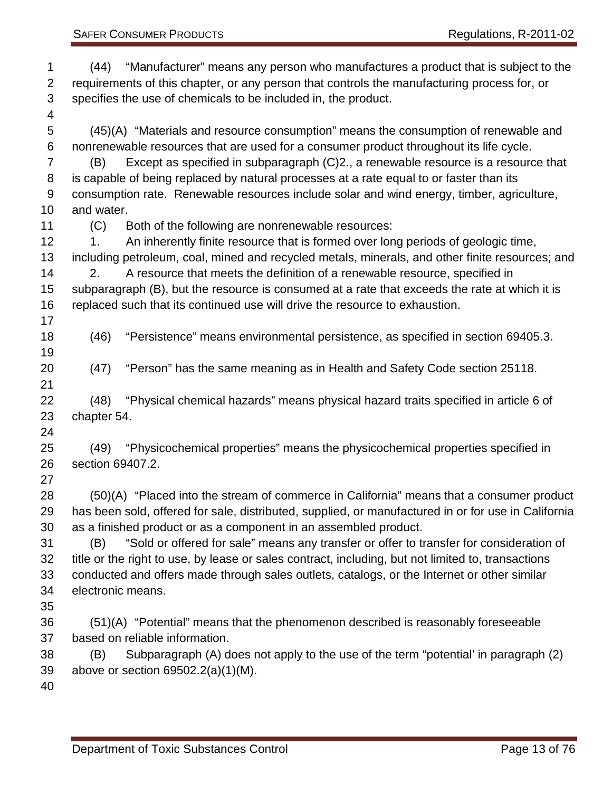| 1<br>$\overline{2}$<br>3<br>$\overline{4}$ | (44)                                                                                               | "Manufacturer" means any person who manufactures a product that is subject to the<br>requirements of this chapter, or any person that controls the manufacturing process for, or<br>specifies the use of chemicals to be included in, the product. |  |
|--------------------------------------------|----------------------------------------------------------------------------------------------------|----------------------------------------------------------------------------------------------------------------------------------------------------------------------------------------------------------------------------------------------------|--|
| 5                                          |                                                                                                    | (45)(A) "Materials and resource consumption" means the consumption of renewable and                                                                                                                                                                |  |
| 6<br>$\overline{7}$                        | (B)                                                                                                | nonrenewable resources that are used for a consumer product throughout its life cycle.<br>Except as specified in subparagraph (C)2., a renewable resource is a resource that                                                                       |  |
| 8                                          |                                                                                                    | is capable of being replaced by natural processes at a rate equal to or faster than its                                                                                                                                                            |  |
| 9                                          |                                                                                                    | consumption rate. Renewable resources include solar and wind energy, timber, agriculture,                                                                                                                                                          |  |
| 10                                         | and water.                                                                                         |                                                                                                                                                                                                                                                    |  |
| 11                                         | (C)                                                                                                | Both of the following are nonrenewable resources:                                                                                                                                                                                                  |  |
| 12 <sub>2</sub>                            | 1.                                                                                                 | An inherently finite resource that is formed over long periods of geologic time,                                                                                                                                                                   |  |
| 13                                         |                                                                                                    | including petroleum, coal, mined and recycled metals, minerals, and other finite resources; and                                                                                                                                                    |  |
| 14                                         | 2.                                                                                                 | A resource that meets the definition of a renewable resource, specified in                                                                                                                                                                         |  |
| 15                                         |                                                                                                    | subparagraph (B), but the resource is consumed at a rate that exceeds the rate at which it is                                                                                                                                                      |  |
| 16                                         |                                                                                                    | replaced such that its continued use will drive the resource to exhaustion.                                                                                                                                                                        |  |
| 17                                         |                                                                                                    |                                                                                                                                                                                                                                                    |  |
| 18<br>19                                   | (46)                                                                                               | "Persistence" means environmental persistence, as specified in section 69405.3.                                                                                                                                                                    |  |
| 20<br>21                                   | (47)                                                                                               | "Person" has the same meaning as in Health and Safety Code section 25118.                                                                                                                                                                          |  |
| 22                                         | (48)                                                                                               | "Physical chemical hazards" means physical hazard traits specified in article 6 of                                                                                                                                                                 |  |
| 23                                         | chapter 54.                                                                                        |                                                                                                                                                                                                                                                    |  |
| 24                                         |                                                                                                    |                                                                                                                                                                                                                                                    |  |
| 25                                         | (49)                                                                                               | "Physicochemical properties" means the physicochemical properties specified in                                                                                                                                                                     |  |
| 26                                         | section 69407.2.                                                                                   |                                                                                                                                                                                                                                                    |  |
| 27                                         |                                                                                                    |                                                                                                                                                                                                                                                    |  |
| 28                                         |                                                                                                    | (50)(A) "Placed into the stream of commerce in California" means that a consumer product                                                                                                                                                           |  |
| 29                                         |                                                                                                    | has been sold, offered for sale, distributed, supplied, or manufactured in or for use in California                                                                                                                                                |  |
| 30                                         |                                                                                                    | as a finished product or as a component in an assembled product.                                                                                                                                                                                   |  |
| 31                                         | (B)                                                                                                | "Sold or offered for sale" means any transfer or offer to transfer for consideration of                                                                                                                                                            |  |
| 32                                         | title or the right to use, by lease or sales contract, including, but not limited to, transactions |                                                                                                                                                                                                                                                    |  |
| 33                                         | conducted and offers made through sales outlets, catalogs, or the Internet or other similar        |                                                                                                                                                                                                                                                    |  |
| 34                                         | electronic means.                                                                                  |                                                                                                                                                                                                                                                    |  |
| 35                                         |                                                                                                    |                                                                                                                                                                                                                                                    |  |
| 36                                         |                                                                                                    | (51)(A) "Potential" means that the phenomenon described is reasonably foreseeable                                                                                                                                                                  |  |
| 37                                         |                                                                                                    | based on reliable information.                                                                                                                                                                                                                     |  |
| 38                                         | (B)                                                                                                | Subparagraph (A) does not apply to the use of the term "potential" in paragraph (2)                                                                                                                                                                |  |
| 39                                         |                                                                                                    | above or section $69502.2(a)(1)(M)$ .                                                                                                                                                                                                              |  |
| 40                                         |                                                                                                    |                                                                                                                                                                                                                                                    |  |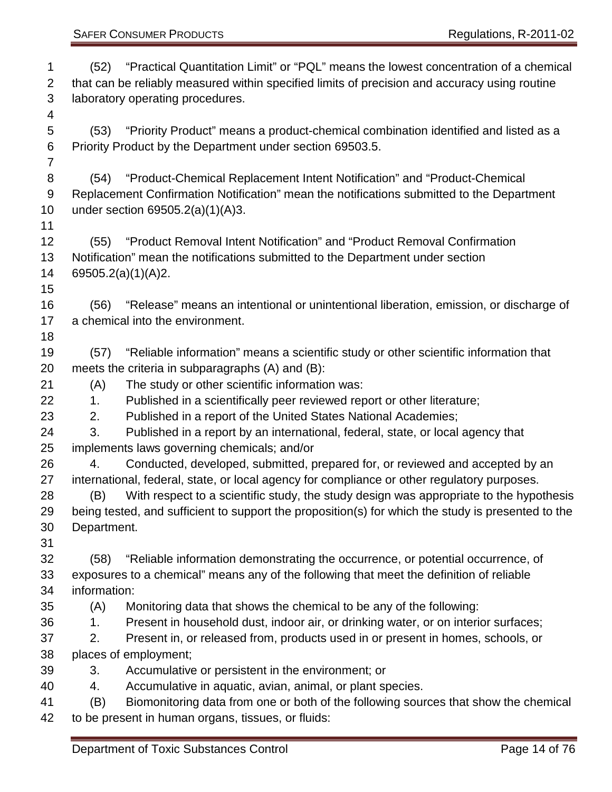| 1              | (52)                                                                                          | "Practical Quantitation Limit" or "PQL" means the lowest concentration of a chemical               |  |
|----------------|-----------------------------------------------------------------------------------------------|----------------------------------------------------------------------------------------------------|--|
| 2              | that can be reliably measured within specified limits of precision and accuracy using routine |                                                                                                    |  |
| 3              | laboratory operating procedures.                                                              |                                                                                                    |  |
| 4              |                                                                                               |                                                                                                    |  |
| 5              | (53)                                                                                          | "Priority Product" means a product-chemical combination identified and listed as a                 |  |
| 6              |                                                                                               | Priority Product by the Department under section 69503.5.                                          |  |
| $\overline{7}$ |                                                                                               |                                                                                                    |  |
| 8              | (54)                                                                                          | "Product-Chemical Replacement Intent Notification" and "Product-Chemical                           |  |
| 9              |                                                                                               | Replacement Confirmation Notification" mean the notifications submitted to the Department          |  |
| 10             |                                                                                               | under section $69505.2(a)(1)(A)3.$                                                                 |  |
| 11             |                                                                                               |                                                                                                    |  |
| 12             | (55)                                                                                          | "Product Removal Intent Notification" and "Product Removal Confirmation"                           |  |
| 13             |                                                                                               | Notification" mean the notifications submitted to the Department under section                     |  |
| 14             |                                                                                               | 69505.2(a)(1)(A)2.                                                                                 |  |
| 15             |                                                                                               |                                                                                                    |  |
| 16             | (56)                                                                                          | "Release" means an intentional or unintentional liberation, emission, or discharge of              |  |
| 17             |                                                                                               | a chemical into the environment.                                                                   |  |
| 18             |                                                                                               |                                                                                                    |  |
| 19             | (57)                                                                                          | "Reliable information" means a scientific study or other scientific information that               |  |
| 20             |                                                                                               | meets the criteria in subparagraphs (A) and (B):                                                   |  |
| 21             | (A)                                                                                           | The study or other scientific information was:                                                     |  |
| 22             | 1.                                                                                            | Published in a scientifically peer reviewed report or other literature;                            |  |
| 23             | 2.                                                                                            | Published in a report of the United States National Academies;                                     |  |
| 24             | 3.                                                                                            | Published in a report by an international, federal, state, or local agency that                    |  |
| 25             |                                                                                               | implements laws governing chemicals; and/or                                                        |  |
| 26             | 4.                                                                                            | Conducted, developed, submitted, prepared for, or reviewed and accepted by an                      |  |
| 27             | international, federal, state, or local agency for compliance or other regulatory purposes.   |                                                                                                    |  |
| 28             | (B)                                                                                           | With respect to a scientific study, the study design was appropriate to the hypothesis             |  |
| 29             |                                                                                               | being tested, and sufficient to support the proposition(s) for which the study is presented to the |  |
| 30             | Department.                                                                                   |                                                                                                    |  |
| 31             |                                                                                               |                                                                                                    |  |
| 32             | (58)                                                                                          | "Reliable information demonstrating the occurrence, or potential occurrence, of                    |  |
| 33             |                                                                                               | exposures to a chemical" means any of the following that meet the definition of reliable           |  |
| 34             | information:                                                                                  |                                                                                                    |  |
| 35             | (A)                                                                                           | Monitoring data that shows the chemical to be any of the following:                                |  |
| 36             | 1.                                                                                            | Present in household dust, indoor air, or drinking water, or on interior surfaces;                 |  |
| 37             | 2.                                                                                            | Present in, or released from, products used in or present in homes, schools, or                    |  |
| 38             |                                                                                               | places of employment;                                                                              |  |
| 39             | 3.                                                                                            | Accumulative or persistent in the environment; or                                                  |  |
| 40             | 4.                                                                                            | Accumulative in aquatic, avian, animal, or plant species.                                          |  |
| 41             | (B)                                                                                           | Biomonitoring data from one or both of the following sources that show the chemical                |  |
| 42             |                                                                                               | to be present in human organs, tissues, or fluids:                                                 |  |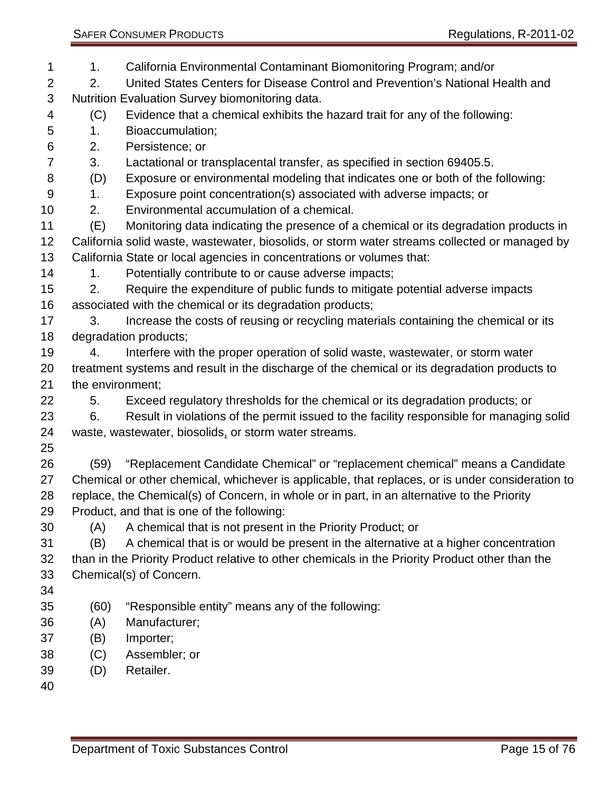1. California Environmental Contaminant Biomonitoring Program; and/or

- 2. United States Centers for Disease Control and Prevention's National Health and Nutrition Evaluation Survey biomonitoring data.
- (C) Evidence that a chemical exhibits the hazard trait for any of the following:
- 1. Bioaccumulation;
- 2. Persistence; or
- 3. Lactational or transplacental transfer, as specified in section 69405.5.
- (D) Exposure or environmental modeling that indicates one or both of the following:
- 1. Exposure point concentration(s) associated with adverse impacts; or
- 2. Environmental accumulation of a chemical.
- (E) Monitoring data indicating the presence of a chemical or its degradation products in California solid waste, wastewater, biosolids, or storm water streams collected or managed by California State or local agencies in concentrations or volumes that:
- 14 1. Potentially contribute to or cause adverse impacts;
- 2. Require the expenditure of public funds to mitigate potential adverse impacts associated with the chemical or its degradation products;
- 17 3. Increase the costs of reusing or recycling materials containing the chemical or its degradation products;
- 4. Interfere with the proper operation of solid waste, wastewater, or storm water treatment systems and result in the discharge of the chemical or its degradation products to the environment;
- 5. Exceed regulatory thresholds for the chemical or its degradation products; or 6. Result in violations of the permit issued to the facility responsible for managing solid waste, wastewater, biosolids, or storm water streams.
- 
- (59) "Replacement Candidate Chemical" or "replacement chemical" means a Candidate Chemical or other chemical, whichever is applicable, that replaces, or is under consideration to replace, the Chemical(s) of Concern, in whole or in part, in an alternative to the Priority Product, and that is one of the following:
- (A) A chemical that is not present in the Priority Product; or
- (B) A chemical that is or would be present in the alternative at a higher concentration than in the Priority Product relative to other chemicals in the Priority Product other than the Chemical(s) of Concern.
- 
- (60) "Responsible entity" means any of the following:
- (A) Manufacturer;
- (B) Importer;
- (C) Assembler; or
- (D) Retailer.
-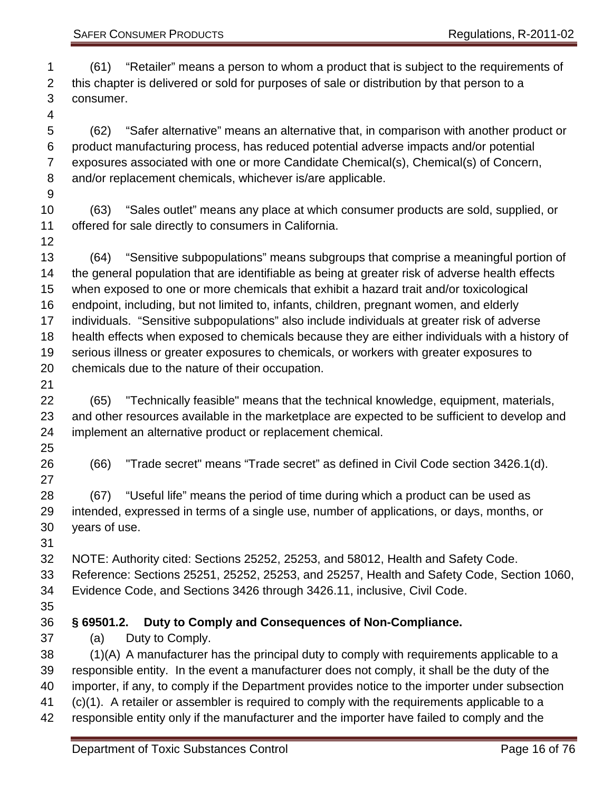(61) "Retailer" means a person to whom a product that is subject to the requirements of this chapter is delivered or sold for purposes of sale or distribution by that person to a consumer.

 (62) "Safer alternative" means an alternative that, in comparison with another product or product manufacturing process, has reduced potential adverse impacts and/or potential exposures associated with one or more Candidate Chemical(s), Chemical(s) of Concern, and/or replacement chemicals, whichever is/are applicable.

 (63) "Sales outlet" means any place at which consumer products are sold, supplied, or offered for sale directly to consumers in California.

 (64) "Sensitive subpopulations" means subgroups that comprise a meaningful portion of the general population that are identifiable as being at greater risk of adverse health effects when exposed to one or more chemicals that exhibit a hazard trait and/or toxicological endpoint, including, but not limited to, infants, children, pregnant women, and elderly individuals. "Sensitive subpopulations" also include individuals at greater risk of adverse health effects when exposed to chemicals because they are either individuals with a history of serious illness or greater exposures to chemicals, or workers with greater exposures to chemicals due to the nature of their occupation.

 (65) "Technically feasible" means that the technical knowledge, equipment, materials, and other resources available in the marketplace are expected to be sufficient to develop and implement an alternative product or replacement chemical.

- 
- 

(66) "Trade secret" means "Trade secret" as defined in Civil Code section 3426.1(d).

 (67) "Useful life" means the period of time during which a product can be used as intended, expressed in terms of a single use, number of applications, or days, months, or years of use.

NOTE: Authority cited: Sections 25252, 25253, and 58012, Health and Safety Code.

 Reference: Sections 25251, 25252, 25253, and 25257, Health and Safety Code, Section 1060, Evidence Code, and Sections 3426 through 3426.11, inclusive, Civil Code.

<span id="page-15-0"></span>**§ 69501.2. Duty to Comply and Consequences of Non-Compliance.**

(a) Duty to Comply.

 (1)(A) A manufacturer has the principal duty to comply with requirements applicable to a responsible entity. In the event a manufacturer does not comply, it shall be the duty of the importer, if any, to comply if the Department provides notice to the importer under subsection (c)(1). A retailer or assembler is required to comply with the requirements applicable to a responsible entity only if the manufacturer and the importer have failed to comply and the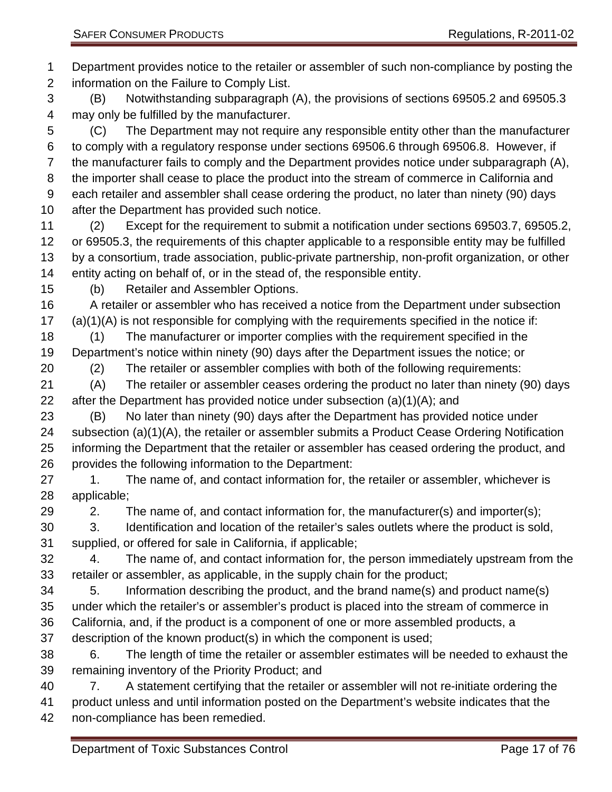Department provides notice to the retailer or assembler of such non-compliance by posting the information on the Failure to Comply List. (B) Notwithstanding subparagraph (A), the provisions of sections 69505.2 and 69505.3 may only be fulfilled by the manufacturer. (C) The Department may not require any responsible entity other than the manufacturer to comply with a regulatory response under sections 69506.6 through 69506.8. However, if the manufacturer fails to comply and the Department provides notice under subparagraph (A), the importer shall cease to place the product into the stream of commerce in California and each retailer and assembler shall cease ordering the product, no later than ninety (90) days after the Department has provided such notice. (2) Except for the requirement to submit a notification under sections 69503.7, 69505.2, or 69505.3, the requirements of this chapter applicable to a responsible entity may be fulfilled by a consortium, trade association, public-private partnership, non-profit organization, or other entity acting on behalf of, or in the stead of, the responsible entity. (b) Retailer and Assembler Options. A retailer or assembler who has received a notice from the Department under subsection (a)(1)(A) is not responsible for complying with the requirements specified in the notice if: (1) The manufacturer or importer complies with the requirement specified in the Department's notice within ninety (90) days after the Department issues the notice; or (2) The retailer or assembler complies with both of the following requirements: (A) The retailer or assembler ceases ordering the product no later than ninety (90) days 22 after the Department has provided notice under subsection  $(a)(1)(A)$ ; and (B) No later than ninety (90) days after the Department has provided notice under subsection (a)(1)(A), the retailer or assembler submits a Product Cease Ordering Notification informing the Department that the retailer or assembler has ceased ordering the product, and provides the following information to the Department: 27 1. The name of, and contact information for, the retailer or assembler, whichever is applicable; 29 2. The name of, and contact information for, the manufacturer(s) and importer(s); 3. Identification and location of the retailer's sales outlets where the product is sold, supplied, or offered for sale in California, if applicable; 4. The name of, and contact information for, the person immediately upstream from the retailer or assembler, as applicable, in the supply chain for the product; 5. Information describing the product, and the brand name(s) and product name(s) under which the retailer's or assembler's product is placed into the stream of commerce in California, and, if the product is a component of one or more assembled products, a description of the known product(s) in which the component is used; 6. The length of time the retailer or assembler estimates will be needed to exhaust the remaining inventory of the Priority Product; and 7. A statement certifying that the retailer or assembler will not re-initiate ordering the product unless and until information posted on the Department's website indicates that the non-compliance has been remedied. Department of Toxic Substances Control Control Control Page 17 of 76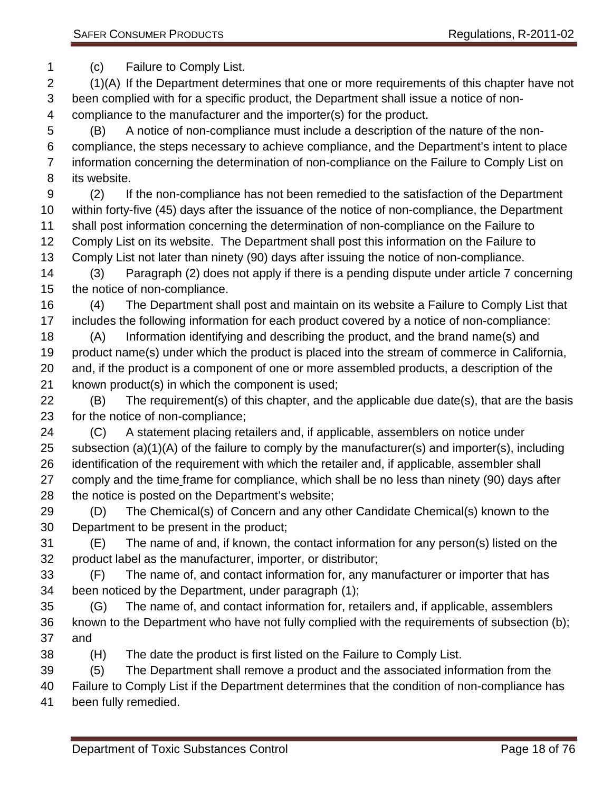(c) Failure to Comply List.

 (1)(A) If the Department determines that one or more requirements of this chapter have not been complied with for a specific product, the Department shall issue a notice of non-compliance to the manufacturer and the importer(s) for the product.

 (B) A notice of non-compliance must include a description of the nature of the non- compliance, the steps necessary to achieve compliance, and the Department's intent to place information concerning the determination of non-compliance on the Failure to Comply List on its website.

 (2) If the non-compliance has not been remedied to the satisfaction of the Department within forty-five (45) days after the issuance of the notice of non-compliance, the Department shall post information concerning the determination of non-compliance on the Failure to Comply List on its website. The Department shall post this information on the Failure to Comply List not later than ninety (90) days after issuing the notice of non-compliance.

 (3) Paragraph (2) does not apply if there is a pending dispute under article 7 concerning the notice of non-compliance.

 (4) The Department shall post and maintain on its website a Failure to Comply List that includes the following information for each product covered by a notice of non-compliance:

 (A) Information identifying and describing the product, and the brand name(s) and product name(s) under which the product is placed into the stream of commerce in California, and, if the product is a component of one or more assembled products, a description of the known product(s) in which the component is used;

 (B) The requirement(s) of this chapter, and the applicable due date(s), that are the basis for the notice of non-compliance;

 (C) A statement placing retailers and, if applicable, assemblers on notice under subsection (a)(1)(A) of the failure to comply by the manufacturer(s) and importer(s), including identification of the requirement with which the retailer and, if applicable, assembler shall comply and the time frame for compliance, which shall be no less than ninety (90) days after the notice is posted on the Department's website;

 (D) The Chemical(s) of Concern and any other Candidate Chemical(s) known to the Department to be present in the product;

 (E) The name of and, if known, the contact information for any person(s) listed on the product label as the manufacturer, importer, or distributor;

 (F) The name of, and contact information for, any manufacturer or importer that has been noticed by the Department, under paragraph (1);

- (G) The name of, and contact information for, retailers and, if applicable, assemblers known to the Department who have not fully complied with the requirements of subsection (b); and
- (H) The date the product is first listed on the Failure to Comply List.

(5) The Department shall remove a product and the associated information from the

 Failure to Comply List if the Department determines that the condition of non-compliance has been fully remedied.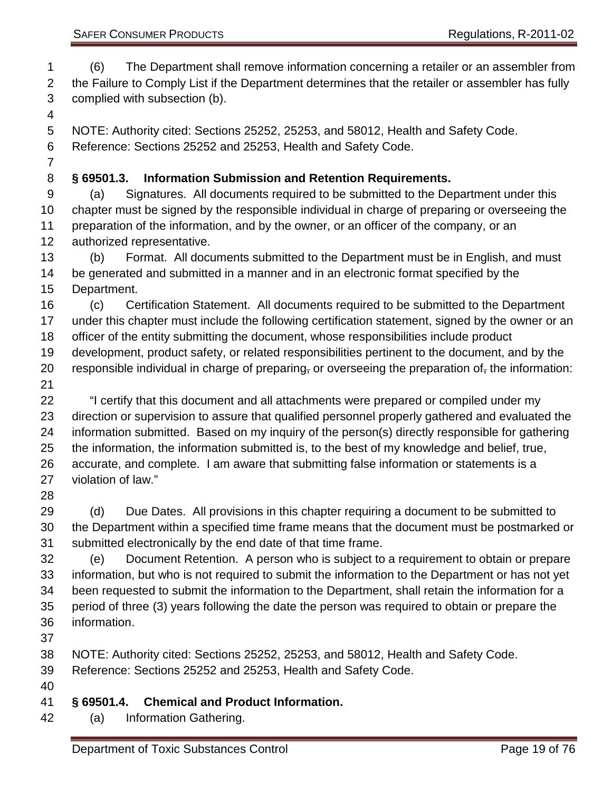(6) The Department shall remove information concerning a retailer or an assembler from 2 the Failure to Comply List if the Department determines that the retailer or assembler has fully complied with subsection (b).

 NOTE: Authority cited: Sections 25252, 25253, and 58012, Health and Safety Code. Reference: Sections 25252 and 25253, Health and Safety Code.

### <span id="page-18-0"></span>**§ 69501.3. Information Submission and Retention Requirements.**

 (a) Signatures. All documents required to be submitted to the Department under this chapter must be signed by the responsible individual in charge of preparing or overseeing the preparation of the information, and by the owner, or an officer of the company, or an authorized representative.

 (b) Format. All documents submitted to the Department must be in English, and must be generated and submitted in a manner and in an electronic format specified by the Department.

 (c) Certification Statement. All documents required to be submitted to the Department 17 under this chapter must include the following certification statement, signed by the owner or an officer of the entity submitting the document, whose responsibilities include product development, product safety, or related responsibilities pertinent to the document, and by the 20 responsible individual in charge of preparing, or overseeing the preparation of, the information:

 "I certify that this document and all attachments were prepared or compiled under my direction or supervision to assure that qualified personnel properly gathered and evaluated the information submitted. Based on my inquiry of the person(s) directly responsible for gathering the information, the information submitted is, to the best of my knowledge and belief, true, accurate, and complete. I am aware that submitting false information or statements is a violation of law."

29 (d) Due Dates. All provisions in this chapter requiring a document to be submitted to the Department within a specified time frame means that the document must be postmarked or submitted electronically by the end date of that time frame.

 (e) Document Retention. A person who is subject to a requirement to obtain or prepare information, but who is not required to submit the information to the Department or has not yet been requested to submit the information to the Department, shall retain the information for a period of three (3) years following the date the person was required to obtain or prepare the information.

NOTE: Authority cited: Sections 25252, 25253, and 58012, Health and Safety Code.

Reference: Sections 25252 and 25253, Health and Safety Code.

## <span id="page-18-1"></span>**§ 69501.4. Chemical and Product Information.**

(a) Information Gathering.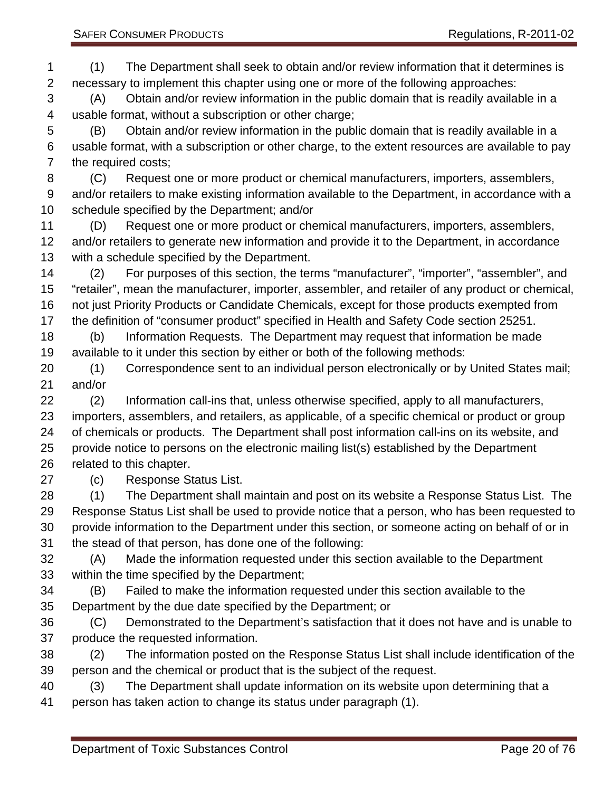(A) Obtain and/or review information in the public domain that is readily available in a usable format, without a subscription or other charge;

 (B) Obtain and/or review information in the public domain that is readily available in a usable format, with a subscription or other charge, to the extent resources are available to pay the required costs;

 (C) Request one or more product or chemical manufacturers, importers, assemblers, and/or retailers to make existing information available to the Department, in accordance with a schedule specified by the Department; and/or

 (D) Request one or more product or chemical manufacturers, importers, assemblers, 12 and/or retailers to generate new information and provide it to the Department, in accordance with a schedule specified by the Department.

 (2) For purposes of this section, the terms "manufacturer", "importer", "assembler", and "retailer", mean the manufacturer, importer, assembler, and retailer of any product or chemical, not just Priority Products or Candidate Chemicals, except for those products exempted from the definition of "consumer product" specified in Health and Safety Code section 25251.

 (b) Information Requests. The Department may request that information be made available to it under this section by either or both of the following methods:

 (1) Correspondence sent to an individual person electronically or by United States mail; and/or

 (2) Information call-ins that, unless otherwise specified, apply to all manufacturers, importers, assemblers, and retailers, as applicable, of a specific chemical or product or group of chemicals or products. The Department shall post information call-ins on its website, and provide notice to persons on the electronic mailing list(s) established by the Department related to this chapter.

(c) Response Status List.

 (1) The Department shall maintain and post on its website a Response Status List. The Response Status List shall be used to provide notice that a person, who has been requested to provide information to the Department under this section, or someone acting on behalf of or in the stead of that person, has done one of the following:

 (A) Made the information requested under this section available to the Department within the time specified by the Department;

 (B) Failed to make the information requested under this section available to the Department by the due date specified by the Department; or

 (C) Demonstrated to the Department's satisfaction that it does not have and is unable to produce the requested information.

 (2) The information posted on the Response Status List shall include identification of the person and the chemical or product that is the subject of the request.

 (3) The Department shall update information on its website upon determining that a person has taken action to change its status under paragraph (1).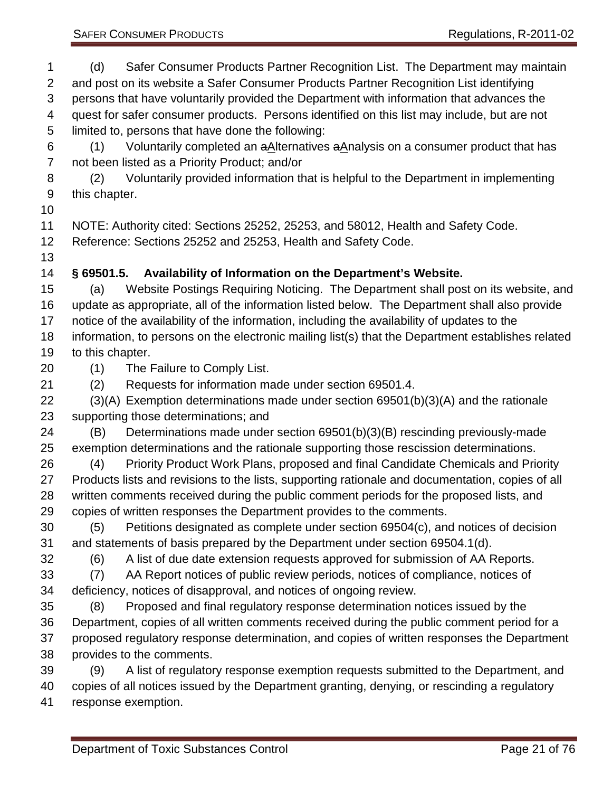SAFER CONSUMER PRODUCTS **Requisitions, R-2011-02** 

 (d) Safer Consumer Products Partner Recognition List. The Department may maintain and post on its website a Safer Consumer Products Partner Recognition List identifying persons that have voluntarily provided the Department with information that advances the quest for safer consumer products. Persons identified on this list may include, but are not limited to, persons that have done the following:

6 (1) Voluntarily completed an  $aA$  ternatives  $aA$ nalysis on a consumer product that has not been listed as a Priority Product; and/or

 (2) Voluntarily provided information that is helpful to the Department in implementing this chapter.

NOTE: Authority cited: Sections 25252, 25253, and 58012, Health and Safety Code.

Reference: Sections 25252 and 25253, Health and Safety Code.

# <span id="page-20-0"></span>**§ 69501.5. Availability of Information on the Department's Website.**

 (a) Website Postings Requiring Noticing. The Department shall post on its website, and update as appropriate, all of the information listed below. The Department shall also provide notice of the availability of the information, including the availability of updates to the information, to persons on the electronic mailing list(s) that the Department establishes related

- to this chapter.
- (1) The Failure to Comply List.

(2) Requests for information made under section 69501.4.

 (3)(A) Exemption determinations made under section 69501(b)(3)(A) and the rationale supporting those determinations; and

 (B) Determinations made under section 69501(b)(3)(B) rescinding previously-made exemption determinations and the rationale supporting those rescission determinations.

 (4) Priority Product Work Plans, proposed and final Candidate Chemicals and Priority Products lists and revisions to the lists, supporting rationale and documentation, copies of all written comments received during the public comment periods for the proposed lists, and copies of written responses the Department provides to the comments.

 (5) Petitions designated as complete under section 69504(c), and notices of decision and statements of basis prepared by the Department under section 69504.1(d).

(6) A list of due date extension requests approved for submission of AA Reports.

 (7) AA Report notices of public review periods, notices of compliance, notices of deficiency, notices of disapproval, and notices of ongoing review.

 (8) Proposed and final regulatory response determination notices issued by the Department, copies of all written comments received during the public comment period for a proposed regulatory response determination, and copies of written responses the Department provides to the comments.

 (9) A list of regulatory response exemption requests submitted to the Department, and copies of all notices issued by the Department granting, denying, or rescinding a regulatory response exemption.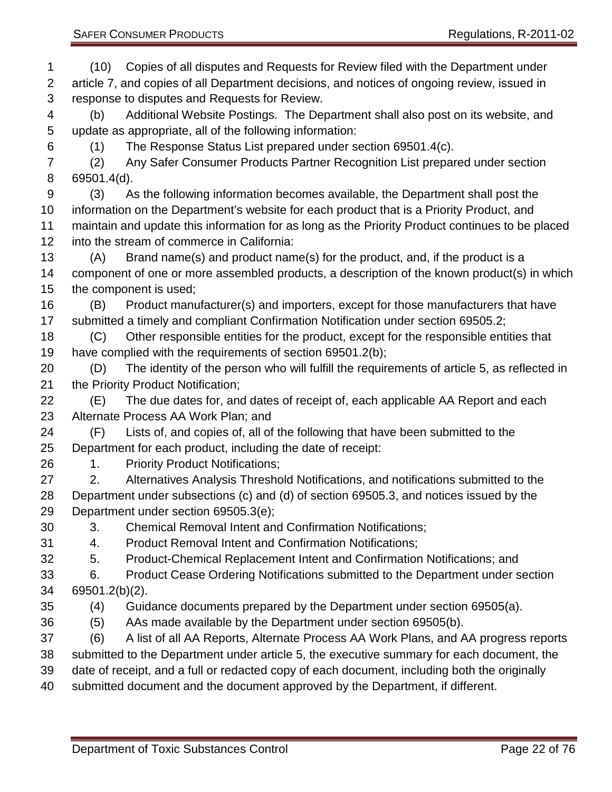SAFER CONSUMER PRODUCTS **Regulations, R-2011-02**  (10) Copies of all disputes and Requests for Review filed with the Department under article 7, and copies of all Department decisions, and notices of ongoing review, issued in (3) As the following information becomes available, the Department shall post the into the stream of commerce in California:

- response to disputes and Requests for Review. (b) Additional Website Postings. The Department shall also post on its website, and update as appropriate, all of the following information: (1) The Response Status List prepared under section 69501.4(c).
- (2) Any Safer Consumer Products Partner Recognition List prepared under section 69501.4(d).
- information on the Department's website for each product that is a Priority Product, and maintain and update this information for as long as the Priority Product continues to be placed
- (A) Brand name(s) and product name(s) for the product, and, if the product is a component of one or more assembled products, a description of the known product(s) in which the component is used;
- (B) Product manufacturer(s) and importers, except for those manufacturers that have submitted a timely and compliant Confirmation Notification under section 69505.2;
- (C) Other responsible entities for the product, except for the responsible entities that have complied with the requirements of section 69501.2(b);
- (D) The identity of the person who will fulfill the requirements of article 5, as reflected in the Priority Product Notification;
- (E) The due dates for, and dates of receipt of, each applicable AA Report and each Alternate Process AA Work Plan; and
- (F) Lists of, and copies of, all of the following that have been submitted to the Department for each product, including the date of receipt:
- 1. Priority Product Notifications;
- 2. Alternatives Analysis Threshold Notifications, and notifications submitted to the Department under subsections (c) and (d) of section 69505.3, and notices issued by the Department under section 69505.3(e);
- 3. Chemical Removal Intent and Confirmation Notifications;
- 4. Product Removal Intent and Confirmation Notifications;
- 5. Product-Chemical Replacement Intent and Confirmation Notifications; and
- 6. Product Cease Ordering Notifications submitted to the Department under section 69501.2(b)(2).
- (4) Guidance documents prepared by the Department under section 69505(a).
- (5) AAs made available by the Department under section 69505(b).
- (6) A list of all AA Reports, Alternate Process AA Work Plans, and AA progress reports
- submitted to the Department under article 5, the executive summary for each document, the
- date of receipt, and a full or redacted copy of each document, including both the originally
- submitted document and the document approved by the Department, if different.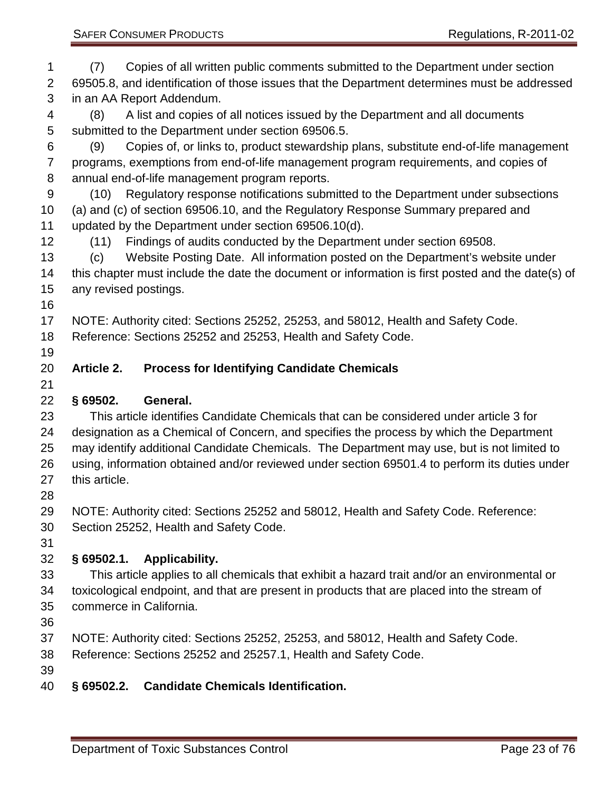<span id="page-22-3"></span><span id="page-22-2"></span><span id="page-22-1"></span><span id="page-22-0"></span> (7) Copies of all written public comments submitted to the Department under section 69505.8, and identification of those issues that the Department determines must be addressed in an AA Report Addendum. (8) A list and copies of all notices issued by the Department and all documents submitted to the Department under section 69506.5. (9) Copies of, or links to, product stewardship plans, substitute end-of-life management programs, exemptions from end-of-life management program requirements, and copies of annual end-of-life management program reports. (10) Regulatory response notifications submitted to the Department under subsections (a) and (c) of section 69506.10, and the Regulatory Response Summary prepared and updated by the Department under section 69506.10(d). (11) Findings of audits conducted by the Department under section 69508. (c) Website Posting Date. All information posted on the Department's website under this chapter must include the date the document or information is first posted and the date(s) of any revised postings. NOTE: Authority cited: Sections 25252, 25253, and 58012, Health and Safety Code. Reference: Sections 25252 and 25253, Health and Safety Code. **Article 2. Process for Identifying Candidate Chemicals § 69502. General.** This article identifies Candidate Chemicals that can be considered under article 3 for designation as a Chemical of Concern, and specifies the process by which the Department may identify additional Candidate Chemicals. The Department may use, but is not limited to using, information obtained and/or reviewed under section 69501.4 to perform its duties under this article. NOTE: Authority cited: Sections 25252 and 58012, Health and Safety Code. Reference: Section 25252, Health and Safety Code. **§ 69502.1. Applicability.** This article applies to all chemicals that exhibit a hazard trait and/or an environmental or toxicological endpoint, and that are present in products that are placed into the stream of commerce in California. NOTE: Authority cited: Sections 25252, 25253, and 58012, Health and Safety Code. Reference: Sections 25252 and 25257.1, Health and Safety Code. **§ 69502.2. Candidate Chemicals Identification.**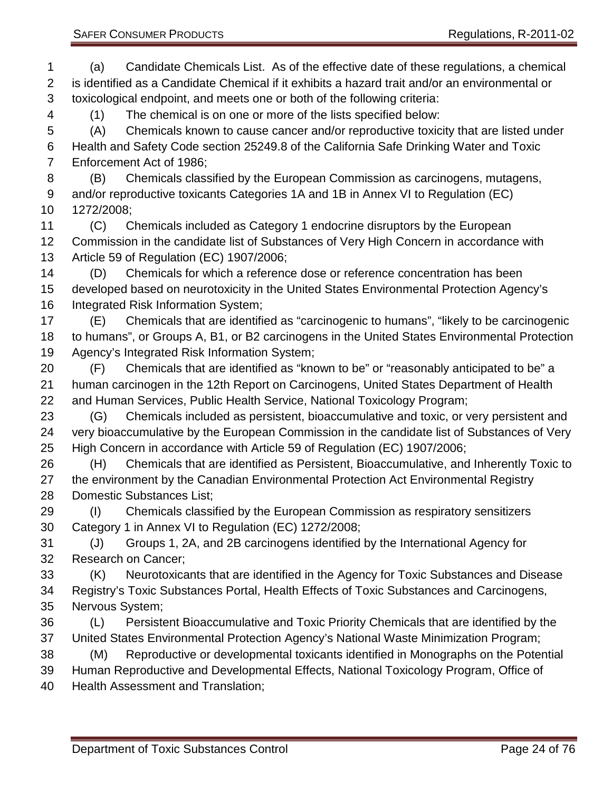Enforcement Act of 1986; (B) Chemicals classified by the European Commission as carcinogens, mutagens,

 and/or reproductive toxicants Categories 1A and 1B in Annex VI to Regulation (EC) 1272/2008;

 toxicological endpoint, and meets one or both of the following criteria: (1) The chemical is on one or more of the lists specified below:

 (C) Chemicals included as Category 1 endocrine disruptors by the European Commission in the candidate list of Substances of Very High Concern in accordance with Article 59 of Regulation (EC) 1907/2006;

 (a) Candidate Chemicals List. As of the effective date of these regulations, a chemical is identified as a Candidate Chemical if it exhibits a hazard trait and/or an environmental or

(A) Chemicals known to cause cancer and/or reproductive toxicity that are listed under

 (D) Chemicals for which a reference dose or reference concentration has been developed based on neurotoxicity in the United States Environmental Protection Agency's Integrated Risk Information System;

 (E) Chemicals that are identified as "carcinogenic to humans", "likely to be carcinogenic to humans", or Groups A, B1, or B2 carcinogens in the United States Environmental Protection Agency's Integrated Risk Information System;

 (F) Chemicals that are identified as "known to be" or "reasonably anticipated to be" a human carcinogen in the 12th Report on Carcinogens, United States Department of Health and Human Services, Public Health Service, National Toxicology Program;

 (G) Chemicals included as persistent, bioaccumulative and toxic, or very persistent and very bioaccumulative by the European Commission in the candidate list of Substances of Very High Concern in accordance with Article 59 of Regulation (EC) 1907/2006;

 (H) Chemicals that are identified as Persistent, Bioaccumulative, and Inherently Toxic to the environment by the Canadian Environmental Protection Act Environmental Registry Domestic Substances List;

 (I) Chemicals classified by the European Commission as respiratory sensitizers Category 1 in Annex VI to Regulation (EC) 1272/2008;

 (J) Groups 1, 2A, and 2B carcinogens identified by the International Agency for Research on Cancer;

 (K) Neurotoxicants that are identified in the Agency for Toxic Substances and Disease Registry's Toxic Substances Portal, Health Effects of Toxic Substances and Carcinogens, Nervous System;

 (L) Persistent Bioaccumulative and Toxic Priority Chemicals that are identified by the United States Environmental Protection Agency's National Waste Minimization Program;

(M) Reproductive or developmental toxicants identified in Monographs on the Potential

Human Reproductive and Developmental Effects, National Toxicology Program, Office of

Health Assessment and Translation;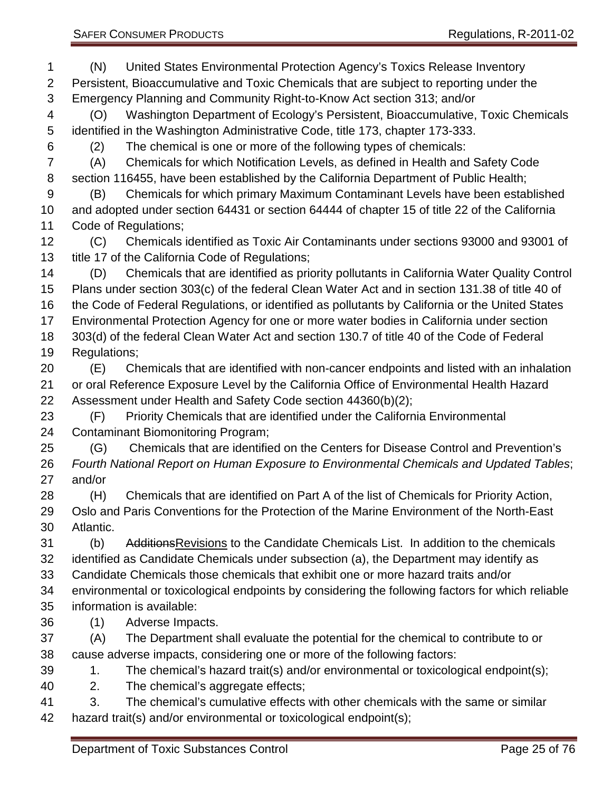(N) United States Environmental Protection Agency's Toxics Release Inventory Persistent, Bioaccumulative and Toxic Chemicals that are subject to reporting under the Emergency Planning and Community Right-to-Know Act section 313; and/or (O) Washington Department of Ecology's Persistent, Bioaccumulative, Toxic Chemicals identified in the Washington Administrative Code, title 173, chapter 173-333. (2) The chemical is one or more of the following types of chemicals: (A) Chemicals for which Notification Levels, as defined in Health and Safety Code section 116455, have been established by the California Department of Public Health; (B) Chemicals for which primary Maximum Contaminant Levels have been established and adopted under section 64431 or section 64444 of chapter 15 of title 22 of the California Code of Regulations; (C) Chemicals identified as Toxic Air Contaminants under sections 93000 and 93001 of title 17 of the California Code of Regulations; (D) Chemicals that are identified as priority pollutants in California Water Quality Control Plans under section 303(c) of the federal Clean Water Act and in section 131.38 of title 40 of the Code of Federal Regulations, or identified as pollutants by California or the United States Environmental Protection Agency for one or more water bodies in California under section 303(d) of the federal Clean Water Act and section 130.7 of title 40 of the Code of Federal Regulations; (E) Chemicals that are identified with non-cancer endpoints and listed with an inhalation or oral Reference Exposure Level by the California Office of Environmental Health Hazard Assessment under Health and Safety Code section 44360(b)(2); (F) Priority Chemicals that are identified under the California Environmental Contaminant Biomonitoring Program; (G) Chemicals that are identified on the Centers for Disease Control and Prevention's *Fourth National Report on Human Exposure to Environmental Chemicals and Updated Tables*; and/or (H) Chemicals that are identified on Part A of the list of Chemicals for Priority Action, Oslo and Paris Conventions for the Protection of the Marine Environment of the North-East Atlantic. (b) AdditionsRevisions to the Candidate Chemicals List. In addition to the chemicals identified as Candidate Chemicals under subsection (a), the Department may identify as Candidate Chemicals those chemicals that exhibit one or more hazard traits and/or environmental or toxicological endpoints by considering the following factors for which reliable information is available: (1) Adverse Impacts. (A) The Department shall evaluate the potential for the chemical to contribute to or cause adverse impacts, considering one or more of the following factors: 39 1. The chemical's hazard trait(s) and/or environmental or toxicological endpoint(s); 2. The chemical's aggregate effects; 3. The chemical's cumulative effects with other chemicals with the same or similar hazard trait(s) and/or environmental or toxicological endpoint(s);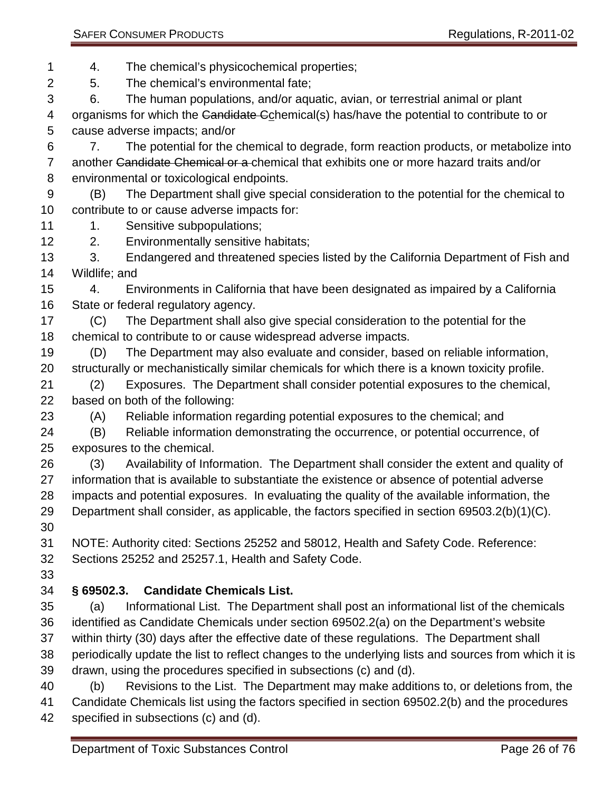4. The chemical's physicochemical properties;

5. The chemical's environmental fate;

6. The human populations, and/or aquatic, avian, or terrestrial animal or plant

4 organisms for which the Candidate Cchemical(s) has/have the potential to contribute to or cause adverse impacts; and/or

 7. The potential for the chemical to degrade, form reaction products, or metabolize into 7 another Candidate Chemical or a chemical that exhibits one or more hazard traits and/or environmental or toxicological endpoints.

 (B) The Department shall give special consideration to the potential for the chemical to contribute to or cause adverse impacts for:

- 11 1. Sensitive subpopulations;
- 2. Environmentally sensitive habitats;

13 3. Endangered and threatened species listed by the California Department of Fish and Wildlife; and

 4. Environments in California that have been designated as impaired by a California State or federal regulatory agency.

 (C) The Department shall also give special consideration to the potential for the chemical to contribute to or cause widespread adverse impacts.

 (D) The Department may also evaluate and consider, based on reliable information, structurally or mechanistically similar chemicals for which there is a known toxicity profile.

 (2) Exposures. The Department shall consider potential exposures to the chemical, based on both of the following:

(A) Reliable information regarding potential exposures to the chemical; and

 (B) Reliable information demonstrating the occurrence, or potential occurrence, of exposures to the chemical.

 (3) Availability of Information. The Department shall consider the extent and quality of information that is available to substantiate the existence or absence of potential adverse impacts and potential exposures. In evaluating the quality of the available information, the Department shall consider, as applicable, the factors specified in section 69503.2(b)(1)(C). 

 NOTE: Authority cited: Sections 25252 and 58012, Health and Safety Code. Reference: Sections 25252 and 25257.1, Health and Safety Code.

## <span id="page-25-0"></span>**§ 69502.3. Candidate Chemicals List.**

 (a) Informational List. The Department shall post an informational list of the chemicals identified as Candidate Chemicals under section 69502.2(a) on the Department's website within thirty (30) days after the effective date of these regulations. The Department shall periodically update the list to reflect changes to the underlying lists and sources from which it is drawn, using the procedures specified in subsections (c) and (d).

 (b) Revisions to the List. The Department may make additions to, or deletions from, the Candidate Chemicals list using the factors specified in section 69502.2(b) and the procedures specified in subsections (c) and (d).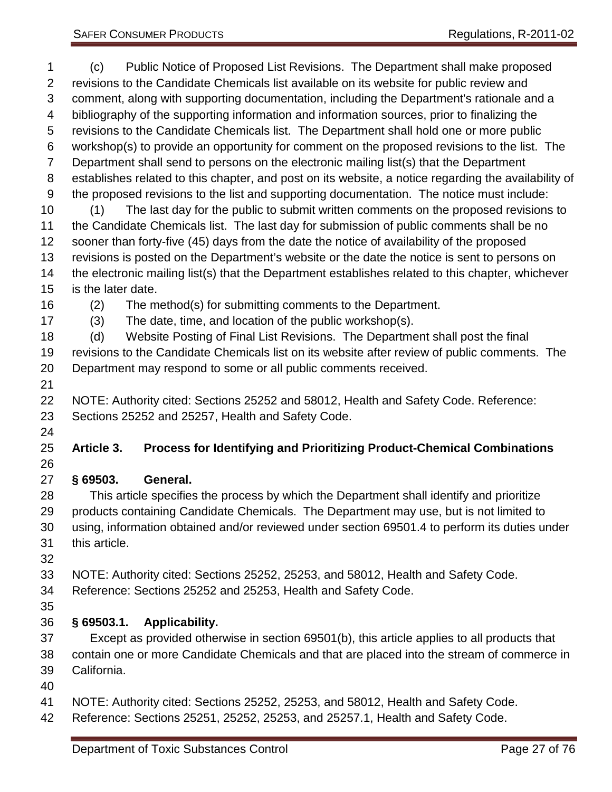<span id="page-26-2"></span><span id="page-26-1"></span><span id="page-26-0"></span> (c) Public Notice of Proposed List Revisions. The Department shall make proposed revisions to the Candidate Chemicals list available on its website for public review and comment, along with supporting documentation, including the Department's rationale and a bibliography of the supporting information and information sources, prior to finalizing the revisions to the Candidate Chemicals list. The Department shall hold one or more public workshop(s) to provide an opportunity for comment on the proposed revisions to the list. The Department shall send to persons on the electronic mailing list(s) that the Department establishes related to this chapter, and post on its website, a notice regarding the availability of the proposed revisions to the list and supporting documentation. The notice must include: (1) The last day for the public to submit written comments on the proposed revisions to the Candidate Chemicals list. The last day for submission of public comments shall be no sooner than forty-five (45) days from the date the notice of availability of the proposed revisions is posted on the Department's website or the date the notice is sent to persons on the electronic mailing list(s) that the Department establishes related to this chapter, whichever is the later date. (2) The method(s) for submitting comments to the Department. (3) The date, time, and location of the public workshop(s). (d) Website Posting of Final List Revisions. The Department shall post the final revisions to the Candidate Chemicals list on its website after review of public comments. The Department may respond to some or all public comments received. NOTE: Authority cited: Sections 25252 and 58012, Health and Safety Code. Reference: Sections 25252 and 25257, Health and Safety Code. **Article 3. Process for Identifying and Prioritizing Product-Chemical Combinations § 69503. General.** This article specifies the process by which the Department shall identify and prioritize products containing Candidate Chemicals. The Department may use, but is not limited to using, information obtained and/or reviewed under section 69501.4 to perform its duties under this article. NOTE: Authority cited: Sections 25252, 25253, and 58012, Health and Safety Code. Reference: Sections 25252 and 25253, Health and Safety Code. **§ 69503.1. Applicability.** Except as provided otherwise in section 69501(b), this article applies to all products that contain one or more Candidate Chemicals and that are placed into the stream of commerce in California. NOTE: Authority cited: Sections 25252, 25253, and 58012, Health and Safety Code. Reference: Sections 25251, 25252, 25253, and 25257.1, Health and Safety Code. Department of Toxic Substances Control Control Control Page 27 of 76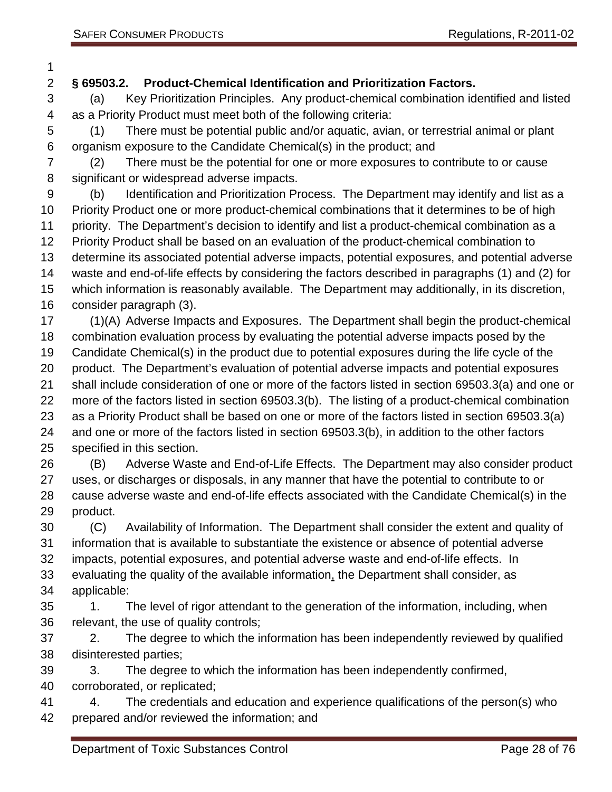## <span id="page-27-0"></span>**§ 69503.2. Product-Chemical Identification and Prioritization Factors.**

 (a) Key Prioritization Principles. Any product-chemical combination identified and listed as a Priority Product must meet both of the following criteria:

 (1) There must be potential public and/or aquatic, avian, or terrestrial animal or plant organism exposure to the Candidate Chemical(s) in the product; and

 (2) There must be the potential for one or more exposures to contribute to or cause significant or widespread adverse impacts.

 (b) Identification and Prioritization Process. The Department may identify and list as a Priority Product one or more product-chemical combinations that it determines to be of high priority. The Department's decision to identify and list a product-chemical combination as a Priority Product shall be based on an evaluation of the product-chemical combination to determine its associated potential adverse impacts, potential exposures, and potential adverse waste and end-of-life effects by considering the factors described in paragraphs (1) and (2) for which information is reasonably available. The Department may additionally, in its discretion, consider paragraph (3).

 (1)(A) Adverse Impacts and Exposures. The Department shall begin the product-chemical combination evaluation process by evaluating the potential adverse impacts posed by the

 Candidate Chemical(s) in the product due to potential exposures during the life cycle of the product. The Department's evaluation of potential adverse impacts and potential exposures

shall include consideration of one or more of the factors listed in section 69503.3(a) and one or

more of the factors listed in section 69503.3(b). The listing of a product-chemical combination

as a Priority Product shall be based on one or more of the factors listed in section 69503.3(a)

 and one or more of the factors listed in section 69503.3(b), in addition to the other factors specified in this section.

 (B) Adverse Waste and End-of-Life Effects. The Department may also consider product uses, or discharges or disposals, in any manner that have the potential to contribute to or cause adverse waste and end-of-life effects associated with the Candidate Chemical(s) in the product.

 (C) Availability of Information. The Department shall consider the extent and quality of information that is available to substantiate the existence or absence of potential adverse impacts, potential exposures, and potential adverse waste and end-of-life effects. In

 evaluating the quality of the available information, the Department shall consider, as applicable:

35 1. The level of rigor attendant to the generation of the information, including, when relevant, the use of quality controls;

 2. The degree to which the information has been independently reviewed by qualified disinterested parties;

3. The degree to which the information has been independently confirmed,

corroborated, or replicated;

 4. The credentials and education and experience qualifications of the person(s) who prepared and/or reviewed the information; and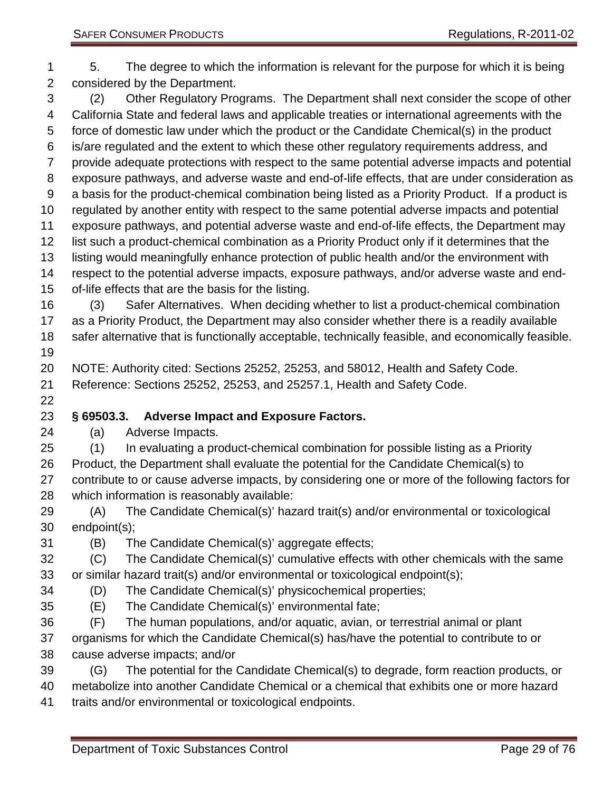5. The degree to which the information is relevant for the purpose for which it is being considered by the Department. (2) Other Regulatory Programs. The Department shall next consider the scope of other California State and federal laws and applicable treaties or international agreements with the force of domestic law under which the product or the Candidate Chemical(s) in the product is/are regulated and the extent to which these other regulatory requirements address, and provide adequate protections with respect to the same potential adverse impacts and potential exposure pathways, and adverse waste and end-of-life effects, that are under consideration as a basis for the product-chemical combination being listed as a Priority Product. If a product is regulated by another entity with respect to the same potential adverse impacts and potential exposure pathways, and potential adverse waste and end-of-life effects, the Department may list such a product-chemical combination as a Priority Product only if it determines that the listing would meaningfully enhance protection of public health and/or the environment with respect to the potential adverse impacts, exposure pathways, and/or adverse waste and end- of-life effects that are the basis for the listing. (3) Safer Alternatives. When deciding whether to list a product-chemical combination as a Priority Product, the Department may also consider whether there is a readily available safer alternative that is functionally acceptable, technically feasible, and economically feasible. NOTE: Authority cited: Sections 25252, 25253, and 58012, Health and Safety Code. Reference: Sections 25252, 25253, and 25257.1, Health and Safety Code.

## <span id="page-28-0"></span>**§ 69503.3. Adverse Impact and Exposure Factors.**

(a) Adverse Impacts.

(1) In evaluating a product-chemical combination for possible listing as a Priority

 Product, the Department shall evaluate the potential for the Candidate Chemical(s) to contribute to or cause adverse impacts, by considering one or more of the following factors for which information is reasonably available:

 (A) The Candidate Chemical(s)' hazard trait(s) and/or environmental or toxicological endpoint(s);

(B) The Candidate Chemical(s)' aggregate effects;

 (C) The Candidate Chemical(s)' cumulative effects with other chemicals with the same or similar hazard trait(s) and/or environmental or toxicological endpoint(s);

- (D) The Candidate Chemical(s)' physicochemical properties;
- (E) The Candidate Chemical(s)' environmental fate;
- (F) The human populations, and/or aquatic, avian, or terrestrial animal or plant
- organisms for which the Candidate Chemical(s) has/have the potential to contribute to or cause adverse impacts; and/or

 (G) The potential for the Candidate Chemical(s) to degrade, form reaction products, or metabolize into another Candidate Chemical or a chemical that exhibits one or more hazard traits and/or environmental or toxicological endpoints.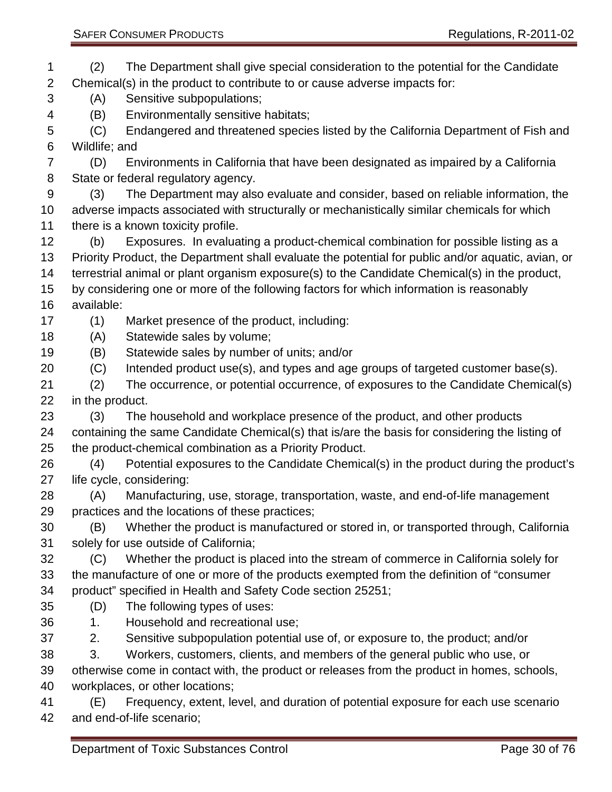| <b>SAFER CONSUMER PRODUCTS</b> |  |
|--------------------------------|--|
|                                |  |

 (2) The Department shall give special consideration to the potential for the Candidate Chemical(s) in the product to contribute to or cause adverse impacts for: (A) Sensitive subpopulations; (B) Environmentally sensitive habitats; (C) Endangered and threatened species listed by the California Department of Fish and Wildlife; and (D) Environments in California that have been designated as impaired by a California State or federal regulatory agency. (3) The Department may also evaluate and consider, based on reliable information, the adverse impacts associated with structurally or mechanistically similar chemicals for which 11 there is a known toxicity profile. (b) Exposures. In evaluating a product-chemical combination for possible listing as a Priority Product, the Department shall evaluate the potential for public and/or aquatic, avian, or terrestrial animal or plant organism exposure(s) to the Candidate Chemical(s) in the product, by considering one or more of the following factors for which information is reasonably available: (1) Market presence of the product, including: (A) Statewide sales by volume; (B) Statewide sales by number of units; and/or (C) Intended product use(s), and types and age groups of targeted customer base(s). (2) The occurrence, or potential occurrence, of exposures to the Candidate Chemical(s) in the product. (3) The household and workplace presence of the product, and other products containing the same Candidate Chemical(s) that is/are the basis for considering the listing of the product-chemical combination as a Priority Product. (4) Potential exposures to the Candidate Chemical(s) in the product during the product's life cycle, considering: (A) Manufacturing, use, storage, transportation, waste, and end-of-life management practices and the locations of these practices; (B) Whether the product is manufactured or stored in, or transported through, California solely for use outside of California; (C) Whether the product is placed into the stream of commerce in California solely for the manufacture of one or more of the products exempted from the definition of "consumer product" specified in Health and Safety Code section 25251; (D) The following types of uses: 1. Household and recreational use; 2. Sensitive subpopulation potential use of, or exposure to, the product; and/or 3. Workers, customers, clients, and members of the general public who use, or otherwise come in contact with, the product or releases from the product in homes, schools, workplaces, or other locations; (E) Frequency, extent, level, and duration of potential exposure for each use scenario and end-of-life scenario;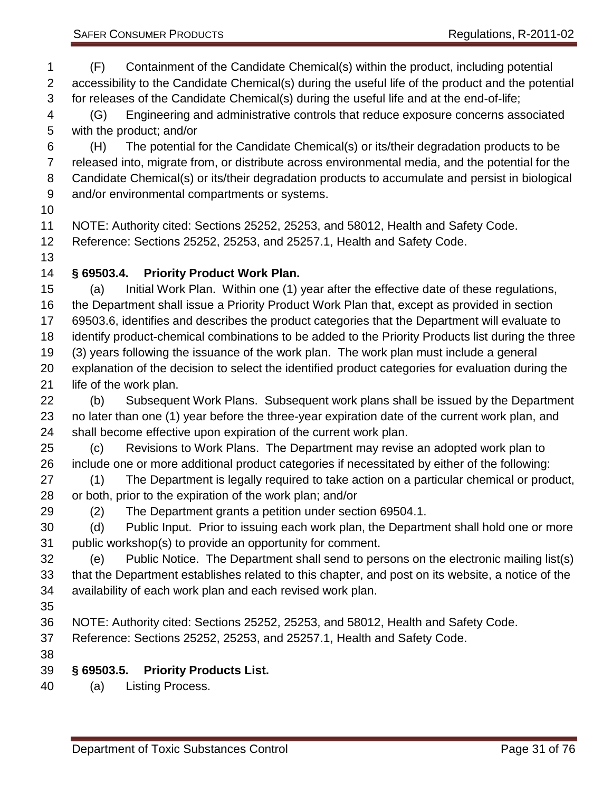(F) Containment of the Candidate Chemical(s) within the product, including potential accessibility to the Candidate Chemical(s) during the useful life of the product and the potential for releases of the Candidate Chemical(s) during the useful life and at the end-of-life;

 (G) Engineering and administrative controls that reduce exposure concerns associated with the product; and/or

 (H) The potential for the Candidate Chemical(s) or its/their degradation products to be released into, migrate from, or distribute across environmental media, and the potential for the Candidate Chemical(s) or its/their degradation products to accumulate and persist in biological and/or environmental compartments or systems.

NOTE: Authority cited: Sections 25252, 25253, and 58012, Health and Safety Code.

Reference: Sections 25252, 25253, and 25257.1, Health and Safety Code.

## <span id="page-30-0"></span>**§ 69503.4. Priority Product Work Plan.**

 (a) Initial Work Plan. Within one (1) year after the effective date of these regulations, the Department shall issue a Priority Product Work Plan that, except as provided in section 69503.6, identifies and describes the product categories that the Department will evaluate to identify product-chemical combinations to be added to the Priority Products list during the three (3) years following the issuance of the work plan. The work plan must include a general explanation of the decision to select the identified product categories for evaluation during the life of the work plan.

 (b) Subsequent Work Plans. Subsequent work plans shall be issued by the Department no later than one (1) year before the three-year expiration date of the current work plan, and shall become effective upon expiration of the current work plan.

 (c) Revisions to Work Plans. The Department may revise an adopted work plan to include one or more additional product categories if necessitated by either of the following:

 (1) The Department is legally required to take action on a particular chemical or product, or both, prior to the expiration of the work plan; and/or

(2) The Department grants a petition under section 69504.1.

 (d) Public Input. Prior to issuing each work plan, the Department shall hold one or more public workshop(s) to provide an opportunity for comment.

 (e) Public Notice. The Department shall send to persons on the electronic mailing list(s) that the Department establishes related to this chapter, and post on its website, a notice of the availability of each work plan and each revised work plan.

NOTE: Authority cited: Sections 25252, 25253, and 58012, Health and Safety Code.

Reference: Sections 25252, 25253, and 25257.1, Health and Safety Code.

## <span id="page-30-1"></span>**§ 69503.5. Priority Products List.**

(a) Listing Process.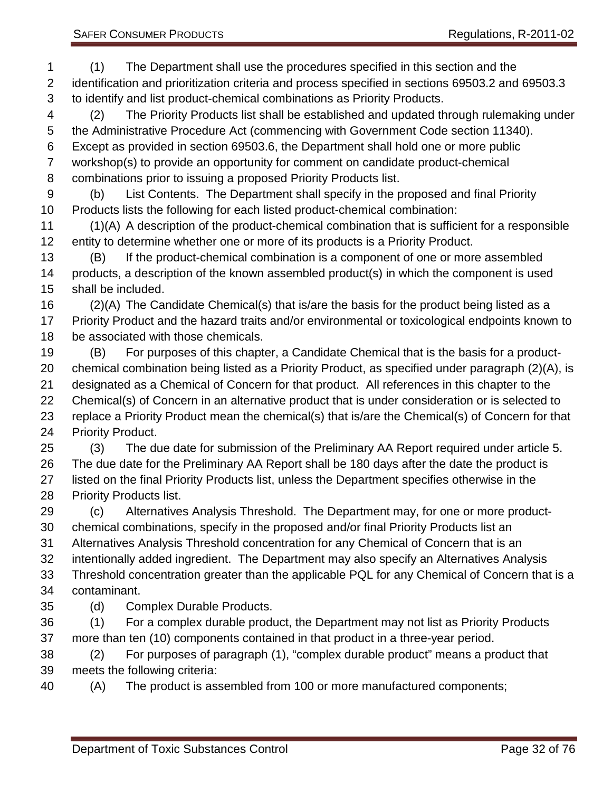(1) The Department shall use the procedures specified in this section and the identification and prioritization criteria and process specified in sections 69503.2 and 69503.3 to identify and list product-chemical combinations as Priority Products. (2) The Priority Products list shall be established and updated through rulemaking under the Administrative Procedure Act (commencing with Government Code section 11340). Except as provided in section 69503.6, the Department shall hold one or more public workshop(s) to provide an opportunity for comment on candidate product-chemical combinations prior to issuing a proposed Priority Products list. (b) List Contents. The Department shall specify in the proposed and final Priority Products lists the following for each listed product-chemical combination: (1)(A) A description of the product-chemical combination that is sufficient for a responsible entity to determine whether one or more of its products is a Priority Product. (B) If the product-chemical combination is a component of one or more assembled products, a description of the known assembled product(s) in which the component is used shall be included. (2)(A) The Candidate Chemical(s) that is/are the basis for the product being listed as a Priority Product and the hazard traits and/or environmental or toxicological endpoints known to be associated with those chemicals. (B) For purposes of this chapter, a Candidate Chemical that is the basis for a product- chemical combination being listed as a Priority Product, as specified under paragraph (2)(A), is designated as a Chemical of Concern for that product. All references in this chapter to the Chemical(s) of Concern in an alternative product that is under consideration or is selected to replace a Priority Product mean the chemical(s) that is/are the Chemical(s) of Concern for that Priority Product. (3) The due date for submission of the Preliminary AA Report required under article 5. The due date for the Preliminary AA Report shall be 180 days after the date the product is listed on the final Priority Products list, unless the Department specifies otherwise in the Priority Products list. (c) Alternatives Analysis Threshold. The Department may, for one or more product- chemical combinations, specify in the proposed and/or final Priority Products list an Alternatives Analysis Threshold concentration for any Chemical of Concern that is an intentionally added ingredient. The Department may also specify an Alternatives Analysis Threshold concentration greater than the applicable PQL for any Chemical of Concern that is a contaminant. (d) Complex Durable Products. (1) For a complex durable product, the Department may not list as Priority Products more than ten (10) components contained in that product in a three-year period. (2) For purposes of paragraph (1), "complex durable product" means a product that meets the following criteria:

(A) The product is assembled from 100 or more manufactured components;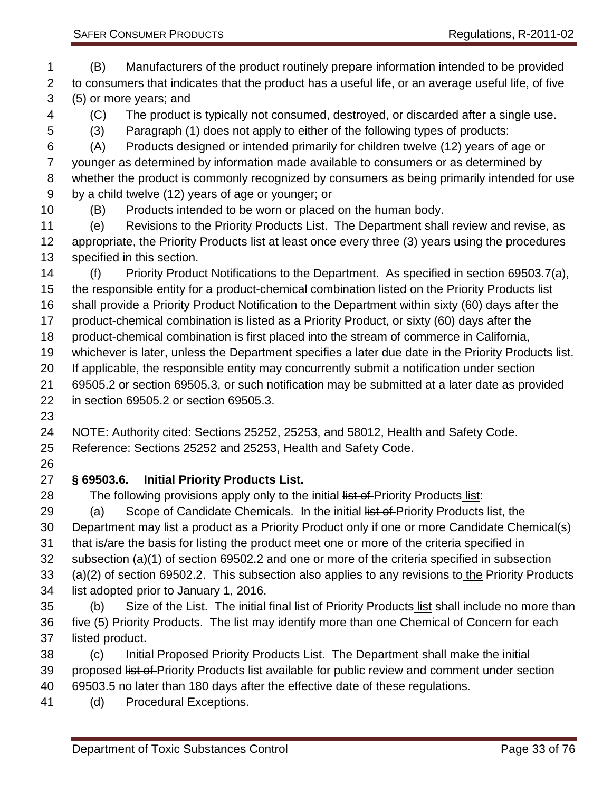(B) Manufacturers of the product routinely prepare information intended to be provided to consumers that indicates that the product has a useful life, or an average useful life, of five (5) or more years; and

(C) The product is typically not consumed, destroyed, or discarded after a single use.

(3) Paragraph (1) does not apply to either of the following types of products:

 (A) Products designed or intended primarily for children twelve (12) years of age or younger as determined by information made available to consumers or as determined by whether the product is commonly recognized by consumers as being primarily intended for use by a child twelve (12) years of age or younger; or

(B) Products intended to be worn or placed on the human body.

 (e) Revisions to the Priority Products List. The Department shall review and revise, as appropriate, the Priority Products list at least once every three (3) years using the procedures specified in this section.

 (f) Priority Product Notifications to the Department. As specified in section 69503.7(a), the responsible entity for a product-chemical combination listed on the Priority Products list

shall provide a Priority Product Notification to the Department within sixty (60) days after the

product-chemical combination is listed as a Priority Product, or sixty (60) days after the

product-chemical combination is first placed into the stream of commerce in California,

whichever is later, unless the Department specifies a later due date in the Priority Products list.

If applicable, the responsible entity may concurrently submit a notification under section

 69505.2 or section 69505.3, or such notification may be submitted at a later date as provided in section 69505.2 or section 69505.3.

NOTE: Authority cited: Sections 25252, 25253, and 58012, Health and Safety Code.

Reference: Sections 25252 and 25253, Health and Safety Code.

# <span id="page-32-0"></span>**§ 69503.6. Initial Priority Products List.**

28 The following provisions apply only to the initial list of Priority Products list:

29 (a) Scope of Candidate Chemicals. In the initial list of Priority Products list, the

 Department may list a product as a Priority Product only if one or more Candidate Chemical(s) that is/are the basis for listing the product meet one or more of the criteria specified in

subsection (a)(1) of section 69502.2 and one or more of the criteria specified in subsection

33 (a)(2) of section 69502.2. This subsection also applies to any revisions to the Priority Products list adopted prior to January 1, 2016.

35 (b) Size of the List. The initial final list of Priority Products list shall include no more than five (5) Priority Products. The list may identify more than one Chemical of Concern for each listed product.

 (c) Initial Proposed Priority Products List. The Department shall make the initial 39 proposed list of Priority Products list available for public review and comment under section 69503.5 no later than 180 days after the effective date of these regulations.

(d) Procedural Exceptions.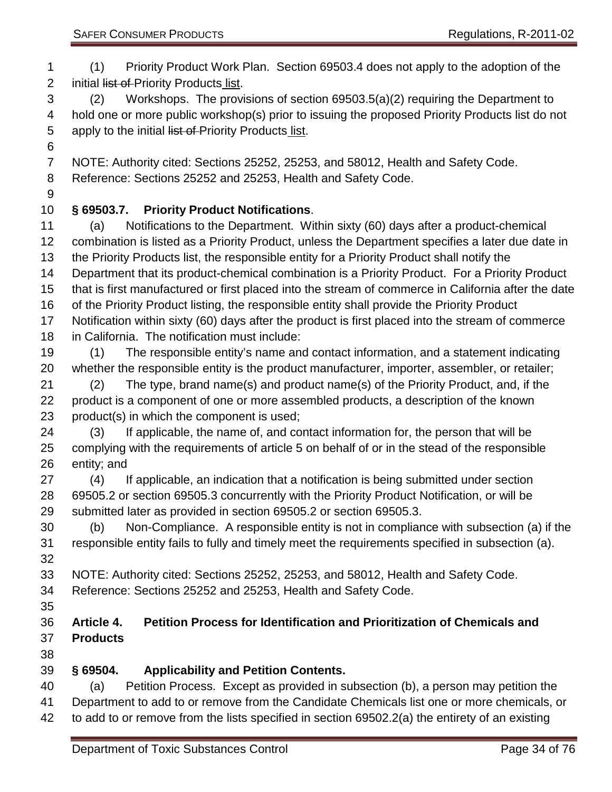<span id="page-33-2"></span><span id="page-33-1"></span><span id="page-33-0"></span> (1) Priority Product Work Plan. Section 69503.4 does not apply to the adoption of the 2 initial list of Priority Products list. (2) Workshops. The provisions of section 69503.5(a)(2) requiring the Department to hold one or more public workshop(s) prior to issuing the proposed Priority Products list do not 5 apply to the initial list of Priority Products list. NOTE: Authority cited: Sections 25252, 25253, and 58012, Health and Safety Code. Reference: Sections 25252 and 25253, Health and Safety Code. **§ 69503.7. Priority Product Notifications**. (a) Notifications to the Department. Within sixty (60) days after a product-chemical combination is listed as a Priority Product, unless the Department specifies a later due date in the Priority Products list, the responsible entity for a Priority Product shall notify the Department that its product-chemical combination is a Priority Product. For a Priority Product that is first manufactured or first placed into the stream of commerce in California after the date of the Priority Product listing, the responsible entity shall provide the Priority Product Notification within sixty (60) days after the product is first placed into the stream of commerce in California. The notification must include: (1) The responsible entity's name and contact information, and a statement indicating whether the responsible entity is the product manufacturer, importer, assembler, or retailer; (2) The type, brand name(s) and product name(s) of the Priority Product, and, if the product is a component of one or more assembled products, a description of the known product(s) in which the component is used; (3) If applicable, the name of, and contact information for, the person that will be complying with the requirements of article 5 on behalf of or in the stead of the responsible entity; and (4) If applicable, an indication that a notification is being submitted under section 69505.2 or section 69505.3 concurrently with the Priority Product Notification, or will be submitted later as provided in section 69505.2 or section 69505.3. (b) Non-Compliance. A responsible entity is not in compliance with subsection (a) if the responsible entity fails to fully and timely meet the requirements specified in subsection (a). NOTE: Authority cited: Sections 25252, 25253, and 58012, Health and Safety Code. Reference: Sections 25252 and 25253, Health and Safety Code. **Article 4. Petition Process for Identification and Prioritization of Chemicals and Products § 69504. Applicability and Petition Contents.** (a) Petition Process. Except as provided in subsection (b), a person may petition the Department to add to or remove from the Candidate Chemicals list one or more chemicals, or to add to or remove from the lists specified in section 69502.2(a) the entirety of an existing Department of Toxic Substances Control Control Control Page 34 of 76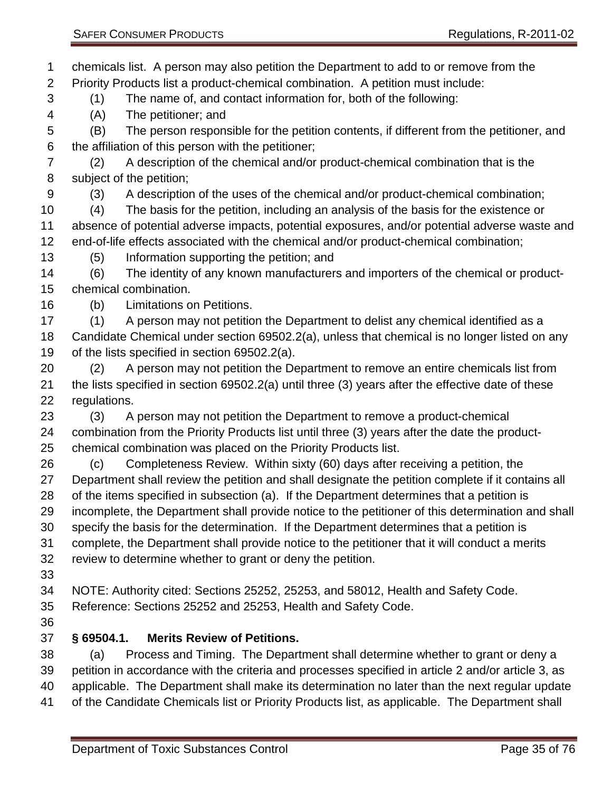<span id="page-34-0"></span> chemicals list. A person may also petition the Department to add to or remove from the Priority Products list a product-chemical combination. A petition must include: (1) The name of, and contact information for, both of the following: (A) The petitioner; and (B) The person responsible for the petition contents, if different from the petitioner, and the affiliation of this person with the petitioner; (2) A description of the chemical and/or product-chemical combination that is the subject of the petition; (3) A description of the uses of the chemical and/or product-chemical combination; (4) The basis for the petition, including an analysis of the basis for the existence or absence of potential adverse impacts, potential exposures, and/or potential adverse waste and end-of-life effects associated with the chemical and/or product-chemical combination; (5) Information supporting the petition; and (6) The identity of any known manufacturers and importers of the chemical or product- chemical combination. (b) Limitations on Petitions. (1) A person may not petition the Department to delist any chemical identified as a Candidate Chemical under section 69502.2(a), unless that chemical is no longer listed on any of the lists specified in section 69502.2(a). (2) A person may not petition the Department to remove an entire chemicals list from the lists specified in section 69502.2(a) until three (3) years after the effective date of these regulations. (3) A person may not petition the Department to remove a product-chemical combination from the Priority Products list until three (3) years after the date the product- chemical combination was placed on the Priority Products list. (c) Completeness Review. Within sixty (60) days after receiving a petition, the Department shall review the petition and shall designate the petition complete if it contains all of the items specified in subsection (a). If the Department determines that a petition is incomplete, the Department shall provide notice to the petitioner of this determination and shall specify the basis for the determination. If the Department determines that a petition is complete, the Department shall provide notice to the petitioner that it will conduct a merits review to determine whether to grant or deny the petition. NOTE: Authority cited: Sections 25252, 25253, and 58012, Health and Safety Code. Reference: Sections 25252 and 25253, Health and Safety Code. **§ 69504.1. Merits Review of Petitions.**  (a) Process and Timing. The Department shall determine whether to grant or deny a petition in accordance with the criteria and processes specified in article 2 and/or article 3, as applicable. The Department shall make its determination no later than the next regular update of the Candidate Chemicals list or Priority Products list, as applicable. The Department shall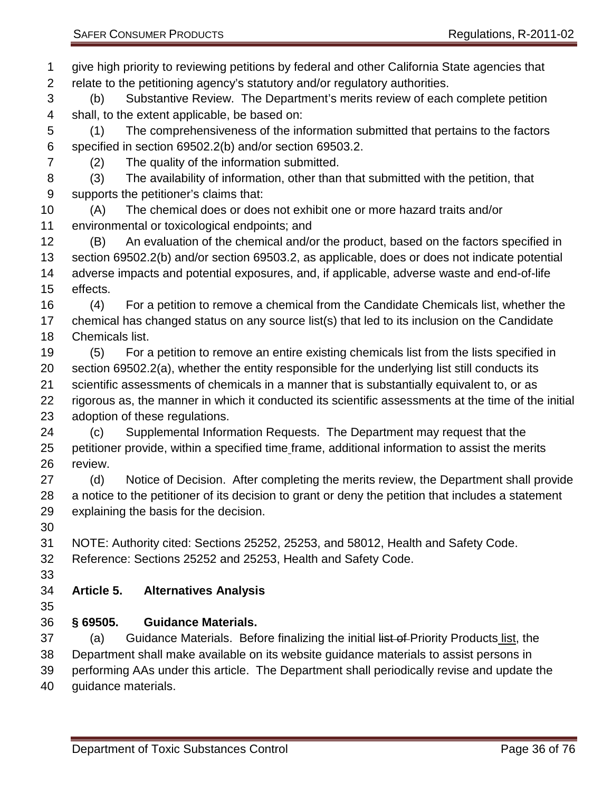give high priority to reviewing petitions by federal and other California State agencies that relate to the petitioning agency's statutory and/or regulatory authorities. (b) Substantive Review. The Department's merits review of each complete petition shall, to the extent applicable, be based on: (1) The comprehensiveness of the information submitted that pertains to the factors specified in section 69502.2(b) and/or section 69503.2. (2) The quality of the information submitted. (3) The availability of information, other than that submitted with the petition, that supports the petitioner's claims that: (A) The chemical does or does not exhibit one or more hazard traits and/or environmental or toxicological endpoints; and (B) An evaluation of the chemical and/or the product, based on the factors specified in section 69502.2(b) and/or section 69503.2, as applicable, does or does not indicate potential adverse impacts and potential exposures, and, if applicable, adverse waste and end-of-life effects. (4) For a petition to remove a chemical from the Candidate Chemicals list, whether the chemical has changed status on any source list(s) that led to its inclusion on the Candidate Chemicals list. (5) For a petition to remove an entire existing chemicals list from the lists specified in section 69502.2(a), whether the entity responsible for the underlying list still conducts its scientific assessments of chemicals in a manner that is substantially equivalent to, or as rigorous as, the manner in which it conducted its scientific assessments at the time of the initial adoption of these regulations. (c) Supplemental Information Requests. The Department may request that the petitioner provide, within a specified time frame, additional information to assist the merits review. (d) Notice of Decision. After completing the merits review, the Department shall provide a notice to the petitioner of its decision to grant or deny the petition that includes a statement explaining the basis for the decision. NOTE: Authority cited: Sections 25252, 25253, and 58012, Health and Safety Code. Reference: Sections 25252 and 25253, Health and Safety Code. **Article 5. Alternatives Analysis § 69505. Guidance Materials.**  37 (a) Guidance Materials. Before finalizing the initial list of Priority Products list, the Department shall make available on its website guidance materials to assist persons in performing AAs under this article. The Department shall periodically revise and update the

<span id="page-35-1"></span><span id="page-35-0"></span>guidance materials.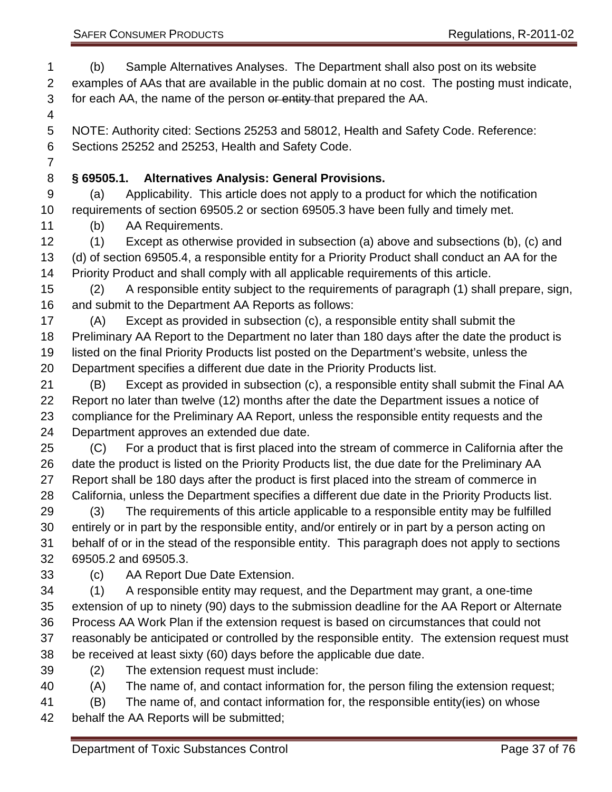(b) Sample Alternatives Analyses. The Department shall also post on its website examples of AAs that are available in the public domain at no cost. The posting must indicate, 3 for each AA, the name of the person or entity that prepared the AA.

 NOTE: Authority cited: Sections 25253 and 58012, Health and Safety Code. Reference: Sections 25252 and 25253, Health and Safety Code.

### **§ 69505.1. Alternatives Analysis: General Provisions.**

 (a) Applicability. This article does not apply to a product for which the notification requirements of section 69505.2 or section 69505.3 have been fully and timely met.

(b) AA Requirements.

 (1) Except as otherwise provided in subsection (a) above and subsections (b), (c) and (d) of section 69505.4, a responsible entity for a Priority Product shall conduct an AA for the Priority Product and shall comply with all applicable requirements of this article.

 (2) A responsible entity subject to the requirements of paragraph (1) shall prepare, sign, and submit to the Department AA Reports as follows:

 (A) Except as provided in subsection (c), a responsible entity shall submit the Preliminary AA Report to the Department no later than 180 days after the date the product is listed on the final Priority Products list posted on the Department's website, unless the

Department specifies a different due date in the Priority Products list.

 (B) Except as provided in subsection (c), a responsible entity shall submit the Final AA Report no later than twelve (12) months after the date the Department issues a notice of compliance for the Preliminary AA Report, unless the responsible entity requests and the Department approves an extended due date.

 (C) For a product that is first placed into the stream of commerce in California after the date the product is listed on the Priority Products list, the due date for the Preliminary AA Report shall be 180 days after the product is first placed into the stream of commerce in California, unless the Department specifies a different due date in the Priority Products list.

 (3) The requirements of this article applicable to a responsible entity may be fulfilled entirely or in part by the responsible entity, and/or entirely or in part by a person acting on behalf of or in the stead of the responsible entity. This paragraph does not apply to sections 69505.2 and 69505.3.

(c) AA Report Due Date Extension.

 (1) A responsible entity may request, and the Department may grant, a one-time extension of up to ninety (90) days to the submission deadline for the AA Report or Alternate Process AA Work Plan if the extension request is based on circumstances that could not reasonably be anticipated or controlled by the responsible entity. The extension request must be received at least sixty (60) days before the applicable due date.

- (2) The extension request must include:
- (A) The name of, and contact information for, the person filing the extension request;

(B) The name of, and contact information for, the responsible entity(ies) on whose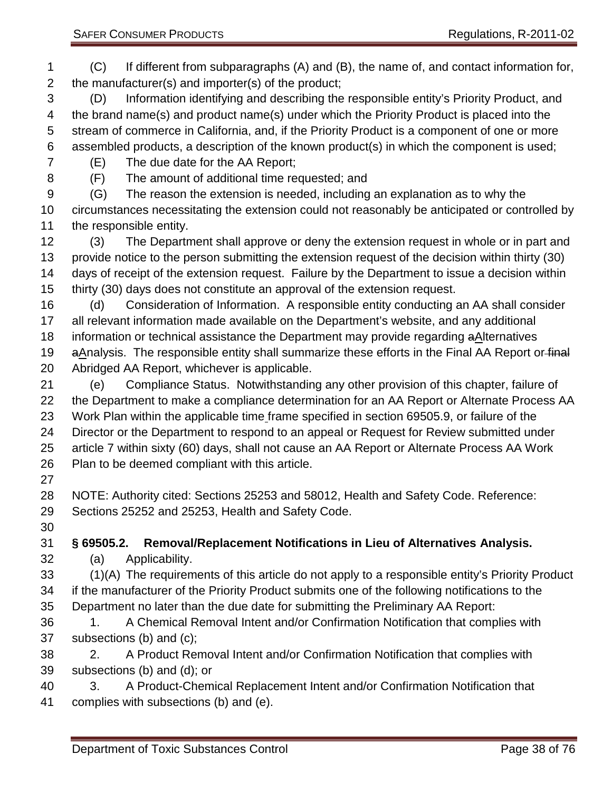(C) If different from subparagraphs (A) and (B), the name of, and contact information for, the manufacturer(s) and importer(s) of the product;

 (D) Information identifying and describing the responsible entity's Priority Product, and the brand name(s) and product name(s) under which the Priority Product is placed into the stream of commerce in California, and, if the Priority Product is a component of one or more assembled products, a description of the known product(s) in which the component is used;

(E) The due date for the AA Report;

(F) The amount of additional time requested; and

 (G) The reason the extension is needed, including an explanation as to why the circumstances necessitating the extension could not reasonably be anticipated or controlled by the responsible entity.

 (3) The Department shall approve or deny the extension request in whole or in part and provide notice to the person submitting the extension request of the decision within thirty (30) days of receipt of the extension request. Failure by the Department to issue a decision within thirty (30) days does not constitute an approval of the extension request.

 (d) Consideration of Information. A responsible entity conducting an AA shall consider all relevant information made available on the Department's website, and any additional information or technical assistance the Department may provide regarding aAlternatives 19 aAnalysis. The responsible entity shall summarize these efforts in the Final AA Report or final

Abridged AA Report, whichever is applicable.

 (e) Compliance Status. Notwithstanding any other provision of this chapter, failure of the Department to make a compliance determination for an AA Report or Alternate Process AA Work Plan within the applicable time frame specified in section 69505.9, or failure of the Director or the Department to respond to an appeal or Request for Review submitted under article 7 within sixty (60) days, shall not cause an AA Report or Alternate Process AA Work Plan to be deemed compliant with this article.

 NOTE: Authority cited: Sections 25253 and 58012, Health and Safety Code. Reference: Sections 25252 and 25253, Health and Safety Code.

**§ 69505.2. Removal/Replacement Notifications in Lieu of Alternatives Analysis.**

(a) Applicability.

 (1)(A) The requirements of this article do not apply to a responsible entity's Priority Product if the manufacturer of the Priority Product submits one of the following notifications to the Department no later than the due date for submitting the Preliminary AA Report:

 1. A Chemical Removal Intent and/or Confirmation Notification that complies with subsections (b) and (c);

 2. A Product Removal Intent and/or Confirmation Notification that complies with subsections (b) and (d); or

 3. A Product-Chemical Replacement Intent and/or Confirmation Notification that complies with subsections (b) and (e).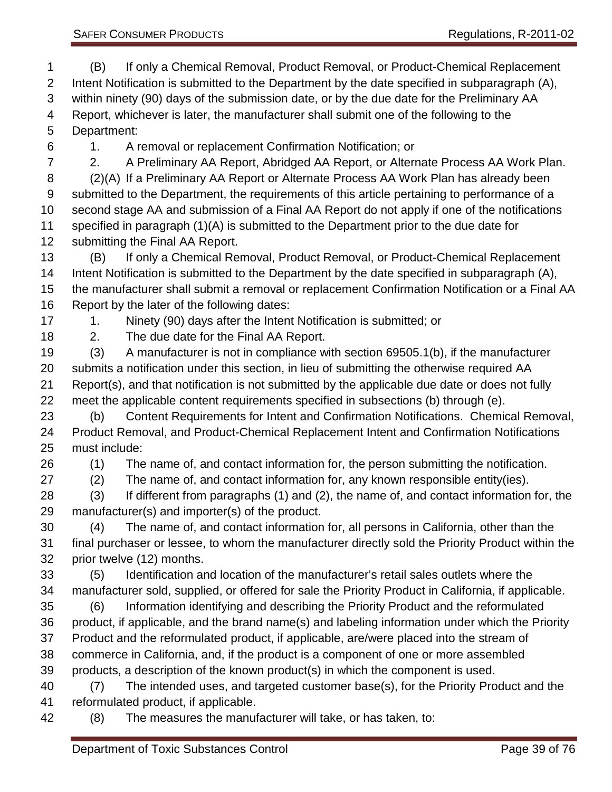(B) If only a Chemical Removal, Product Removal, or Product-Chemical Replacement Intent Notification is submitted to the Department by the date specified in subparagraph (A), within ninety (90) days of the submission date, or by the due date for the Preliminary AA Report, whichever is later, the manufacturer shall submit one of the following to the Department:

1. A removal or replacement Confirmation Notification; or

 2. A Preliminary AA Report, Abridged AA Report, or Alternate Process AA Work Plan. (2)(A) If a Preliminary AA Report or Alternate Process AA Work Plan has already been submitted to the Department, the requirements of this article pertaining to performance of a second stage AA and submission of a Final AA Report do not apply if one of the notifications specified in paragraph (1)(A) is submitted to the Department prior to the due date for submitting the Final AA Report.

 (B) If only a Chemical Removal, Product Removal, or Product-Chemical Replacement Intent Notification is submitted to the Department by the date specified in subparagraph (A), the manufacturer shall submit a removal or replacement Confirmation Notification or a Final AA Report by the later of the following dates:

17 1. Ninety (90) days after the Intent Notification is submitted; or

2. The due date for the Final AA Report.

 (3) A manufacturer is not in compliance with section 69505.1(b), if the manufacturer submits a notification under this section, in lieu of submitting the otherwise required AA Report(s), and that notification is not submitted by the applicable due date or does not fully meet the applicable content requirements specified in subsections (b) through (e).

 (b) Content Requirements for Intent and Confirmation Notifications. Chemical Removal, Product Removal, and Product-Chemical Replacement Intent and Confirmation Notifications must include:

(1) The name of, and contact information for, the person submitting the notification.

(2) The name of, and contact information for, any known responsible entity(ies).

 (3) If different from paragraphs (1) and (2), the name of, and contact information for, the manufacturer(s) and importer(s) of the product.

 (4) The name of, and contact information for, all persons in California, other than the final purchaser or lessee, to whom the manufacturer directly sold the Priority Product within the prior twelve (12) months.

 (5) Identification and location of the manufacturer's retail sales outlets where the manufacturer sold, supplied, or offered for sale the Priority Product in California, if applicable. (6) Information identifying and describing the Priority Product and the reformulated

 product, if applicable, and the brand name(s) and labeling information under which the Priority Product and the reformulated product, if applicable, are/were placed into the stream of commerce in California, and, if the product is a component of one or more assembled

products, a description of the known product(s) in which the component is used.

 (7) The intended uses, and targeted customer base(s), for the Priority Product and the reformulated product, if applicable.

(8) The measures the manufacturer will take, or has taken, to: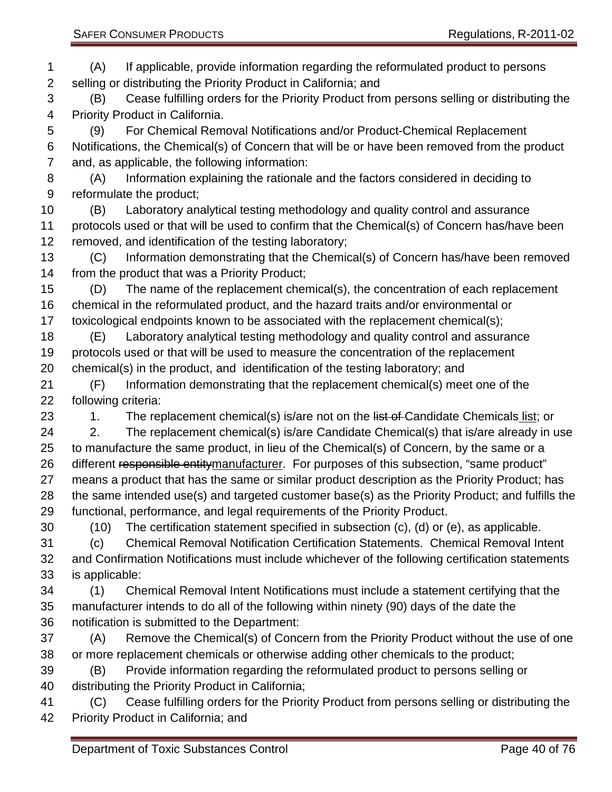selling or distributing the Priority Product in California; and

 (B) Cease fulfilling orders for the Priority Product from persons selling or distributing the Priority Product in California.

 (9) For Chemical Removal Notifications and/or Product-Chemical Replacement Notifications, the Chemical(s) of Concern that will be or have been removed from the product and, as applicable, the following information:

 (A) Information explaining the rationale and the factors considered in deciding to reformulate the product;

 (B) Laboratory analytical testing methodology and quality control and assurance protocols used or that will be used to confirm that the Chemical(s) of Concern has/have been removed, and identification of the testing laboratory;

 (C) Information demonstrating that the Chemical(s) of Concern has/have been removed from the product that was a Priority Product;

 (D) The name of the replacement chemical(s), the concentration of each replacement chemical in the reformulated product, and the hazard traits and/or environmental or toxicological endpoints known to be associated with the replacement chemical(s);

 (E) Laboratory analytical testing methodology and quality control and assurance protocols used or that will be used to measure the concentration of the replacement chemical(s) in the product, and identification of the testing laboratory; and

 (F) Information demonstrating that the replacement chemical(s) meet one of the following criteria:

23 1. The replacement chemical(s) is/are not on the list of Candidate Chemicals list; or

24 2. The replacement chemical(s) is/are Candidate Chemical(s) that is/are already in use to manufacture the same product, in lieu of the Chemical(s) of Concern, by the same or a 26 different responsible entitymanufacturer. For purposes of this subsection, "same product" means a product that has the same or similar product description as the Priority Product; has the same intended use(s) and targeted customer base(s) as the Priority Product; and fulfills the functional, performance, and legal requirements of the Priority Product.

(10) The certification statement specified in subsection (c), (d) or (e), as applicable.

 (c) Chemical Removal Notification Certification Statements. Chemical Removal Intent and Confirmation Notifications must include whichever of the following certification statements is applicable:

 (1) Chemical Removal Intent Notifications must include a statement certifying that the manufacturer intends to do all of the following within ninety (90) days of the date the notification is submitted to the Department:

 (A) Remove the Chemical(s) of Concern from the Priority Product without the use of one or more replacement chemicals or otherwise adding other chemicals to the product;

 (B) Provide information regarding the reformulated product to persons selling or distributing the Priority Product in California;

 (C) Cease fulfilling orders for the Priority Product from persons selling or distributing the Priority Product in California; and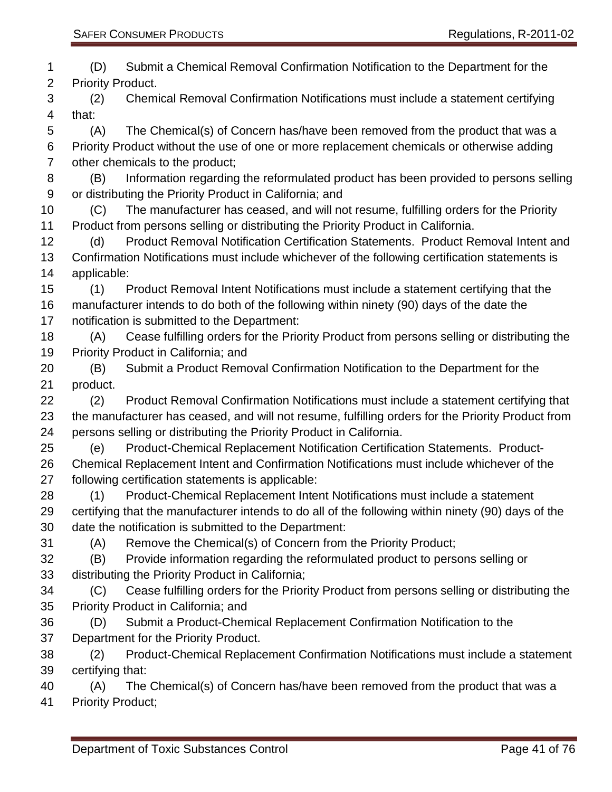(D) Submit a Chemical Removal Confirmation Notification to the Department for the Priority Product. (2) Chemical Removal Confirmation Notifications must include a statement certifying that: (A) The Chemical(s) of Concern has/have been removed from the product that was a Priority Product without the use of one or more replacement chemicals or otherwise adding other chemicals to the product; (B) Information regarding the reformulated product has been provided to persons selling or distributing the Priority Product in California; and (C) The manufacturer has ceased, and will not resume, fulfilling orders for the Priority Product from persons selling or distributing the Priority Product in California. (d) Product Removal Notification Certification Statements. Product Removal Intent and Confirmation Notifications must include whichever of the following certification statements is applicable: (1) Product Removal Intent Notifications must include a statement certifying that the manufacturer intends to do both of the following within ninety (90) days of the date the notification is submitted to the Department: (A) Cease fulfilling orders for the Priority Product from persons selling or distributing the Priority Product in California; and (B) Submit a Product Removal Confirmation Notification to the Department for the product. (2) Product Removal Confirmation Notifications must include a statement certifying that the manufacturer has ceased, and will not resume, fulfilling orders for the Priority Product from persons selling or distributing the Priority Product in California. (e) Product-Chemical Replacement Notification Certification Statements. Product- Chemical Replacement Intent and Confirmation Notifications must include whichever of the following certification statements is applicable: (1) Product-Chemical Replacement Intent Notifications must include a statement certifying that the manufacturer intends to do all of the following within ninety (90) days of the date the notification is submitted to the Department: (A) Remove the Chemical(s) of Concern from the Priority Product; (B) Provide information regarding the reformulated product to persons selling or distributing the Priority Product in California; (C) Cease fulfilling orders for the Priority Product from persons selling or distributing the Priority Product in California; and (D) Submit a Product-Chemical Replacement Confirmation Notification to the Department for the Priority Product. (2) Product-Chemical Replacement Confirmation Notifications must include a statement certifying that: (A) The Chemical(s) of Concern has/have been removed from the product that was a Priority Product;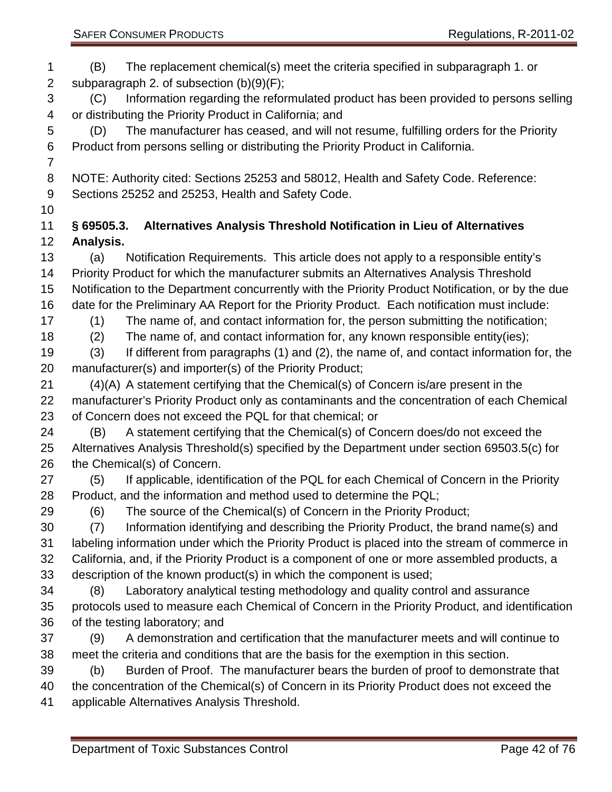(B) The replacement chemical(s) meet the criteria specified in subparagraph 1. or subparagraph 2. of subsection (b)(9)(F); (C) Information regarding the reformulated product has been provided to persons selling or distributing the Priority Product in California; and (D) The manufacturer has ceased, and will not resume, fulfilling orders for the Priority Product from persons selling or distributing the Priority Product in California. NOTE: Authority cited: Sections 25253 and 58012, Health and Safety Code. Reference: Sections 25252 and 25253, Health and Safety Code. **§ 69505.3. Alternatives Analysis Threshold Notification in Lieu of Alternatives Analysis.** (a) Notification Requirements. This article does not apply to a responsible entity's Priority Product for which the manufacturer submits an Alternatives Analysis Threshold Notification to the Department concurrently with the Priority Product Notification, or by the due date for the Preliminary AA Report for the Priority Product. Each notification must include: (1) The name of, and contact information for, the person submitting the notification; (2) The name of, and contact information for, any known responsible entity(ies); (3) If different from paragraphs (1) and (2), the name of, and contact information for, the manufacturer(s) and importer(s) of the Priority Product; (4)(A) A statement certifying that the Chemical(s) of Concern is/are present in the manufacturer's Priority Product only as contaminants and the concentration of each Chemical of Concern does not exceed the PQL for that chemical; or (B) A statement certifying that the Chemical(s) of Concern does/do not exceed the Alternatives Analysis Threshold(s) specified by the Department under section 69503.5(c) for the Chemical(s) of Concern. (5) If applicable, identification of the PQL for each Chemical of Concern in the Priority Product, and the information and method used to determine the PQL; (6) The source of the Chemical(s) of Concern in the Priority Product; (7) Information identifying and describing the Priority Product, the brand name(s) and labeling information under which the Priority Product is placed into the stream of commerce in California, and, if the Priority Product is a component of one or more assembled products, a description of the known product(s) in which the component is used; (8) Laboratory analytical testing methodology and quality control and assurance protocols used to measure each Chemical of Concern in the Priority Product, and identification of the testing laboratory; and (9) A demonstration and certification that the manufacturer meets and will continue to meet the criteria and conditions that are the basis for the exemption in this section. (b) Burden of Proof. The manufacturer bears the burden of proof to demonstrate that the concentration of the Chemical(s) of Concern in its Priority Product does not exceed the applicable Alternatives Analysis Threshold.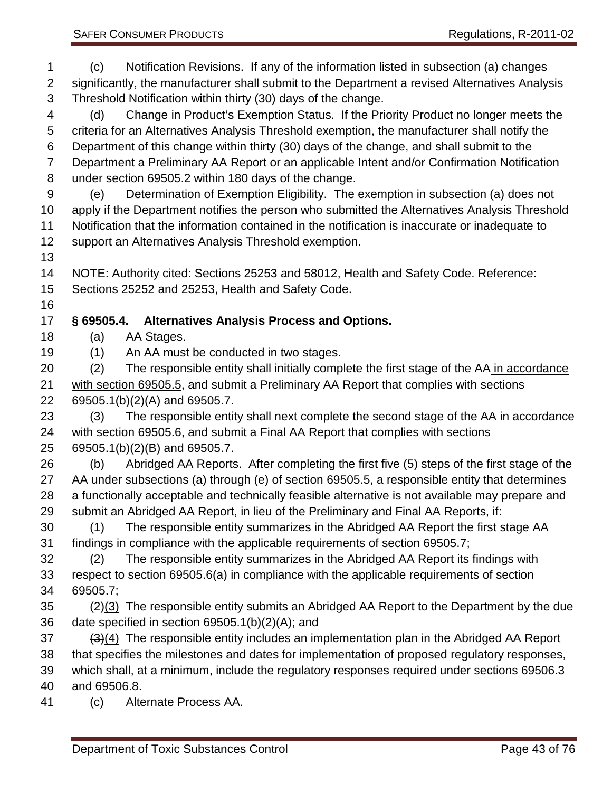(c) Notification Revisions. If any of the information listed in subsection (a) changes

 significantly, the manufacturer shall submit to the Department a revised Alternatives Analysis Threshold Notification within thirty (30) days of the change.

 (d) Change in Product's Exemption Status. If the Priority Product no longer meets the criteria for an Alternatives Analysis Threshold exemption, the manufacturer shall notify the Department of this change within thirty (30) days of the change, and shall submit to the Department a Preliminary AA Report or an applicable Intent and/or Confirmation Notification under section 69505.2 within 180 days of the change.

 (e) Determination of Exemption Eligibility. The exemption in subsection (a) does not apply if the Department notifies the person who submitted the Alternatives Analysis Threshold Notification that the information contained in the notification is inaccurate or inadequate to support an Alternatives Analysis Threshold exemption.

NOTE: Authority cited: Sections 25253 and 58012, Health and Safety Code. Reference:

Sections 25252 and 25253, Health and Safety Code.

#### **§ 69505.4. Alternatives Analysis Process and Options.**

(a) AA Stages.

(1) An AA must be conducted in two stages.

 (2) The responsible entity shall initially complete the first stage of the AA in accordance with section 69505.5, and submit a Preliminary AA Report that complies with sections 69505.1(b)(2)(A) and 69505.7.

 (3) The responsible entity shall next complete the second stage of the AA in accordance with section 69505.6, and submit a Final AA Report that complies with sections 69505.1(b)(2)(B) and 69505.7.

 (b) Abridged AA Reports. After completing the first five (5) steps of the first stage of the AA under subsections (a) through (e) of section 69505.5, a responsible entity that determines 28 a functionally acceptable and technically feasible alternative is not available may prepare and submit an Abridged AA Report, in lieu of the Preliminary and Final AA Reports, if:

 (1) The responsible entity summarizes in the Abridged AA Report the first stage AA findings in compliance with the applicable requirements of section 69505.7;

 (2) The responsible entity summarizes in the Abridged AA Report its findings with respect to section 69505.6(a) in compliance with the applicable requirements of section 69505.7;

35 (2)(3) The responsible entity submits an Abridged AA Report to the Department by the due date specified in section 69505.1(b)(2)(A); and

(3)(4) The responsible entity includes an implementation plan in the Abridged AA Report

that specifies the milestones and dates for implementation of proposed regulatory responses,

 which shall, at a minimum, include the regulatory responses required under sections 69506.3 and 69506.8.

(c) Alternate Process AA.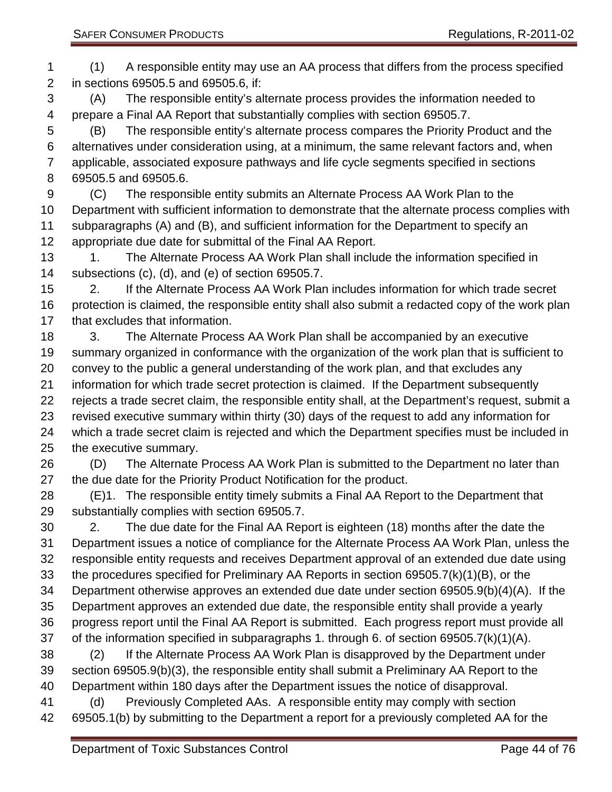(1) A responsible entity may use an AA process that differs from the process specified in sections 69505.5 and 69505.6, if: (A) The responsible entity's alternate process provides the information needed to prepare a Final AA Report that substantially complies with section 69505.7. (B) The responsible entity's alternate process compares the Priority Product and the alternatives under consideration using, at a minimum, the same relevant factors and, when applicable, associated exposure pathways and life cycle segments specified in sections 69505.5 and 69505.6. (C) The responsible entity submits an Alternate Process AA Work Plan to the Department with sufficient information to demonstrate that the alternate process complies with subparagraphs (A) and (B), and sufficient information for the Department to specify an appropriate due date for submittal of the Final AA Report. 13 1. The Alternate Process AA Work Plan shall include the information specified in subsections (c), (d), and (e) of section 69505.7. 2. If the Alternate Process AA Work Plan includes information for which trade secret protection is claimed, the responsible entity shall also submit a redacted copy of the work plan that excludes that information. 3. The Alternate Process AA Work Plan shall be accompanied by an executive summary organized in conformance with the organization of the work plan that is sufficient to convey to the public a general understanding of the work plan, and that excludes any information for which trade secret protection is claimed. If the Department subsequently rejects a trade secret claim, the responsible entity shall, at the Department's request, submit a revised executive summary within thirty (30) days of the request to add any information for which a trade secret claim is rejected and which the Department specifies must be included in the executive summary. (D) The Alternate Process AA Work Plan is submitted to the Department no later than the due date for the Priority Product Notification for the product. (E)1. The responsible entity timely submits a Final AA Report to the Department that substantially complies with section 69505.7. 2. The due date for the Final AA Report is eighteen (18) months after the date the Department issues a notice of compliance for the Alternate Process AA Work Plan, unless the responsible entity requests and receives Department approval of an extended due date using the procedures specified for Preliminary AA Reports in section 69505.7(k)(1)(B), or the Department otherwise approves an extended due date under section 69505.9(b)(4)(A). If the Department approves an extended due date, the responsible entity shall provide a yearly progress report until the Final AA Report is submitted. Each progress report must provide all of the information specified in subparagraphs 1. through 6. of section 69505.7(k)(1)(A). (2) If the Alternate Process AA Work Plan is disapproved by the Department under section 69505.9(b)(3), the responsible entity shall submit a Preliminary AA Report to the Department within 180 days after the Department issues the notice of disapproval. (d) Previously Completed AAs. A responsible entity may comply with section 69505.1(b) by submitting to the Department a report for a previously completed AA for the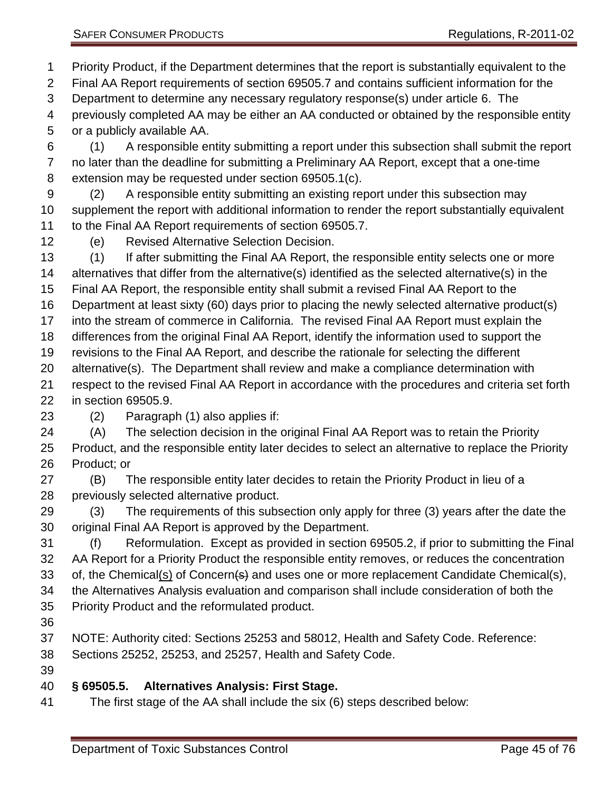Priority Product, if the Department determines that the report is substantially equivalent to the Final AA Report requirements of section 69505.7 and contains sufficient information for the Department to determine any necessary regulatory response(s) under article 6. The previously completed AA may be either an AA conducted or obtained by the responsible entity

or a publicly available AA.

 (1) A responsible entity submitting a report under this subsection shall submit the report no later than the deadline for submitting a Preliminary AA Report, except that a one-time extension may be requested under section 69505.1(c).

 (2) A responsible entity submitting an existing report under this subsection may supplement the report with additional information to render the report substantially equivalent to the Final AA Report requirements of section 69505.7.

(e) Revised Alternative Selection Decision.

(1) If after submitting the Final AA Report, the responsible entity selects one or more

alternatives that differ from the alternative(s) identified as the selected alternative(s) in the

Final AA Report, the responsible entity shall submit a revised Final AA Report to the

Department at least sixty (60) days prior to placing the newly selected alternative product(s)

into the stream of commerce in California. The revised Final AA Report must explain the

differences from the original Final AA Report, identify the information used to support the

revisions to the Final AA Report, and describe the rationale for selecting the different

- alternative(s). The Department shall review and make a compliance determination with
- respect to the revised Final AA Report in accordance with the procedures and criteria set forth in section 69505.9.
- (2) Paragraph (1) also applies if:

(A) The selection decision in the original Final AA Report was to retain the Priority

 Product, and the responsible entity later decides to select an alternative to replace the Priority Product; or

 (B) The responsible entity later decides to retain the Priority Product in lieu of a previously selected alternative product.

 (3) The requirements of this subsection only apply for three (3) years after the date the original Final AA Report is approved by the Department.

 (f) Reformulation. Except as provided in section 69505.2, if prior to submitting the Final AA Report for a Priority Product the responsible entity removes, or reduces the concentration 33 of, the Chemical(s) of Concern<del>(s)</del> and uses one or more replacement Candidate Chemical(s),

the Alternatives Analysis evaluation and comparison shall include consideration of both the

- Priority Product and the reformulated product.
- 

NOTE: Authority cited: Sections 25253 and 58012, Health and Safety Code. Reference:

Sections 25252, 25253, and 25257, Health and Safety Code.

#### **§ 69505.5. Alternatives Analysis: First Stage.**

The first stage of the AA shall include the six (6) steps described below: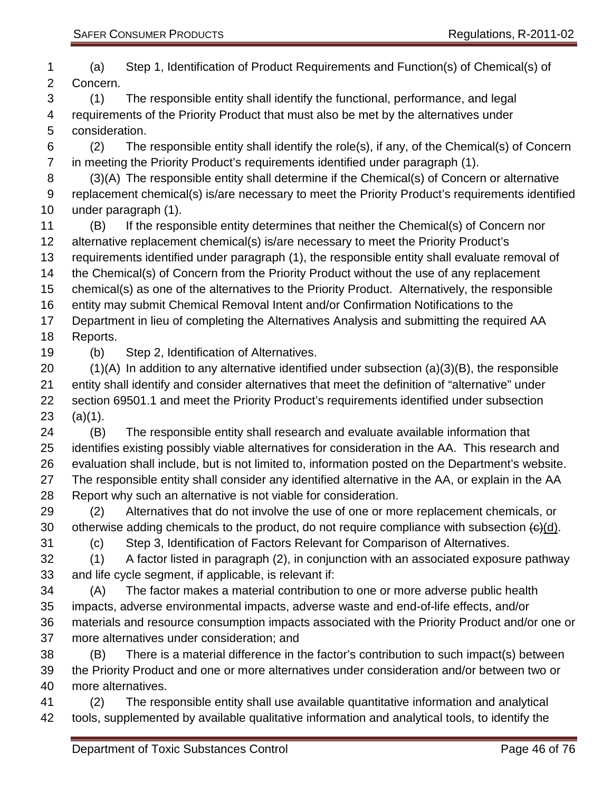(a) Step 1, Identification of Product Requirements and Function(s) of Chemical(s) of Concern. (1) The responsible entity shall identify the functional, performance, and legal requirements of the Priority Product that must also be met by the alternatives under consideration. (2) The responsible entity shall identify the role(s), if any, of the Chemical(s) of Concern in meeting the Priority Product's requirements identified under paragraph (1). (3)(A) The responsible entity shall determine if the Chemical(s) of Concern or alternative replacement chemical(s) is/are necessary to meet the Priority Product's requirements identified under paragraph (1). (B) If the responsible entity determines that neither the Chemical(s) of Concern nor alternative replacement chemical(s) is/are necessary to meet the Priority Product's requirements identified under paragraph (1), the responsible entity shall evaluate removal of the Chemical(s) of Concern from the Priority Product without the use of any replacement chemical(s) as one of the alternatives to the Priority Product. Alternatively, the responsible entity may submit Chemical Removal Intent and/or Confirmation Notifications to the Department in lieu of completing the Alternatives Analysis and submitting the required AA Reports. (b) Step 2, Identification of Alternatives. (1)(A) In addition to any alternative identified under subsection (a)(3)(B), the responsible entity shall identify and consider alternatives that meet the definition of "alternative" under section 69501.1 and meet the Priority Product's requirements identified under subsection (a)(1). (B) The responsible entity shall research and evaluate available information that identifies existing possibly viable alternatives for consideration in the AA. This research and evaluation shall include, but is not limited to, information posted on the Department's website. The responsible entity shall consider any identified alternative in the AA, or explain in the AA Report why such an alternative is not viable for consideration. (2) Alternatives that do not involve the use of one or more replacement chemicals, or 30 otherwise adding chemicals to the product, do not require compliance with subsection  $\left(\frac{c}{c}\right)(d)$ . (c) Step 3, Identification of Factors Relevant for Comparison of Alternatives. (1) A factor listed in paragraph (2), in conjunction with an associated exposure pathway and life cycle segment, if applicable, is relevant if: (A) The factor makes a material contribution to one or more adverse public health impacts, adverse environmental impacts, adverse waste and end-of-life effects, and/or materials and resource consumption impacts associated with the Priority Product and/or one or more alternatives under consideration; and (B) There is a material difference in the factor's contribution to such impact(s) between the Priority Product and one or more alternatives under consideration and/or between two or more alternatives.

 (2) The responsible entity shall use available quantitative information and analytical tools, supplemented by available qualitative information and analytical tools, to identify the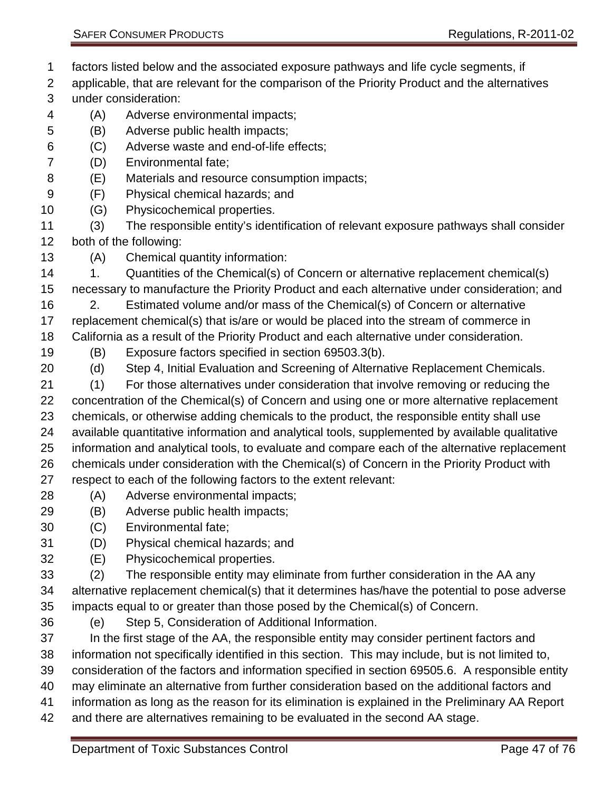- factors listed below and the associated exposure pathways and life cycle segments, if
- applicable, that are relevant for the comparison of the Priority Product and the alternatives under consideration:
- (A) Adverse environmental impacts;
- (B) Adverse public health impacts;
- (C) Adverse waste and end-of-life effects;
- (D) Environmental fate;
- (E) Materials and resource consumption impacts;
- (F) Physical chemical hazards; and
- (G) Physicochemical properties.
- (3) The responsible entity's identification of relevant exposure pathways shall consider both of the following:
- (A) Chemical quantity information:
- 14 1. Quantities of the Chemical(s) of Concern or alternative replacement chemical(s) necessary to manufacture the Priority Product and each alternative under consideration; and
- 2. Estimated volume and/or mass of the Chemical(s) of Concern or alternative replacement chemical(s) that is/are or would be placed into the stream of commerce in
- California as a result of the Priority Product and each alternative under consideration.
- (B) Exposure factors specified in section 69503.3(b).
- (d) Step 4, Initial Evaluation and Screening of Alternative Replacement Chemicals.
- (1) For those alternatives under consideration that involve removing or reducing the concentration of the Chemical(s) of Concern and using one or more alternative replacement chemicals, or otherwise adding chemicals to the product, the responsible entity shall use available quantitative information and analytical tools, supplemented by available qualitative information and analytical tools, to evaluate and compare each of the alternative replacement chemicals under consideration with the Chemical(s) of Concern in the Priority Product with respect to each of the following factors to the extent relevant:
- (A) Adverse environmental impacts;
- (B) Adverse public health impacts;
- (C) Environmental fate;
- (D) Physical chemical hazards; and
- (E) Physicochemical properties.
- (2) The responsible entity may eliminate from further consideration in the AA any alternative replacement chemical(s) that it determines has/have the potential to pose adverse impacts equal to or greater than those posed by the Chemical(s) of Concern.
- 
- (e) Step 5, Consideration of Additional Information.
- In the first stage of the AA, the responsible entity may consider pertinent factors and
- information not specifically identified in this section. This may include, but is not limited to,
- consideration of the factors and information specified in section 69505.6. A responsible entity
- may eliminate an alternative from further consideration based on the additional factors and
- information as long as the reason for its elimination is explained in the Preliminary AA Report
- and there are alternatives remaining to be evaluated in the second AA stage.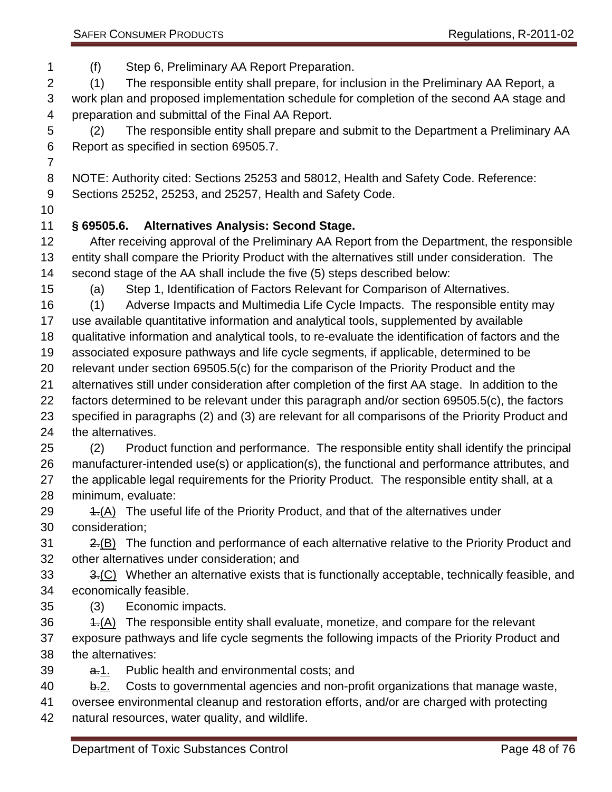(f) Step 6, Preliminary AA Report Preparation.

(1) The responsible entity shall prepare, for inclusion in the Preliminary AA Report, a

 work plan and proposed implementation schedule for completion of the second AA stage and preparation and submittal of the Final AA Report.

 (2) The responsible entity shall prepare and submit to the Department a Preliminary AA Report as specified in section 69505.7.

 NOTE: Authority cited: Sections 25253 and 58012, Health and Safety Code. Reference: Sections 25252, 25253, and 25257, Health and Safety Code.

# **§ 69505.6. Alternatives Analysis: Second Stage.**

 After receiving approval of the Preliminary AA Report from the Department, the responsible entity shall compare the Priority Product with the alternatives still under consideration. The second stage of the AA shall include the five (5) steps described below:

(a) Step 1, Identification of Factors Relevant for Comparison of Alternatives.

(1) Adverse Impacts and Multimedia Life Cycle Impacts. The responsible entity may

use available quantitative information and analytical tools, supplemented by available

qualitative information and analytical tools, to re-evaluate the identification of factors and the

associated exposure pathways and life cycle segments, if applicable, determined to be

relevant under section 69505.5(c) for the comparison of the Priority Product and the

alternatives still under consideration after completion of the first AA stage. In addition to the

- factors determined to be relevant under this paragraph and/or section 69505.5(c), the factors specified in paragraphs (2) and (3) are relevant for all comparisons of the Priority Product and the alternatives.
- (2) Product function and performance. The responsible entity shall identify the principal manufacturer-intended use(s) or application(s), the functional and performance attributes, and 27 the applicable legal requirements for the Priority Product. The responsible entity shall, at a minimum, evaluate:
- 29 4.(A) The useful life of the Priority Product, and that of the alternatives under consideration;

  $2\frac{1}{18}$  The function and performance of each alternative relative to the Priority Product and other alternatives under consideration; and

33 3.(C) Whether an alternative exists that is functionally acceptable, technically feasible, and economically feasible.

- (3) Economic impacts.
- 36 4.(A) The responsible entity shall evaluate, monetize, and compare for the relevant exposure pathways and life cycle segments the following impacts of the Priority Product and
- the alternatives:
- 39 a.1. Public health and environmental costs; and

40 b.2. Costs to governmental agencies and non-profit organizations that manage waste,

oversee environmental cleanup and restoration efforts, and/or are charged with protecting

natural resources, water quality, and wildlife.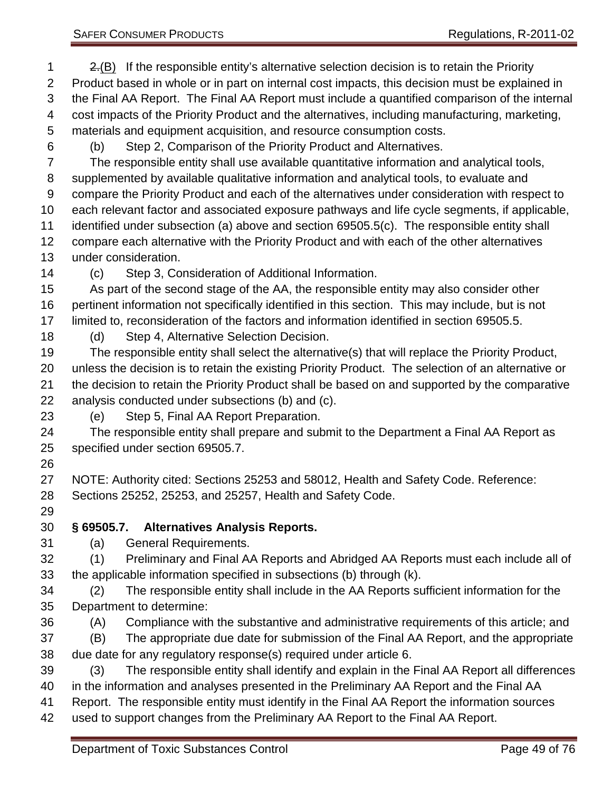2.(B) If the responsible entity's alternative selection decision is to retain the Priority Product based in whole or in part on internal cost impacts, this decision must be explained in the Final AA Report. The Final AA Report must include a quantified comparison of the internal cost impacts of the Priority Product and the alternatives, including manufacturing, marketing, materials and equipment acquisition, and resource consumption costs.

(b) Step 2, Comparison of the Priority Product and Alternatives.

 The responsible entity shall use available quantitative information and analytical tools, supplemented by available qualitative information and analytical tools, to evaluate and compare the Priority Product and each of the alternatives under consideration with respect to each relevant factor and associated exposure pathways and life cycle segments, if applicable, identified under subsection (a) above and section 69505.5(c). The responsible entity shall compare each alternative with the Priority Product and with each of the other alternatives under consideration.

(c) Step 3, Consideration of Additional Information.

 As part of the second stage of the AA, the responsible entity may also consider other pertinent information not specifically identified in this section. This may include, but is not limited to, reconsideration of the factors and information identified in section 69505.5.

(d) Step 4, Alternative Selection Decision.

 The responsible entity shall select the alternative(s) that will replace the Priority Product, unless the decision is to retain the existing Priority Product. The selection of an alternative or the decision to retain the Priority Product shall be based on and supported by the comparative analysis conducted under subsections (b) and (c).

(e) Step 5, Final AA Report Preparation.

 The responsible entity shall prepare and submit to the Department a Final AA Report as specified under section 69505.7.

 NOTE: Authority cited: Sections 25253 and 58012, Health and Safety Code. Reference: Sections 25252, 25253, and 25257, Health and Safety Code.

### **§ 69505.7. Alternatives Analysis Reports.**

(a) General Requirements.

 (1) Preliminary and Final AA Reports and Abridged AA Reports must each include all of the applicable information specified in subsections (b) through (k).

- (2) The responsible entity shall include in the AA Reports sufficient information for the Department to determine:
- (A) Compliance with the substantive and administrative requirements of this article; and
- (B) The appropriate due date for submission of the Final AA Report, and the appropriate due date for any regulatory response(s) required under article 6.
- (3) The responsible entity shall identify and explain in the Final AA Report all differences

in the information and analyses presented in the Preliminary AA Report and the Final AA

- Report. The responsible entity must identify in the Final AA Report the information sources
- used to support changes from the Preliminary AA Report to the Final AA Report.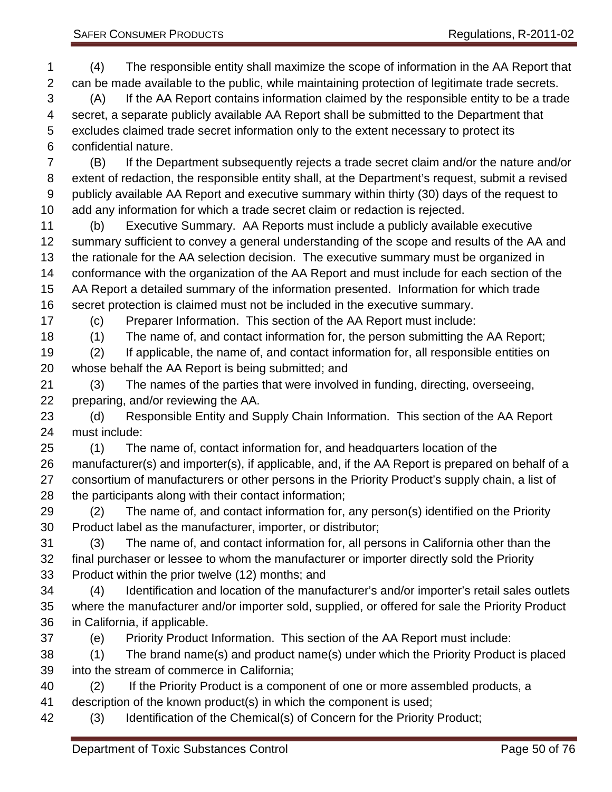(4) The responsible entity shall maximize the scope of information in the AA Report that can be made available to the public, while maintaining protection of legitimate trade secrets. (A) If the AA Report contains information claimed by the responsible entity to be a trade secret, a separate publicly available AA Report shall be submitted to the Department that excludes claimed trade secret information only to the extent necessary to protect its confidential nature. (B) If the Department subsequently rejects a trade secret claim and/or the nature and/or extent of redaction, the responsible entity shall, at the Department's request, submit a revised publicly available AA Report and executive summary within thirty (30) days of the request to add any information for which a trade secret claim or redaction is rejected. (b) Executive Summary. AA Reports must include a publicly available executive summary sufficient to convey a general understanding of the scope and results of the AA and the rationale for the AA selection decision. The executive summary must be organized in conformance with the organization of the AA Report and must include for each section of the AA Report a detailed summary of the information presented. Information for which trade secret protection is claimed must not be included in the executive summary. (c) Preparer Information. This section of the AA Report must include: (1) The name of, and contact information for, the person submitting the AA Report; (2) If applicable, the name of, and contact information for, all responsible entities on whose behalf the AA Report is being submitted; and (3) The names of the parties that were involved in funding, directing, overseeing, preparing, and/or reviewing the AA. (d) Responsible Entity and Supply Chain Information. This section of the AA Report must include: (1) The name of, contact information for, and headquarters location of the manufacturer(s) and importer(s), if applicable, and, if the AA Report is prepared on behalf of a consortium of manufacturers or other persons in the Priority Product's supply chain, a list of the participants along with their contact information; (2) The name of, and contact information for, any person(s) identified on the Priority Product label as the manufacturer, importer, or distributor; (3) The name of, and contact information for, all persons in California other than the final purchaser or lessee to whom the manufacturer or importer directly sold the Priority Product within the prior twelve (12) months; and (4) Identification and location of the manufacturer's and/or importer's retail sales outlets where the manufacturer and/or importer sold, supplied, or offered for sale the Priority Product in California, if applicable. (e) Priority Product Information. This section of the AA Report must include: (1) The brand name(s) and product name(s) under which the Priority Product is placed into the stream of commerce in California; (2) If the Priority Product is a component of one or more assembled products, a description of the known product(s) in which the component is used; (3) Identification of the Chemical(s) of Concern for the Priority Product;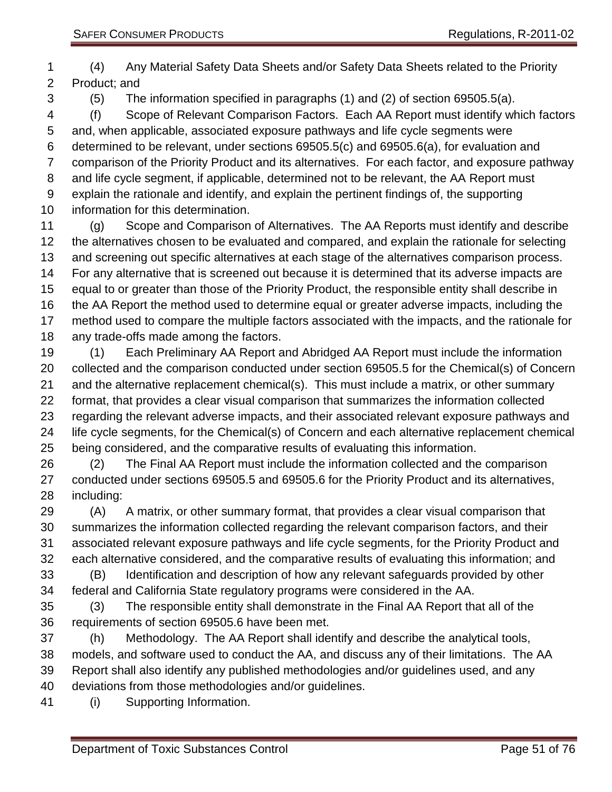(4) Any Material Safety Data Sheets and/or Safety Data Sheets related to the Priority Product; and

(5) The information specified in paragraphs (1) and (2) of section 69505.5(a).

 (f) Scope of Relevant Comparison Factors. Each AA Report must identify which factors and, when applicable, associated exposure pathways and life cycle segments were determined to be relevant, under sections 69505.5(c) and 69505.6(a), for evaluation and comparison of the Priority Product and its alternatives. For each factor, and exposure pathway and life cycle segment, if applicable, determined not to be relevant, the AA Report must explain the rationale and identify, and explain the pertinent findings of, the supporting information for this determination.

 (g) Scope and Comparison of Alternatives. The AA Reports must identify and describe the alternatives chosen to be evaluated and compared, and explain the rationale for selecting and screening out specific alternatives at each stage of the alternatives comparison process. For any alternative that is screened out because it is determined that its adverse impacts are equal to or greater than those of the Priority Product, the responsible entity shall describe in the AA Report the method used to determine equal or greater adverse impacts, including the method used to compare the multiple factors associated with the impacts, and the rationale for any trade-offs made among the factors.

 (1) Each Preliminary AA Report and Abridged AA Report must include the information collected and the comparison conducted under section 69505.5 for the Chemical(s) of Concern and the alternative replacement chemical(s). This must include a matrix, or other summary format, that provides a clear visual comparison that summarizes the information collected regarding the relevant adverse impacts, and their associated relevant exposure pathways and life cycle segments, for the Chemical(s) of Concern and each alternative replacement chemical being considered, and the comparative results of evaluating this information.

 (2) The Final AA Report must include the information collected and the comparison conducted under sections 69505.5 and 69505.6 for the Priority Product and its alternatives, including:

 (A) A matrix, or other summary format, that provides a clear visual comparison that summarizes the information collected regarding the relevant comparison factors, and their associated relevant exposure pathways and life cycle segments, for the Priority Product and each alternative considered, and the comparative results of evaluating this information; and (B) Identification and description of how any relevant safeguards provided by other

federal and California State regulatory programs were considered in the AA.

 (3) The responsible entity shall demonstrate in the Final AA Report that all of the requirements of section 69505.6 have been met.

- (h) Methodology. The AA Report shall identify and describe the analytical tools, models, and software used to conduct the AA, and discuss any of their limitations. The AA Report shall also identify any published methodologies and/or guidelines used, and any deviations from those methodologies and/or guidelines.
- (i) Supporting Information.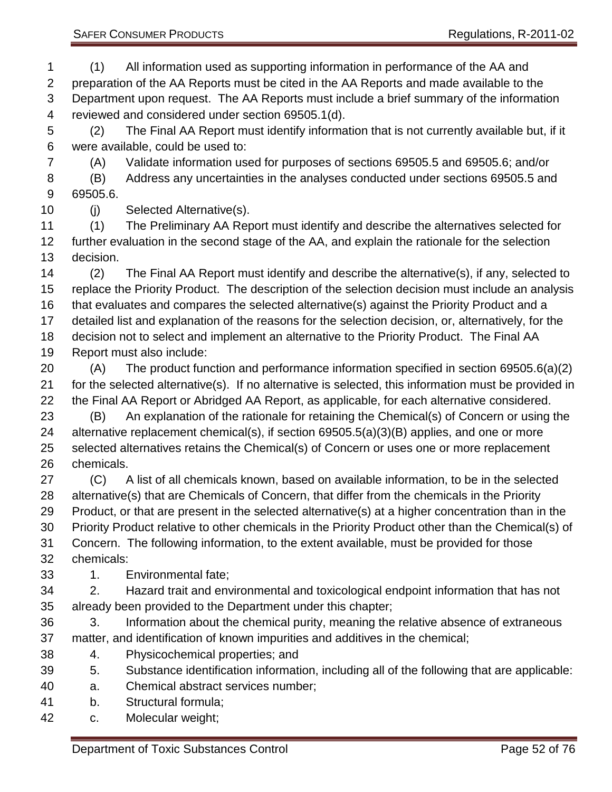(1) All information used as supporting information in performance of the AA and preparation of the AA Reports must be cited in the AA Reports and made available to the Department upon request. The AA Reports must include a brief summary of the information reviewed and considered under section 69505.1(d).

 (2) The Final AA Report must identify information that is not currently available but, if it were available, could be used to:

(A) Validate information used for purposes of sections 69505.5 and 69505.6; and/or

 (B) Address any uncertainties in the analyses conducted under sections 69505.5 and 69505.6.

(j) Selected Alternative(s).

 (1) The Preliminary AA Report must identify and describe the alternatives selected for further evaluation in the second stage of the AA, and explain the rationale for the selection decision.

 (2) The Final AA Report must identify and describe the alternative(s), if any, selected to replace the Priority Product. The description of the selection decision must include an analysis that evaluates and compares the selected alternative(s) against the Priority Product and a detailed list and explanation of the reasons for the selection decision, or, alternatively, for the decision not to select and implement an alternative to the Priority Product. The Final AA Report must also include:

 (A) The product function and performance information specified in section 69505.6(a)(2) for the selected alternative(s). If no alternative is selected, this information must be provided in the Final AA Report or Abridged AA Report, as applicable, for each alternative considered.

 (B) An explanation of the rationale for retaining the Chemical(s) of Concern or using the alternative replacement chemical(s), if section 69505.5(a)(3)(B) applies, and one or more selected alternatives retains the Chemical(s) of Concern or uses one or more replacement chemicals.

 (C) A list of all chemicals known, based on available information, to be in the selected alternative(s) that are Chemicals of Concern, that differ from the chemicals in the Priority Product, or that are present in the selected alternative(s) at a higher concentration than in the Priority Product relative to other chemicals in the Priority Product other than the Chemical(s) of Concern. The following information, to the extent available, must be provided for those chemicals:

1. Environmental fate;

 2. Hazard trait and environmental and toxicological endpoint information that has not already been provided to the Department under this chapter;

 3. Information about the chemical purity, meaning the relative absence of extraneous matter, and identification of known impurities and additives in the chemical;

- 4. Physicochemical properties; and
- 5. Substance identification information, including all of the following that are applicable:
- a. Chemical abstract services number;
- b. Structural formula;
- c. Molecular weight;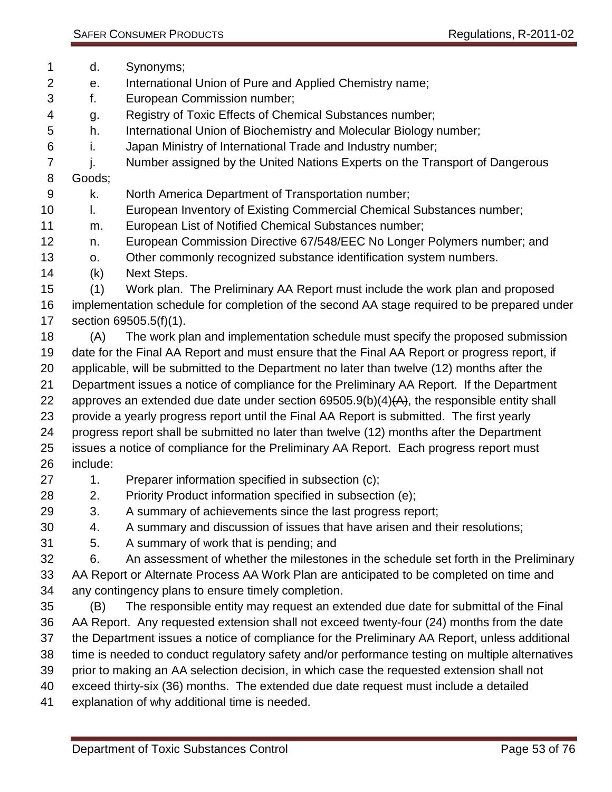- d. Synonyms;
- e. International Union of Pure and Applied Chemistry name;
- f. European Commission number;
- g. Registry of Toxic Effects of Chemical Substances number;
- h. International Union of Biochemistry and Molecular Biology number;
- i. Japan Ministry of International Trade and Industry number;
- 7 i. Number assigned by the United Nations Experts on the Transport of Dangerous
- Goods;
- k. North America Department of Transportation number;
- l. European Inventory of Existing Commercial Chemical Substances number;
- m. European List of Notified Chemical Substances number;
- n. European Commission Directive 67/548/EEC No Longer Polymers number; and
- o. Other commonly recognized substance identification system numbers.
- (k) Next Steps.
- (1) Work plan. The Preliminary AA Report must include the work plan and proposed implementation schedule for completion of the second AA stage required to be prepared under section 69505.5(f)(1).
- (A) The work plan and implementation schedule must specify the proposed submission date for the Final AA Report and must ensure that the Final AA Report or progress report, if applicable, will be submitted to the Department no later than twelve (12) months after the
- Department issues a notice of compliance for the Preliminary AA Report. If the Department
- 22 approves an extended due date under section  $69505.9(b)(4)$   $(A)$ , the responsible entity shall
- provide a yearly progress report until the Final AA Report is submitted. The first yearly
- progress report shall be submitted no later than twelve (12) months after the Department issues a notice of compliance for the Preliminary AA Report. Each progress report must include:
- 27 1. Preparer information specified in subsection (c);
- 28 2. Priority Product information specified in subsection (e);
- 3. A summary of achievements since the last progress report;
- 4. A summary and discussion of issues that have arisen and their resolutions;
- 5. A summary of work that is pending; and
- 6. An assessment of whether the milestones in the schedule set forth in the Preliminary AA Report or Alternate Process AA Work Plan are anticipated to be completed on time and
- any contingency plans to ensure timely completion.
- (B) The responsible entity may request an extended due date for submittal of the Final AA Report. Any requested extension shall not exceed twenty-four (24) months from the date the Department issues a notice of compliance for the Preliminary AA Report, unless additional time is needed to conduct regulatory safety and/or performance testing on multiple alternatives
- prior to making an AA selection decision, in which case the requested extension shall not
- exceed thirty-six (36) months. The extended due date request must include a detailed
- explanation of why additional time is needed.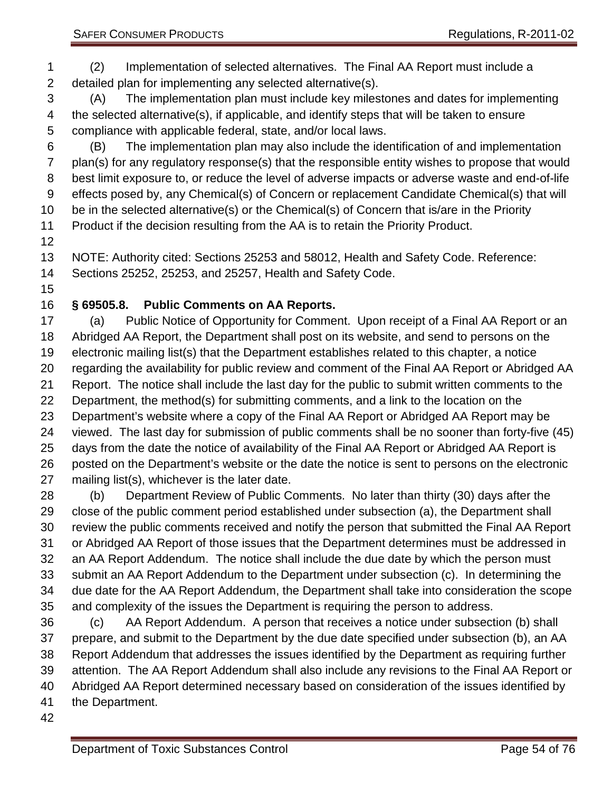(A) The implementation plan must include key milestones and dates for implementing the selected alternative(s), if applicable, and identify steps that will be taken to ensure compliance with applicable federal, state, and/or local laws.

 (B) The implementation plan may also include the identification of and implementation plan(s) for any regulatory response(s) that the responsible entity wishes to propose that would best limit exposure to, or reduce the level of adverse impacts or adverse waste and end-of-life effects posed by, any Chemical(s) of Concern or replacement Candidate Chemical(s) that will be in the selected alternative(s) or the Chemical(s) of Concern that is/are in the Priority Product if the decision resulting from the AA is to retain the Priority Product.

NOTE: Authority cited: Sections 25253 and 58012, Health and Safety Code. Reference:

Sections 25252, 25253, and 25257, Health and Safety Code.

# **§ 69505.8. Public Comments on AA Reports.**

 (a) Public Notice of Opportunity for Comment. Upon receipt of a Final AA Report or an Abridged AA Report, the Department shall post on its website, and send to persons on the electronic mailing list(s) that the Department establishes related to this chapter, a notice regarding the availability for public review and comment of the Final AA Report or Abridged AA Report. The notice shall include the last day for the public to submit written comments to the Department, the method(s) for submitting comments, and a link to the location on the Department's website where a copy of the Final AA Report or Abridged AA Report may be viewed. The last day for submission of public comments shall be no sooner than forty-five (45) days from the date the notice of availability of the Final AA Report or Abridged AA Report is posted on the Department's website or the date the notice is sent to persons on the electronic mailing list(s), whichever is the later date.

 (b) Department Review of Public Comments. No later than thirty (30) days after the close of the public comment period established under subsection (a), the Department shall review the public comments received and notify the person that submitted the Final AA Report or Abridged AA Report of those issues that the Department determines must be addressed in an AA Report Addendum. The notice shall include the due date by which the person must submit an AA Report Addendum to the Department under subsection (c). In determining the due date for the AA Report Addendum, the Department shall take into consideration the scope and complexity of the issues the Department is requiring the person to address.

 (c) AA Report Addendum. A person that receives a notice under subsection (b) shall prepare, and submit to the Department by the due date specified under subsection (b), an AA Report Addendum that addresses the issues identified by the Department as requiring further attention. The AA Report Addendum shall also include any revisions to the Final AA Report or Abridged AA Report determined necessary based on consideration of the issues identified by the Department.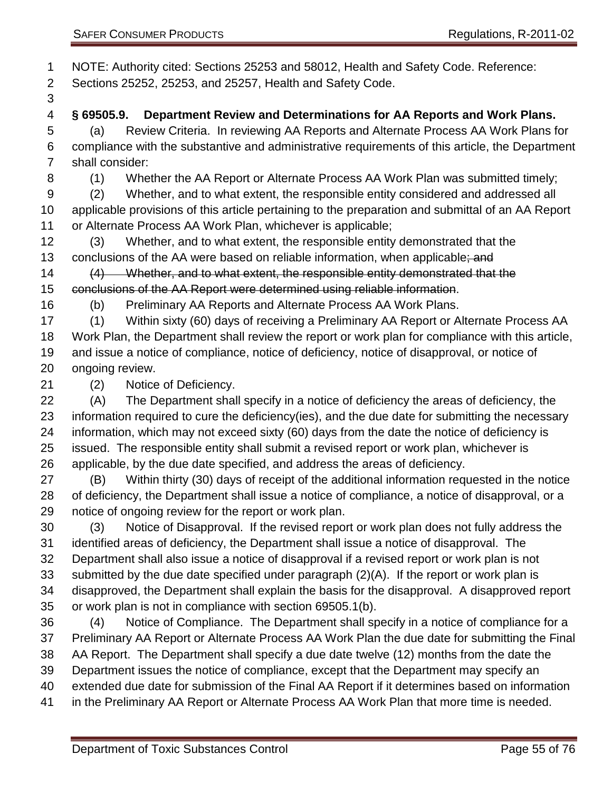NOTE: Authority cited: Sections 25253 and 58012, Health and Safety Code. Reference: Sections 25252, 25253, and 25257, Health and Safety Code.

- 
- **§ 69505.9. Department Review and Determinations for AA Reports and Work Plans.**

 (a) Review Criteria. In reviewing AA Reports and Alternate Process AA Work Plans for compliance with the substantive and administrative requirements of this article, the Department shall consider:

(1) Whether the AA Report or Alternate Process AA Work Plan was submitted timely;

 (2) Whether, and to what extent, the responsible entity considered and addressed all applicable provisions of this article pertaining to the preparation and submittal of an AA Report

- or Alternate Process AA Work Plan, whichever is applicable;
- (3) Whether, and to what extent, the responsible entity demonstrated that the 13 conclusions of the AA were based on reliable information, when applicable; and

 (4) Whether, and to what extent, the responsible entity demonstrated that the conclusions of the AA Report were determined using reliable information.

(b) Preliminary AA Reports and Alternate Process AA Work Plans.

 (1) Within sixty (60) days of receiving a Preliminary AA Report or Alternate Process AA Work Plan, the Department shall review the report or work plan for compliance with this article, and issue a notice of compliance, notice of deficiency, notice of disapproval, or notice of ongoing review.

(2) Notice of Deficiency.

 (A) The Department shall specify in a notice of deficiency the areas of deficiency, the information required to cure the deficiency(ies), and the due date for submitting the necessary information, which may not exceed sixty (60) days from the date the notice of deficiency is issued. The responsible entity shall submit a revised report or work plan, whichever is applicable, by the due date specified, and address the areas of deficiency.

 (B) Within thirty (30) days of receipt of the additional information requested in the notice of deficiency, the Department shall issue a notice of compliance, a notice of disapproval, or a notice of ongoing review for the report or work plan.

 (3) Notice of Disapproval. If the revised report or work plan does not fully address the identified areas of deficiency, the Department shall issue a notice of disapproval. The Department shall also issue a notice of disapproval if a revised report or work plan is not submitted by the due date specified under paragraph (2)(A). If the report or work plan is disapproved, the Department shall explain the basis for the disapproval. A disapproved report or work plan is not in compliance with section 69505.1(b).

 (4) Notice of Compliance. The Department shall specify in a notice of compliance for a Preliminary AA Report or Alternate Process AA Work Plan the due date for submitting the Final AA Report. The Department shall specify a due date twelve (12) months from the date the Department issues the notice of compliance, except that the Department may specify an extended due date for submission of the Final AA Report if it determines based on information in the Preliminary AA Report or Alternate Process AA Work Plan that more time is needed.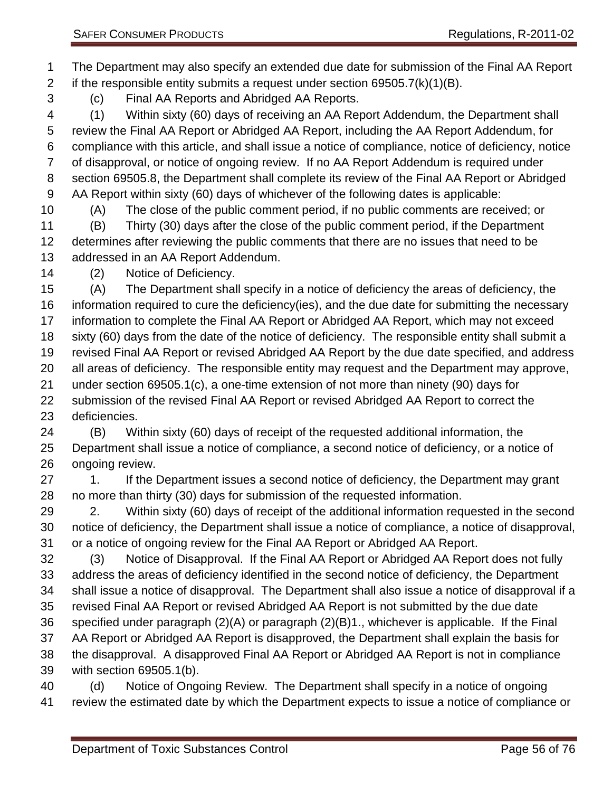The Department may also specify an extended due date for submission of the Final AA Report 2 if the responsible entity submits a request under section  $69505.7(k)(1)(B)$ .

(c) Final AA Reports and Abridged AA Reports.

 (1) Within sixty (60) days of receiving an AA Report Addendum, the Department shall review the Final AA Report or Abridged AA Report, including the AA Report Addendum, for compliance with this article, and shall issue a notice of compliance, notice of deficiency, notice of disapproval, or notice of ongoing review. If no AA Report Addendum is required under section 69505.8, the Department shall complete its review of the Final AA Report or Abridged AA Report within sixty (60) days of whichever of the following dates is applicable:

(A) The close of the public comment period, if no public comments are received; or

 (B) Thirty (30) days after the close of the public comment period, if the Department determines after reviewing the public comments that there are no issues that need to be addressed in an AA Report Addendum.

(2) Notice of Deficiency.

 (A) The Department shall specify in a notice of deficiency the areas of deficiency, the information required to cure the deficiency(ies), and the due date for submitting the necessary information to complete the Final AA Report or Abridged AA Report, which may not exceed sixty (60) days from the date of the notice of deficiency. The responsible entity shall submit a revised Final AA Report or revised Abridged AA Report by the due date specified, and address all areas of deficiency. The responsible entity may request and the Department may approve, under section 69505.1(c), a one-time extension of not more than ninety (90) days for submission of the revised Final AA Report or revised Abridged AA Report to correct the deficiencies.

 (B) Within sixty (60) days of receipt of the requested additional information, the Department shall issue a notice of compliance, a second notice of deficiency, or a notice of ongoing review.

27 1. If the Department issues a second notice of deficiency, the Department may grant no more than thirty (30) days for submission of the requested information.

29 2. Within sixty (60) days of receipt of the additional information requested in the second notice of deficiency, the Department shall issue a notice of compliance, a notice of disapproval, or a notice of ongoing review for the Final AA Report or Abridged AA Report.

 (3) Notice of Disapproval. If the Final AA Report or Abridged AA Report does not fully address the areas of deficiency identified in the second notice of deficiency, the Department shall issue a notice of disapproval. The Department shall also issue a notice of disapproval if a revised Final AA Report or revised Abridged AA Report is not submitted by the due date specified under paragraph (2)(A) or paragraph (2)(B)1., whichever is applicable. If the Final AA Report or Abridged AA Report is disapproved, the Department shall explain the basis for the disapproval. A disapproved Final AA Report or Abridged AA Report is not in compliance with section 69505.1(b).

 (d) Notice of Ongoing Review. The Department shall specify in a notice of ongoing review the estimated date by which the Department expects to issue a notice of compliance or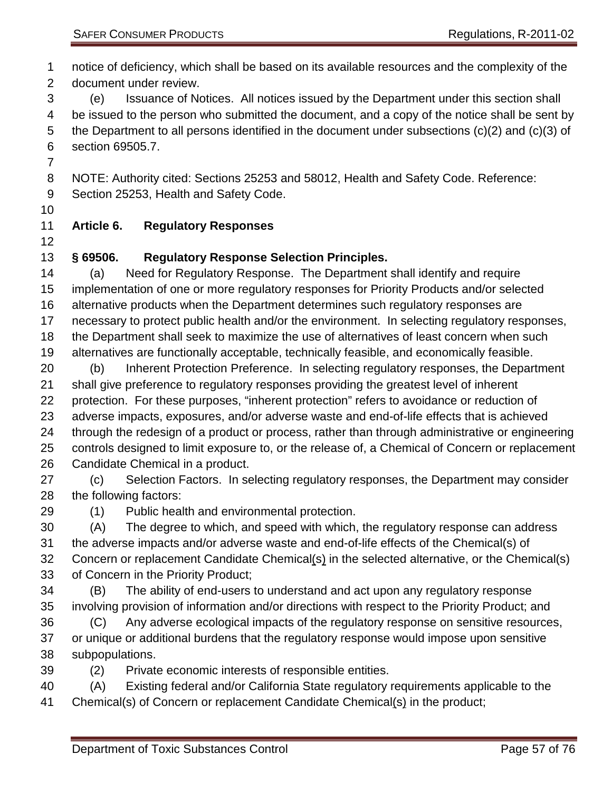notice of deficiency, which shall be based on its available resources and the complexity of the document under review.

 (e) Issuance of Notices. All notices issued by the Department under this section shall 4 be issued to the person who submitted the document, and a copy of the notice shall be sent by the Department to all persons identified in the document under subsections (c)(2) and (c)(3) of section 69505.7.

NOTE: Authority cited: Sections 25253 and 58012, Health and Safety Code. Reference:

Section 25253, Health and Safety Code.

#### **Article 6. Regulatory Responses**

#### **§ 69506. Regulatory Response Selection Principles.**

 (a) Need for Regulatory Response. The Department shall identify and require implementation of one or more regulatory responses for Priority Products and/or selected alternative products when the Department determines such regulatory responses are necessary to protect public health and/or the environment. In selecting regulatory responses, the Department shall seek to maximize the use of alternatives of least concern when such alternatives are functionally acceptable, technically feasible, and economically feasible.

 (b) Inherent Protection Preference. In selecting regulatory responses, the Department shall give preference to regulatory responses providing the greatest level of inherent protection. For these purposes, "inherent protection" refers to avoidance or reduction of adverse impacts, exposures, and/or adverse waste and end-of-life effects that is achieved through the redesign of a product or process, rather than through administrative or engineering controls designed to limit exposure to, or the release of, a Chemical of Concern or replacement Candidate Chemical in a product.

 (c) Selection Factors. In selecting regulatory responses, the Department may consider the following factors:

(1) Public health and environmental protection.

 (A) The degree to which, and speed with which, the regulatory response can address the adverse impacts and/or adverse waste and end-of-life effects of the Chemical(s) of Concern or replacement Candidate Chemical(s) in the selected alternative, or the Chemical(s) of Concern in the Priority Product;

 (B) The ability of end-users to understand and act upon any regulatory response involving provision of information and/or directions with respect to the Priority Product; and

- (C) Any adverse ecological impacts of the regulatory response on sensitive resources, or unique or additional burdens that the regulatory response would impose upon sensitive subpopulations.
- (2) Private economic interests of responsible entities.

(A) Existing federal and/or California State regulatory requirements applicable to the

Chemical(s) of Concern or replacement Candidate Chemical(s) in the product;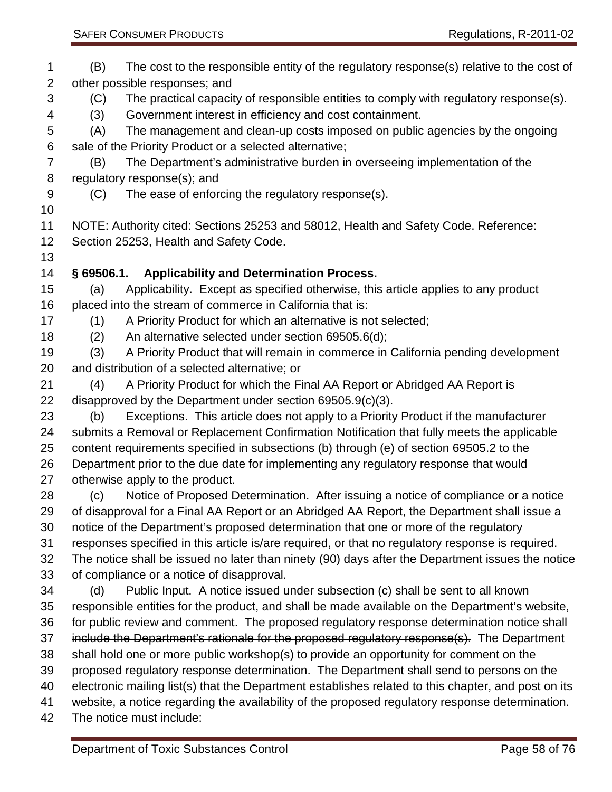| 1<br>$\overline{2}$ | The cost to the responsible entity of the regulatory response(s) relative to the cost of<br>(B)<br>other possible responses; and                                                         |
|---------------------|------------------------------------------------------------------------------------------------------------------------------------------------------------------------------------------|
| 3<br>4              | The practical capacity of responsible entities to comply with regulatory response(s).<br>(C)<br>Government interest in efficiency and cost containment.<br>(3)                           |
| 5                   | The management and clean-up costs imposed on public agencies by the ongoing<br>(A)                                                                                                       |
| 6                   | sale of the Priority Product or a selected alternative;                                                                                                                                  |
| $\overline{7}$      | The Department's administrative burden in overseeing implementation of the<br>(B)                                                                                                        |
| 8                   | regulatory response(s); and                                                                                                                                                              |
| 9                   | The ease of enforcing the regulatory response(s).<br>(C)                                                                                                                                 |
| 10                  |                                                                                                                                                                                          |
| 11                  | NOTE: Authority cited: Sections 25253 and 58012, Health and Safety Code. Reference:                                                                                                      |
| 12                  | Section 25253, Health and Safety Code.                                                                                                                                                   |
| 13<br>14            | § 69506.1. Applicability and Determination Process.                                                                                                                                      |
| 15                  | Applicability. Except as specified otherwise, this article applies to any product<br>(a)                                                                                                 |
| 16                  | placed into the stream of commerce in California that is:                                                                                                                                |
| 17                  | A Priority Product for which an alternative is not selected;<br>(1)                                                                                                                      |
| 18                  | (2)<br>An alternative selected under section 69505.6(d);                                                                                                                                 |
| 19                  | A Priority Product that will remain in commerce in California pending development<br>(3)                                                                                                 |
| 20                  | and distribution of a selected alternative; or                                                                                                                                           |
| 21                  | A Priority Product for which the Final AA Report or Abridged AA Report is<br>(4)                                                                                                         |
| 22                  | disapproved by the Department under section $69505.9(c)(3)$ .                                                                                                                            |
| 23                  | Exceptions. This article does not apply to a Priority Product if the manufacturer<br>(b)                                                                                                 |
| 24                  | submits a Removal or Replacement Confirmation Notification that fully meets the applicable                                                                                               |
| 25                  | content requirements specified in subsections (b) through (e) of section 69505.2 to the                                                                                                  |
| 26                  | Department prior to the due date for implementing any regulatory response that would                                                                                                     |
| 27                  | otherwise apply to the product.                                                                                                                                                          |
| 28                  | Notice of Proposed Determination. After issuing a notice of compliance or a notice<br>(c)                                                                                                |
| 29                  | of disapproval for a Final AA Report or an Abridged AA Report, the Department shall issue a                                                                                              |
| 30<br>31            | notice of the Department's proposed determination that one or more of the regulatory<br>responses specified in this article is/are required, or that no regulatory response is required. |
| 32                  | The notice shall be issued no later than ninety (90) days after the Department issues the notice                                                                                         |
| 33                  | of compliance or a notice of disapproval.                                                                                                                                                |
| 34                  | Public Input. A notice issued under subsection (c) shall be sent to all known<br>(d)                                                                                                     |
| 35                  | responsible entities for the product, and shall be made available on the Department's website,                                                                                           |
| 36                  | for public review and comment. The proposed regulatory response determination notice shall                                                                                               |
| 37                  | include the Department's rationale for the proposed regulatory response(s). The Department                                                                                               |
| 38                  | shall hold one or more public workshop(s) to provide an opportunity for comment on the                                                                                                   |
| 39                  | proposed regulatory response determination. The Department shall send to persons on the                                                                                                  |
| 40                  | electronic mailing list(s) that the Department establishes related to this chapter, and post on its                                                                                      |
| 41                  | website, a notice regarding the availability of the proposed regulatory response determination.                                                                                          |
| 42                  | The notice must include:                                                                                                                                                                 |
|                     |                                                                                                                                                                                          |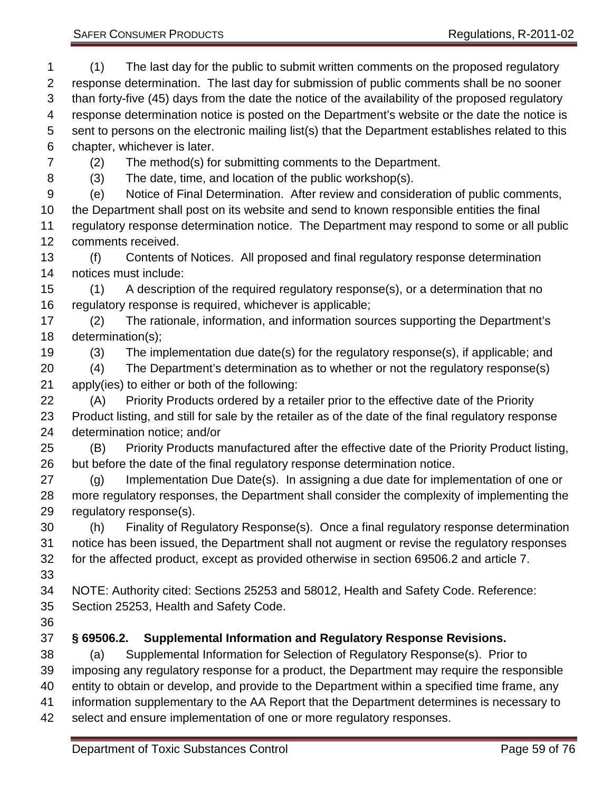(1) The last day for the public to submit written comments on the proposed regulatory response determination. The last day for submission of public comments shall be no sooner than forty-five (45) days from the date the notice of the availability of the proposed regulatory response determination notice is posted on the Department's website or the date the notice is sent to persons on the electronic mailing list(s) that the Department establishes related to this chapter, whichever is later. (2) The method(s) for submitting comments to the Department. (3) The date, time, and location of the public workshop(s). (e) Notice of Final Determination. After review and consideration of public comments, the Department shall post on its website and send to known responsible entities the final regulatory response determination notice. The Department may respond to some or all public comments received. (f) Contents of Notices. All proposed and final regulatory response determination notices must include: (1) A description of the required regulatory response(s), or a determination that no regulatory response is required, whichever is applicable; (2) The rationale, information, and information sources supporting the Department's determination(s); (3) The implementation due date(s) for the regulatory response(s), if applicable; and (4) The Department's determination as to whether or not the regulatory response(s) apply(ies) to either or both of the following: (A) Priority Products ordered by a retailer prior to the effective date of the Priority Product listing, and still for sale by the retailer as of the date of the final regulatory response determination notice; and/or (B) Priority Products manufactured after the effective date of the Priority Product listing, but before the date of the final regulatory response determination notice. (g) Implementation Due Date(s). In assigning a due date for implementation of one or more regulatory responses, the Department shall consider the complexity of implementing the regulatory response(s). (h) Finality of Regulatory Response(s). Once a final regulatory response determination notice has been issued, the Department shall not augment or revise the regulatory responses for the affected product, except as provided otherwise in section 69506.2 and article 7. NOTE: Authority cited: Sections 25253 and 58012, Health and Safety Code. Reference: Section 25253, Health and Safety Code. **§ 69506.2. Supplemental Information and Regulatory Response Revisions.** (a) Supplemental Information for Selection of Regulatory Response(s). Prior to imposing any regulatory response for a product, the Department may require the responsible entity to obtain or develop, and provide to the Department within a specified time frame, any information supplementary to the AA Report that the Department determines is necessary to select and ensure implementation of one or more regulatory responses.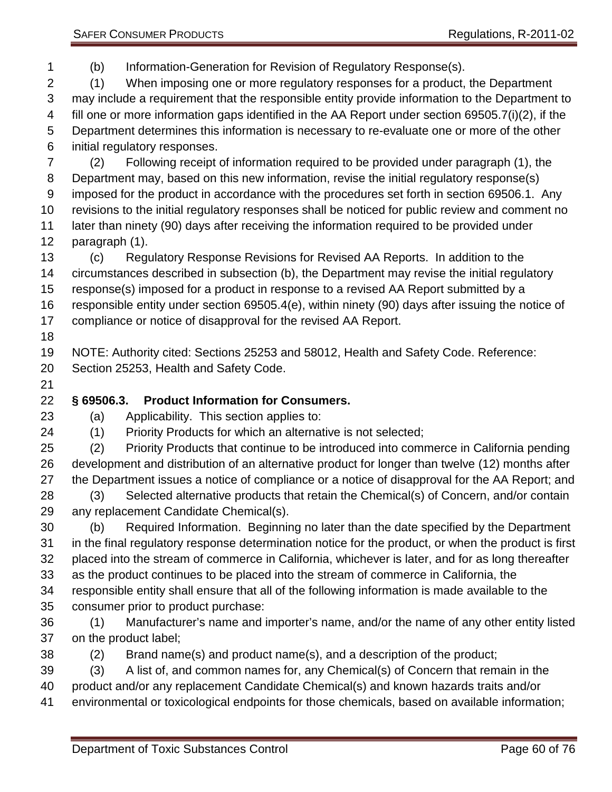(b) Information-Generation for Revision of Regulatory Response(s).

 (1) When imposing one or more regulatory responses for a product, the Department may include a requirement that the responsible entity provide information to the Department to fill one or more information gaps identified in the AA Report under section 69505.7(i)(2), if the Department determines this information is necessary to re-evaluate one or more of the other initial regulatory responses.

 (2) Following receipt of information required to be provided under paragraph (1), the Department may, based on this new information, revise the initial regulatory response(s) imposed for the product in accordance with the procedures set forth in section 69506.1. Any revisions to the initial regulatory responses shall be noticed for public review and comment no later than ninety (90) days after receiving the information required to be provided under

paragraph (1).

 (c) Regulatory Response Revisions for Revised AA Reports. In addition to the circumstances described in subsection (b), the Department may revise the initial regulatory response(s) imposed for a product in response to a revised AA Report submitted by a responsible entity under section 69505.4(e), within ninety (90) days after issuing the notice of

- compliance or notice of disapproval for the revised AA Report.
- 

 NOTE: Authority cited: Sections 25253 and 58012, Health and Safety Code. Reference: Section 25253, Health and Safety Code.

## **§ 69506.3. Product Information for Consumers.**

- (a) Applicability. This section applies to:
- (1) Priority Products for which an alternative is not selected;

 (2) Priority Products that continue to be introduced into commerce in California pending development and distribution of an alternative product for longer than twelve (12) months after the Department issues a notice of compliance or a notice of disapproval for the AA Report; and (3) Selected alternative products that retain the Chemical(s) of Concern, and/or contain

any replacement Candidate Chemical(s).

 (b) Required Information. Beginning no later than the date specified by the Department in the final regulatory response determination notice for the product, or when the product is first placed into the stream of commerce in California, whichever is later, and for as long thereafter as the product continues to be placed into the stream of commerce in California, the responsible entity shall ensure that all of the following information is made available to the

- consumer prior to product purchase:
- (1) Manufacturer's name and importer's name, and/or the name of any other entity listed on the product label;
- (2) Brand name(s) and product name(s), and a description of the product;
- (3) A list of, and common names for, any Chemical(s) of Concern that remain in the
- product and/or any replacement Candidate Chemical(s) and known hazards traits and/or
- environmental or toxicological endpoints for those chemicals, based on available information;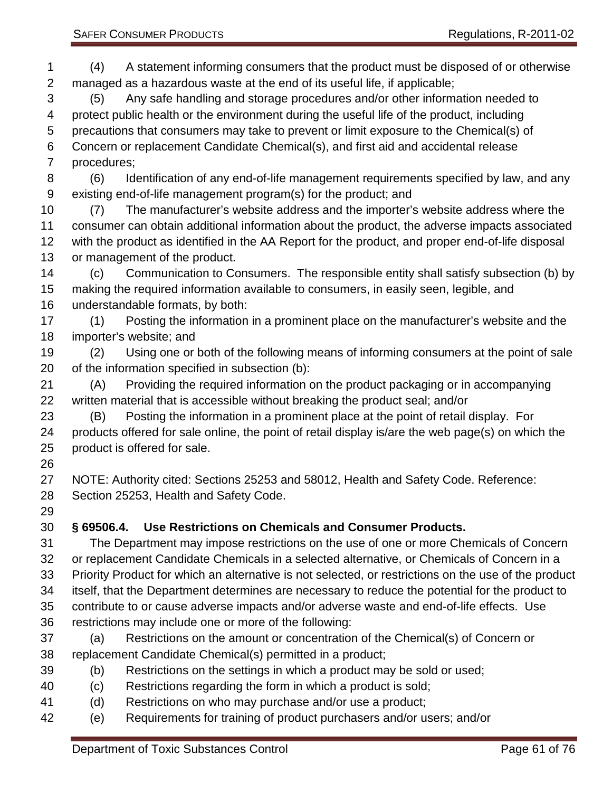SAFER CONSUMER PRODUCTS **Regulations, R-2011-02** 

 (4) A statement informing consumers that the product must be disposed of or otherwise managed as a hazardous waste at the end of its useful life, if applicable;

 (5) Any safe handling and storage procedures and/or other information needed to protect public health or the environment during the useful life of the product, including precautions that consumers may take to prevent or limit exposure to the Chemical(s) of Concern or replacement Candidate Chemical(s), and first aid and accidental release procedures;

- (6) Identification of any end-of-life management requirements specified by law, and any existing end-of-life management program(s) for the product; and
- (7) The manufacturer's website address and the importer's website address where the consumer can obtain additional information about the product, the adverse impacts associated with the product as identified in the AA Report for the product, and proper end-of-life disposal or management of the product.

 (c) Communication to Consumers. The responsible entity shall satisfy subsection (b) by making the required information available to consumers, in easily seen, legible, and understandable formats, by both:

 (1) Posting the information in a prominent place on the manufacturer's website and the importer's website; and

 (2) Using one or both of the following means of informing consumers at the point of sale of the information specified in subsection (b):

 (A) Providing the required information on the product packaging or in accompanying written material that is accessible without breaking the product seal; and/or

 (B) Posting the information in a prominent place at the point of retail display. For products offered for sale online, the point of retail display is/are the web page(s) on which the product is offered for sale.

 NOTE: Authority cited: Sections 25253 and 58012, Health and Safety Code. Reference: Section 25253, Health and Safety Code.

# **§ 69506.4. Use Restrictions on Chemicals and Consumer Products.**

 The Department may impose restrictions on the use of one or more Chemicals of Concern or replacement Candidate Chemicals in a selected alternative, or Chemicals of Concern in a Priority Product for which an alternative is not selected, or restrictions on the use of the product itself, that the Department determines are necessary to reduce the potential for the product to contribute to or cause adverse impacts and/or adverse waste and end-of-life effects. Use restrictions may include one or more of the following:

- (a) Restrictions on the amount or concentration of the Chemical(s) of Concern or replacement Candidate Chemical(s) permitted in a product;
- (b) Restrictions on the settings in which a product may be sold or used;
- (c) Restrictions regarding the form in which a product is sold;
- (d) Restrictions on who may purchase and/or use a product;
- (e) Requirements for training of product purchasers and/or users; and/or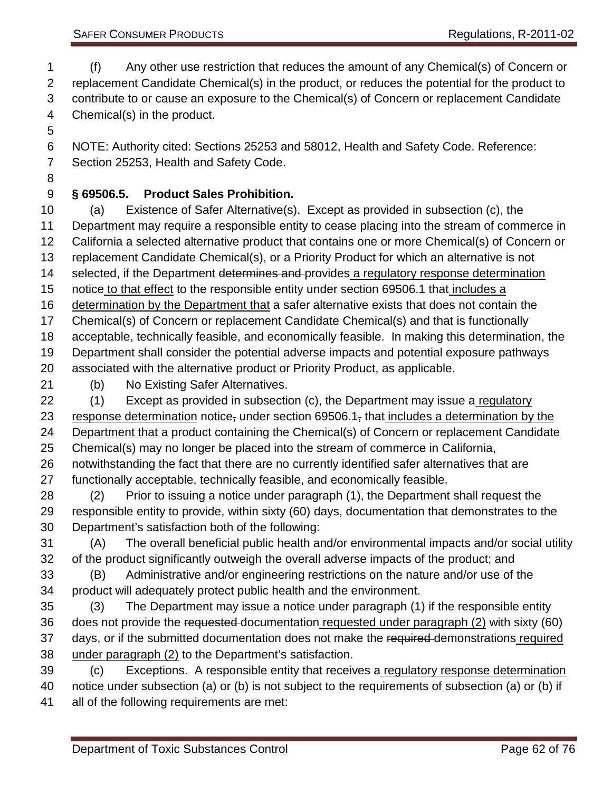(f) Any other use restriction that reduces the amount of any Chemical(s) of Concern or replacement Candidate Chemical(s) in the product, or reduces the potential for the product to contribute to or cause an exposure to the Chemical(s) of Concern or replacement Candidate Chemical(s) in the product.

 NOTE: Authority cited: Sections 25253 and 58012, Health and Safety Code. Reference: Section 25253, Health and Safety Code.

## **§ 69506.5. Product Sales Prohibition.**

 (a) Existence of Safer Alternative(s). Except as provided in subsection (c), the Department may require a responsible entity to cease placing into the stream of commerce in California a selected alternative product that contains one or more Chemical(s) of Concern or replacement Candidate Chemical(s), or a Priority Product for which an alternative is not 14 selected, if the Department determines and provides a regulatory response determination notice to that effect to the responsible entity under section 69506.1 that includes a determination by the Department that a safer alternative exists that does not contain the Chemical(s) of Concern or replacement Candidate Chemical(s) and that is functionally acceptable, technically feasible, and economically feasible. In making this determination, the Department shall consider the potential adverse impacts and potential exposure pathways associated with the alternative product or Priority Product, as applicable. (b) No Existing Safer Alternatives. (1) Except as provided in subsection (c), the Department may issue a regulatory 23 response determination notice, under section  $69506.1$ , that includes a determination by the Department that a product containing the Chemical(s) of Concern or replacement Candidate Chemical(s) may no longer be placed into the stream of commerce in California,

 notwithstanding the fact that there are no currently identified safer alternatives that are functionally acceptable, technically feasible, and economically feasible.

 (2) Prior to issuing a notice under paragraph (1), the Department shall request the responsible entity to provide, within sixty (60) days, documentation that demonstrates to the Department's satisfaction both of the following:

 (A) The overall beneficial public health and/or environmental impacts and/or social utility of the product significantly outweigh the overall adverse impacts of the product; and

- (B) Administrative and/or engineering restrictions on the nature and/or use of the product will adequately protect public health and the environment.
- (3) The Department may issue a notice under paragraph (1) if the responsible entity 36 does not provide the requested documentation requested under paragraph (2) with sixty (60) 37 days, or if the submitted documentation does not make the required demonstrations required 38 under paragraph (2) to the Department's satisfaction.
- 39 (c) Exceptions. A responsible entity that receives a regulatory response determination notice under subsection (a) or (b) is not subject to the requirements of subsection (a) or (b) if all of the following requirements are met: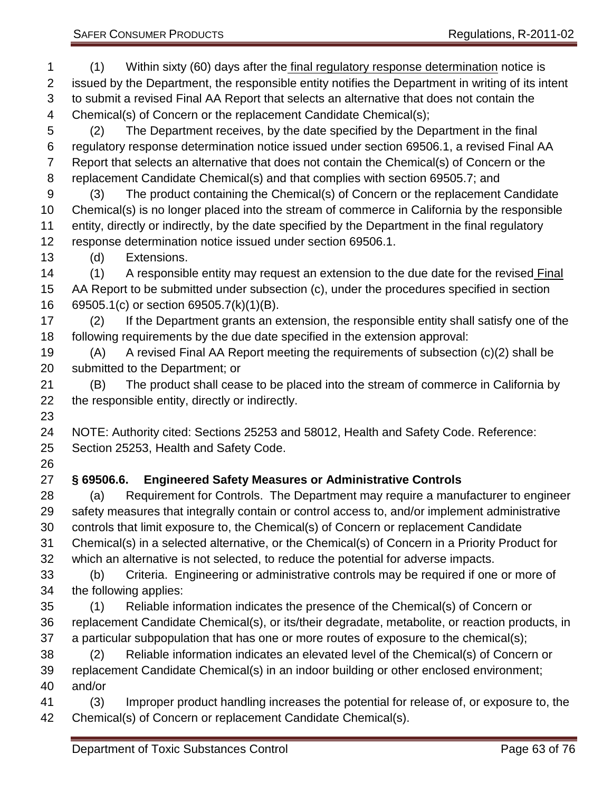(1) Within sixty (60) days after the final regulatory response determination notice is issued by the Department, the responsible entity notifies the Department in writing of its intent to submit a revised Final AA Report that selects an alternative that does not contain the Chemical(s) of Concern or the replacement Candidate Chemical(s); (2) The Department receives, by the date specified by the Department in the final regulatory response determination notice issued under section 69506.1, a revised Final AA Report that selects an alternative that does not contain the Chemical(s) of Concern or the replacement Candidate Chemical(s) and that complies with section 69505.7; and (3) The product containing the Chemical(s) of Concern or the replacement Candidate Chemical(s) is no longer placed into the stream of commerce in California by the responsible entity, directly or indirectly, by the date specified by the Department in the final regulatory response determination notice issued under section 69506.1. (d) Extensions. (1) A responsible entity may request an extension to the due date for the revised Final AA Report to be submitted under subsection (c), under the procedures specified in section 69505.1(c) or section 69505.7(k)(1)(B). (2) If the Department grants an extension, the responsible entity shall satisfy one of the following requirements by the due date specified in the extension approval: (A) A revised Final AA Report meeting the requirements of subsection (c)(2) shall be submitted to the Department; or (B) The product shall cease to be placed into the stream of commerce in California by the responsible entity, directly or indirectly. NOTE: Authority cited: Sections 25253 and 58012, Health and Safety Code. Reference: Section 25253, Health and Safety Code. **§ 69506.6. Engineered Safety Measures or Administrative Controls** (a) Requirement for Controls. The Department may require a manufacturer to engineer safety measures that integrally contain or control access to, and/or implement administrative controls that limit exposure to, the Chemical(s) of Concern or replacement Candidate Chemical(s) in a selected alternative, or the Chemical(s) of Concern in a Priority Product for which an alternative is not selected, to reduce the potential for adverse impacts. (b) Criteria. Engineering or administrative controls may be required if one or more of the following applies: (1) Reliable information indicates the presence of the Chemical(s) of Concern or replacement Candidate Chemical(s), or its/their degradate, metabolite, or reaction products, in a particular subpopulation that has one or more routes of exposure to the chemical(s); (2) Reliable information indicates an elevated level of the Chemical(s) of Concern or replacement Candidate Chemical(s) in an indoor building or other enclosed environment; and/or (3) Improper product handling increases the potential for release of, or exposure to, the Chemical(s) of Concern or replacement Candidate Chemical(s).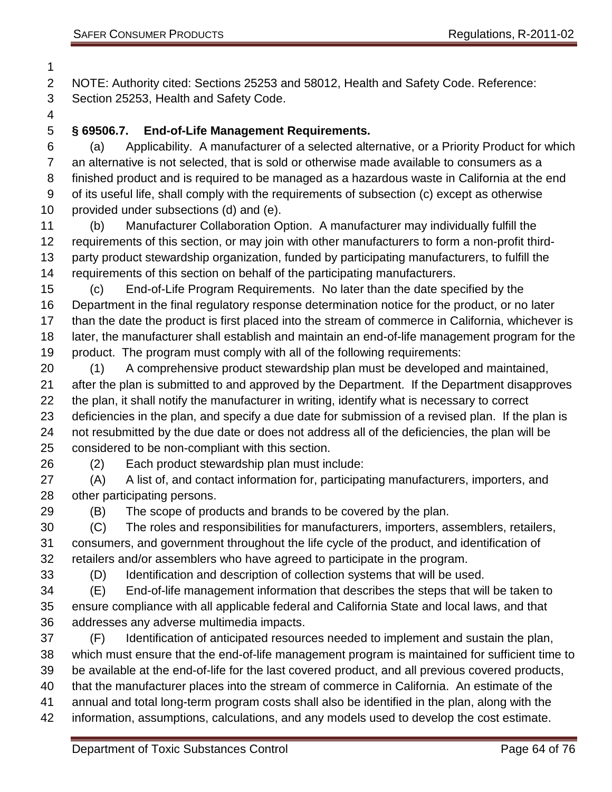NOTE: Authority cited: Sections 25253 and 58012, Health and Safety Code. Reference: Section 25253, Health and Safety Code.

### **§ 69506.7. End-of-Life Management Requirements.**

 (a) Applicability. A manufacturer of a selected alternative, or a Priority Product for which an alternative is not selected, that is sold or otherwise made available to consumers as a finished product and is required to be managed as a hazardous waste in California at the end of its useful life, shall comply with the requirements of subsection (c) except as otherwise provided under subsections (d) and (e).

 (b) Manufacturer Collaboration Option. A manufacturer may individually fulfill the requirements of this section, or may join with other manufacturers to form a non-profit third- party product stewardship organization, funded by participating manufacturers, to fulfill the requirements of this section on behalf of the participating manufacturers.

 (c) End-of-Life Program Requirements. No later than the date specified by the Department in the final regulatory response determination notice for the product, or no later than the date the product is first placed into the stream of commerce in California, whichever is later, the manufacturer shall establish and maintain an end-of-life management program for the product. The program must comply with all of the following requirements:

 (1) A comprehensive product stewardship plan must be developed and maintained, after the plan is submitted to and approved by the Department. If the Department disapproves the plan, it shall notify the manufacturer in writing, identify what is necessary to correct deficiencies in the plan, and specify a due date for submission of a revised plan. If the plan is not resubmitted by the due date or does not address all of the deficiencies, the plan will be considered to be non-compliant with this section.

(2) Each product stewardship plan must include:

 (A) A list of, and contact information for, participating manufacturers, importers, and other participating persons.

(B) The scope of products and brands to be covered by the plan.

 (C) The roles and responsibilities for manufacturers, importers, assemblers, retailers, consumers, and government throughout the life cycle of the product, and identification of retailers and/or assemblers who have agreed to participate in the program.

(D) Identification and description of collection systems that will be used.

 (E) End-of-life management information that describes the steps that will be taken to ensure compliance with all applicable federal and California State and local laws, and that addresses any adverse multimedia impacts.

 (F) Identification of anticipated resources needed to implement and sustain the plan, which must ensure that the end-of-life management program is maintained for sufficient time to be available at the end-of-life for the last covered product, and all previous covered products, that the manufacturer places into the stream of commerce in California. An estimate of the annual and total long-term program costs shall also be identified in the plan, along with the information, assumptions, calculations, and any models used to develop the cost estimate.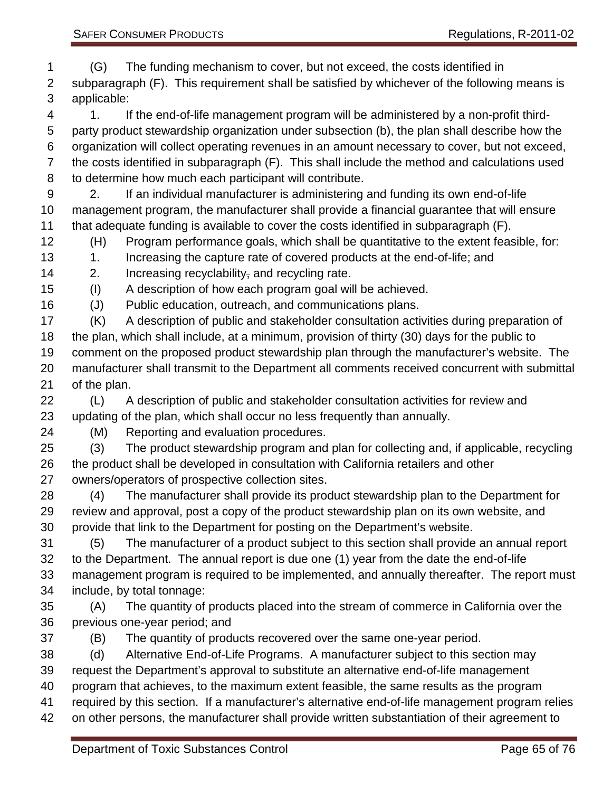(G) The funding mechanism to cover, but not exceed, the costs identified in subparagraph (F). This requirement shall be satisfied by whichever of the following means is applicable:

 1. If the end-of-life management program will be administered by a non-profit third- party product stewardship organization under subsection (b), the plan shall describe how the organization will collect operating revenues in an amount necessary to cover, but not exceed, the costs identified in subparagraph (F). This shall include the method and calculations used to determine how much each participant will contribute.

 2. If an individual manufacturer is administering and funding its own end-of-life management program, the manufacturer shall provide a financial guarantee that will ensure that adequate funding is available to cover the costs identified in subparagraph (F).

(H) Program performance goals, which shall be quantitative to the extent feasible, for:

13 1. Increasing the capture rate of covered products at the end-of-life; and

14 2. Increasing recyclability, and recycling rate.

(I) A description of how each program goal will be achieved.

(J) Public education, outreach, and communications plans.

 (K) A description of public and stakeholder consultation activities during preparation of the plan, which shall include, at a minimum, provision of thirty (30) days for the public to comment on the proposed product stewardship plan through the manufacturer's website. The manufacturer shall transmit to the Department all comments received concurrent with submittal of the plan.

 (L) A description of public and stakeholder consultation activities for review and updating of the plan, which shall occur no less frequently than annually.

(M) Reporting and evaluation procedures.

 (3) The product stewardship program and plan for collecting and, if applicable, recycling the product shall be developed in consultation with California retailers and other owners/operators of prospective collection sites.

 (4) The manufacturer shall provide its product stewardship plan to the Department for review and approval, post a copy of the product stewardship plan on its own website, and provide that link to the Department for posting on the Department's website.

 (5) The manufacturer of a product subject to this section shall provide an annual report to the Department. The annual report is due one (1) year from the date the end-of-life management program is required to be implemented, and annually thereafter. The report must include, by total tonnage:

 (A) The quantity of products placed into the stream of commerce in California over the previous one-year period; and

(B) The quantity of products recovered over the same one-year period.

(d) Alternative End-of-Life Programs. A manufacturer subject to this section may

request the Department's approval to substitute an alternative end-of-life management

program that achieves, to the maximum extent feasible, the same results as the program

- required by this section. If a manufacturer's alternative end-of-life management program relies
- on other persons, the manufacturer shall provide written substantiation of their agreement to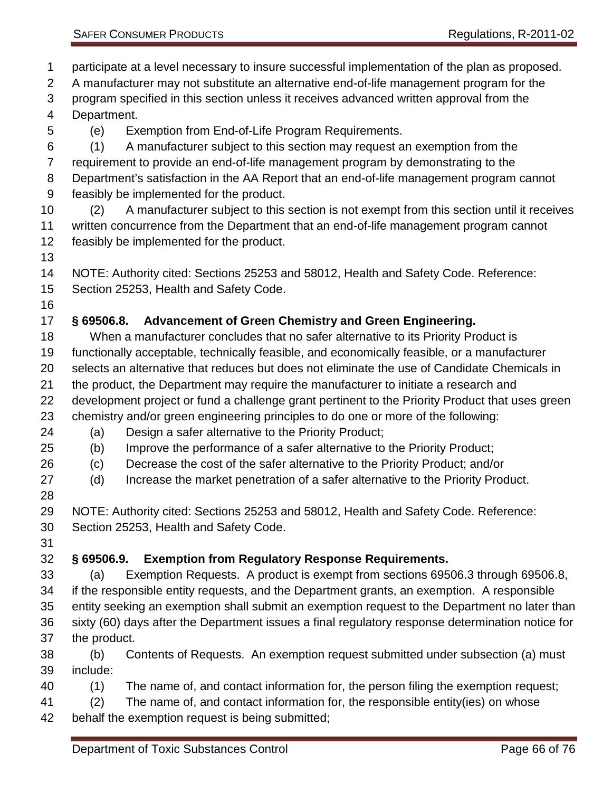participate at a level necessary to insure successful implementation of the plan as proposed. A manufacturer may not substitute an alternative end-of-life management program for the program specified in this section unless it receives advanced written approval from the Department. (e) Exemption from End-of-Life Program Requirements. (1) A manufacturer subject to this section may request an exemption from the requirement to provide an end-of-life management program by demonstrating to the Department's satisfaction in the AA Report that an end-of-life management program cannot feasibly be implemented for the product. (2) A manufacturer subject to this section is not exempt from this section until it receives written concurrence from the Department that an end-of-life management program cannot feasibly be implemented for the product. NOTE: Authority cited: Sections 25253 and 58012, Health and Safety Code. Reference: Section 25253, Health and Safety Code. **§ 69506.8. Advancement of Green Chemistry and Green Engineering.** When a manufacturer concludes that no safer alternative to its Priority Product is functionally acceptable, technically feasible, and economically feasible, or a manufacturer selects an alternative that reduces but does not eliminate the use of Candidate Chemicals in the product, the Department may require the manufacturer to initiate a research and development project or fund a challenge grant pertinent to the Priority Product that uses green chemistry and/or green engineering principles to do one or more of the following: (a) Design a safer alternative to the Priority Product; (b) Improve the performance of a safer alternative to the Priority Product; (c) Decrease the cost of the safer alternative to the Priority Product; and/or (d) Increase the market penetration of a safer alternative to the Priority Product. NOTE: Authority cited: Sections 25253 and 58012, Health and Safety Code. Reference: Section 25253, Health and Safety Code. **§ 69506.9. Exemption from Regulatory Response Requirements.** (a) Exemption Requests. A product is exempt from sections 69506.3 through 69506.8, if the responsible entity requests, and the Department grants, an exemption. A responsible entity seeking an exemption shall submit an exemption request to the Department no later than sixty (60) days after the Department issues a final regulatory response determination notice for the product. (b) Contents of Requests. An exemption request submitted under subsection (a) must include: (1) The name of, and contact information for, the person filing the exemption request; (2) The name of, and contact information for, the responsible entity(ies) on whose behalf the exemption request is being submitted;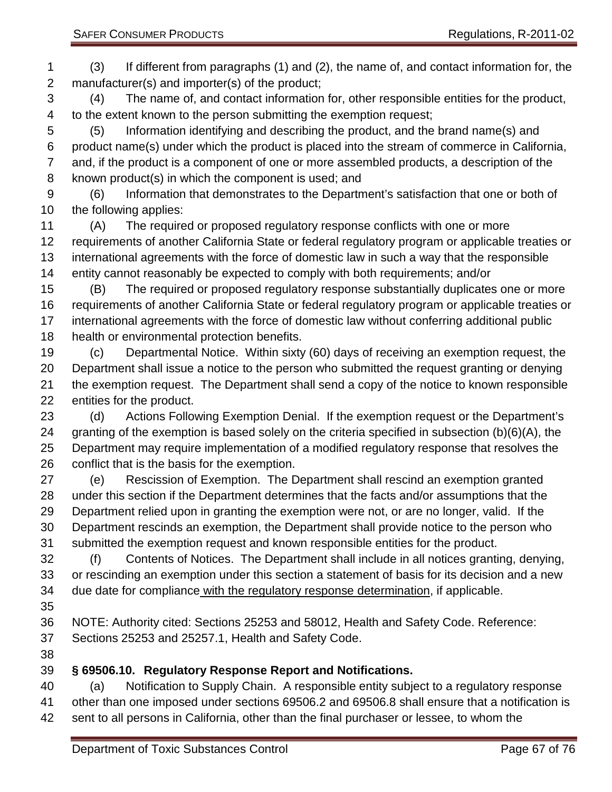(3) If different from paragraphs (1) and (2), the name of, and contact information for, the manufacturer(s) and importer(s) of the product; (4) The name of, and contact information for, other responsible entities for the product,

 to the extent known to the person submitting the exemption request; (5) Information identifying and describing the product, and the brand name(s) and product name(s) under which the product is placed into the stream of commerce in California, and, if the product is a component of one or more assembled products, a description of the known product(s) in which the component is used; and

 (6) Information that demonstrates to the Department's satisfaction that one or both of the following applies:

 (A) The required or proposed regulatory response conflicts with one or more requirements of another California State or federal regulatory program or applicable treaties or international agreements with the force of domestic law in such a way that the responsible entity cannot reasonably be expected to comply with both requirements; and/or

 (B) The required or proposed regulatory response substantially duplicates one or more requirements of another California State or federal regulatory program or applicable treaties or international agreements with the force of domestic law without conferring additional public health or environmental protection benefits.

 (c) Departmental Notice. Within sixty (60) days of receiving an exemption request, the Department shall issue a notice to the person who submitted the request granting or denying the exemption request. The Department shall send a copy of the notice to known responsible entities for the product.

 (d) Actions Following Exemption Denial. If the exemption request or the Department's granting of the exemption is based solely on the criteria specified in subsection (b)(6)(A), the Department may require implementation of a modified regulatory response that resolves the conflict that is the basis for the exemption.

 (e) Rescission of Exemption. The Department shall rescind an exemption granted under this section if the Department determines that the facts and/or assumptions that the Department relied upon in granting the exemption were not, or are no longer, valid. If the Department rescinds an exemption, the Department shall provide notice to the person who submitted the exemption request and known responsible entities for the product.

 (f) Contents of Notices. The Department shall include in all notices granting, denying, or rescinding an exemption under this section a statement of basis for its decision and a new due date for compliance with the regulatory response determination, if applicable.

 NOTE: Authority cited: Sections 25253 and 58012, Health and Safety Code. Reference: Sections 25253 and 25257.1, Health and Safety Code.

#### **§ 69506.10. Regulatory Response Report and Notifications.**

 (a) Notification to Supply Chain. A responsible entity subject to a regulatory response other than one imposed under sections 69506.2 and 69506.8 shall ensure that a notification is sent to all persons in California, other than the final purchaser or lessee, to whom the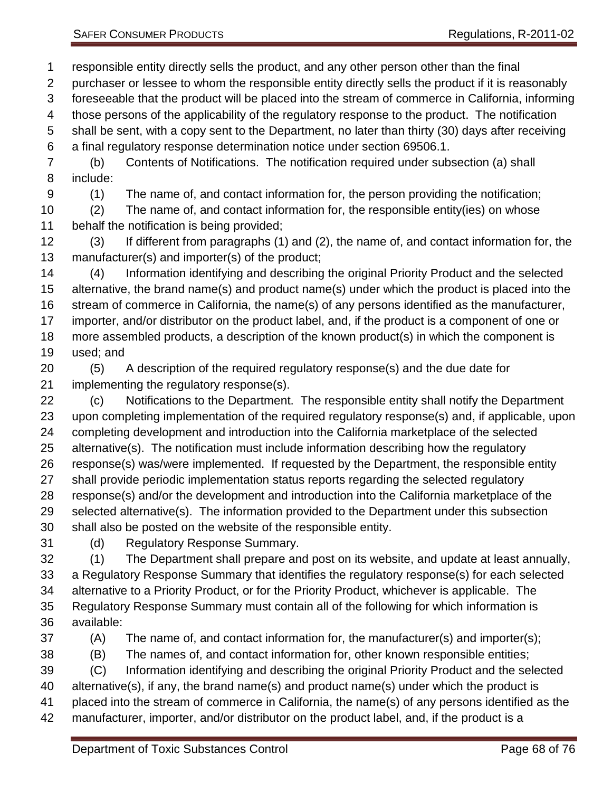responsible entity directly sells the product, and any other person other than the final purchaser or lessee to whom the responsible entity directly sells the product if it is reasonably foreseeable that the product will be placed into the stream of commerce in California, informing those persons of the applicability of the regulatory response to the product. The notification shall be sent, with a copy sent to the Department, no later than thirty (30) days after receiving a final regulatory response determination notice under section 69506.1. (b) Contents of Notifications. The notification required under subsection (a) shall include: (1) The name of, and contact information for, the person providing the notification; (2) The name of, and contact information for, the responsible entity(ies) on whose behalf the notification is being provided; (3) If different from paragraphs (1) and (2), the name of, and contact information for, the manufacturer(s) and importer(s) of the product;

 (4) Information identifying and describing the original Priority Product and the selected alternative, the brand name(s) and product name(s) under which the product is placed into the stream of commerce in California, the name(s) of any persons identified as the manufacturer, importer, and/or distributor on the product label, and, if the product is a component of one or more assembled products, a description of the known product(s) in which the component is used; and

- (5) A description of the required regulatory response(s) and the due date for implementing the regulatory response(s).
- (c) Notifications to the Department. The responsible entity shall notify the Department upon completing implementation of the required regulatory response(s) and, if applicable, upon completing development and introduction into the California marketplace of the selected alternative(s). The notification must include information describing how the regulatory response(s) was/were implemented. If requested by the Department, the responsible entity shall provide periodic implementation status reports regarding the selected regulatory response(s) and/or the development and introduction into the California marketplace of the selected alternative(s). The information provided to the Department under this subsection shall also be posted on the website of the responsible entity.
- (d) Regulatory Response Summary.
- (1) The Department shall prepare and post on its website, and update at least annually, a Regulatory Response Summary that identifies the regulatory response(s) for each selected alternative to a Priority Product, or for the Priority Product, whichever is applicable. The Regulatory Response Summary must contain all of the following for which information is available:
- 
- (A) The name of, and contact information for, the manufacturer(s) and importer(s);
- (B) The names of, and contact information for, other known responsible entities;
- (C) Information identifying and describing the original Priority Product and the selected alternative(s), if any, the brand name(s) and product name(s) under which the product is placed into the stream of commerce in California, the name(s) of any persons identified as the manufacturer, importer, and/or distributor on the product label, and, if the product is a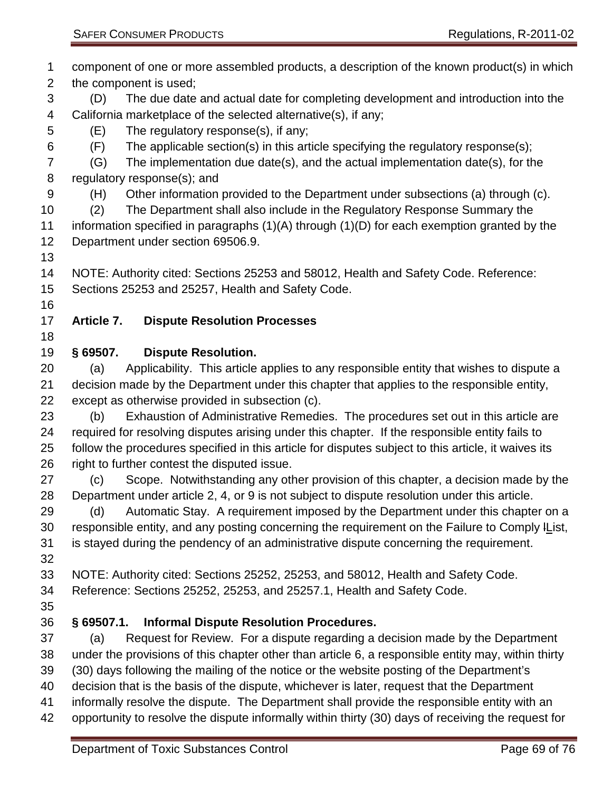component of one or more assembled products, a description of the known product(s) in which the component is used; (D) The due date and actual date for completing development and introduction into the California marketplace of the selected alternative(s), if any; (E) The regulatory response(s), if any; (F) The applicable section(s) in this article specifying the regulatory response(s); (G) The implementation due date(s), and the actual implementation date(s), for the regulatory response(s); and (H) Other information provided to the Department under subsections (a) through (c). (2) The Department shall also include in the Regulatory Response Summary the information specified in paragraphs (1)(A) through (1)(D) for each exemption granted by the Department under section 69506.9. NOTE: Authority cited: Sections 25253 and 58012, Health and Safety Code. Reference: Sections 25253 and 25257, Health and Safety Code. **Article 7. Dispute Resolution Processes § 69507. Dispute Resolution.** (a) Applicability. This article applies to any responsible entity that wishes to dispute a decision made by the Department under this chapter that applies to the responsible entity, except as otherwise provided in subsection (c). (b) Exhaustion of Administrative Remedies. The procedures set out in this article are required for resolving disputes arising under this chapter. If the responsible entity fails to follow the procedures specified in this article for disputes subject to this article, it waives its 26 right to further contest the disputed issue. (c) Scope. Notwithstanding any other provision of this chapter, a decision made by the Department under article 2, 4, or 9 is not subject to dispute resolution under this article. 29 (d) Automatic Stay. A requirement imposed by the Department under this chapter on a responsible entity, and any posting concerning the requirement on the Failure to Comply lList, is stayed during the pendency of an administrative dispute concerning the requirement. NOTE: Authority cited: Sections 25252, 25253, and 58012, Health and Safety Code. Reference: Sections 25252, 25253, and 25257.1, Health and Safety Code. **§ 69507.1. Informal Dispute Resolution Procedures.** (a) Request for Review. For a dispute regarding a decision made by the Department under the provisions of this chapter other than article 6, a responsible entity may, within thirty (30) days following the mailing of the notice or the website posting of the Department's decision that is the basis of the dispute, whichever is later, request that the Department informally resolve the dispute. The Department shall provide the responsible entity with an opportunity to resolve the dispute informally within thirty (30) days of receiving the request for Department of Toxic Substances Control Control Control Page 69 of 76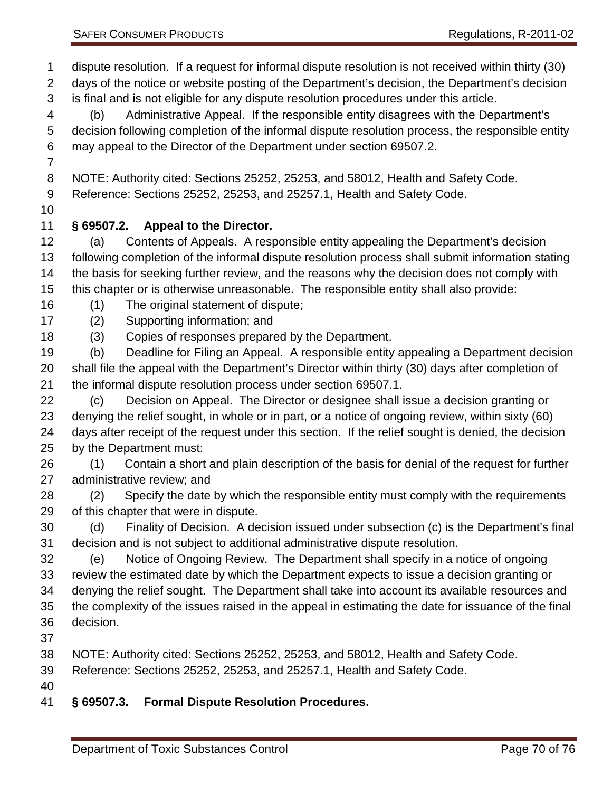is final and is not eligible for any dispute resolution procedures under this article.

 (b) Administrative Appeal. If the responsible entity disagrees with the Department's decision following completion of the informal dispute resolution process, the responsible entity may appeal to the Director of the Department under section 69507.2.

NOTE: Authority cited: Sections 25252, 25253, and 58012, Health and Safety Code.

Reference: Sections 25252, 25253, and 25257.1, Health and Safety Code.

## **§ 69507.2. Appeal to the Director.**

 (a) Contents of Appeals. A responsible entity appealing the Department's decision following completion of the informal dispute resolution process shall submit information stating the basis for seeking further review, and the reasons why the decision does not comply with this chapter or is otherwise unreasonable. The responsible entity shall also provide:

(1) The original statement of dispute;

(2) Supporting information; and

(3) Copies of responses prepared by the Department.

 (b) Deadline for Filing an Appeal. A responsible entity appealing a Department decision shall file the appeal with the Department's Director within thirty (30) days after completion of the informal dispute resolution process under section 69507.1.

 (c) Decision on Appeal. The Director or designee shall issue a decision granting or denying the relief sought, in whole or in part, or a notice of ongoing review, within sixty (60) days after receipt of the request under this section. If the relief sought is denied, the decision by the Department must:

 (1) Contain a short and plain description of the basis for denial of the request for further administrative review; and

 (2) Specify the date by which the responsible entity must comply with the requirements of this chapter that were in dispute.

 (d) Finality of Decision. A decision issued under subsection (c) is the Department's final decision and is not subject to additional administrative dispute resolution.

 (e) Notice of Ongoing Review. The Department shall specify in a notice of ongoing review the estimated date by which the Department expects to issue a decision granting or denying the relief sought. The Department shall take into account its available resources and the complexity of the issues raised in the appeal in estimating the date for issuance of the final decision.

NOTE: Authority cited: Sections 25252, 25253, and 58012, Health and Safety Code.

Reference: Sections 25252, 25253, and 25257.1, Health and Safety Code.

### **§ 69507.3. Formal Dispute Resolution Procedures.**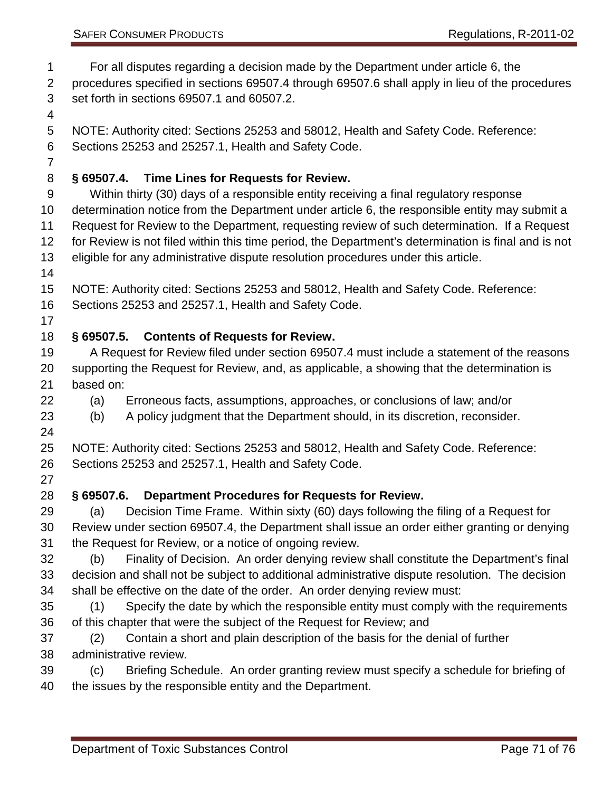For all disputes regarding a decision made by the Department under article 6, the

 procedures specified in sections 69507.4 through 69507.6 shall apply in lieu of the procedures set forth in sections 69507.1 and 60507.2.

NOTE: Authority cited: Sections 25253 and 58012, Health and Safety Code. Reference:

Sections 25253 and 25257.1, Health and Safety Code.

# **§ 69507.4. Time Lines for Requests for Review.**

- Within thirty (30) days of a responsible entity receiving a final regulatory response determination notice from the Department under article 6, the responsible entity may submit a Request for Review to the Department, requesting review of such determination. If a Request for Review is not filed within this time period, the Department's determination is final and is not eligible for any administrative dispute resolution procedures under this article.
- 
- NOTE: Authority cited: Sections 25253 and 58012, Health and Safety Code. Reference:

Sections 25253 and 25257.1, Health and Safety Code.

# **§ 69507.5. Contents of Requests for Review.**

- A Request for Review filed under section 69507.4 must include a statement of the reasons supporting the Request for Review, and, as applicable, a showing that the determination is based on:
- (a) Erroneous facts, assumptions, approaches, or conclusions of law; and/or

(b) A policy judgment that the Department should, in its discretion, reconsider.

 NOTE: Authority cited: Sections 25253 and 58012, Health and Safety Code. Reference: Sections 25253 and 25257.1, Health and Safety Code.

# **§ 69507.6. Department Procedures for Requests for Review.**

 (a) Decision Time Frame. Within sixty (60) days following the filing of a Request for Review under section 69507.4, the Department shall issue an order either granting or denying the Request for Review, or a notice of ongoing review.

 (b) Finality of Decision. An order denying review shall constitute the Department's final decision and shall not be subject to additional administrative dispute resolution. The decision shall be effective on the date of the order. An order denying review must:

- (1) Specify the date by which the responsible entity must comply with the requirements of this chapter that were the subject of the Request for Review; and
- (2) Contain a short and plain description of the basis for the denial of further administrative review.
- (c) Briefing Schedule. An order granting review must specify a schedule for briefing of the issues by the responsible entity and the Department.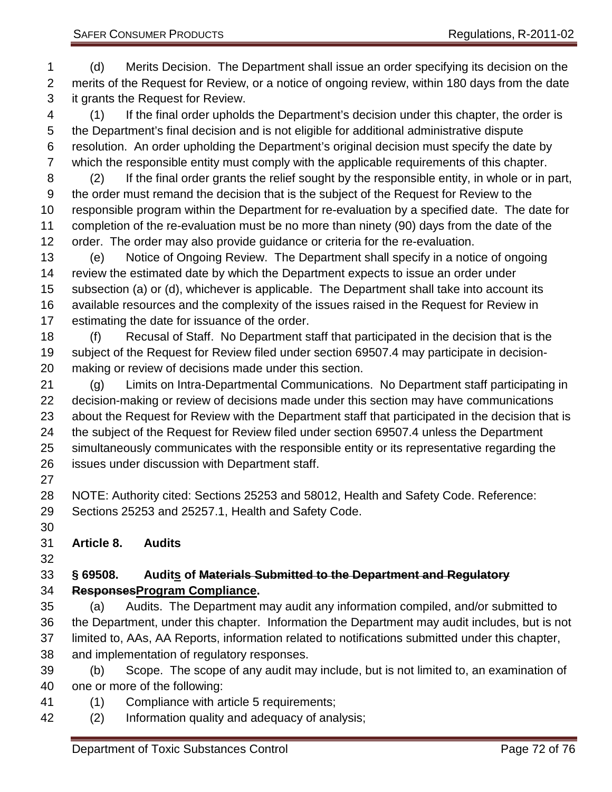(d) Merits Decision. The Department shall issue an order specifying its decision on the merits of the Request for Review, or a notice of ongoing review, within 180 days from the date it grants the Request for Review.

 (1) If the final order upholds the Department's decision under this chapter, the order is the Department's final decision and is not eligible for additional administrative dispute resolution. An order upholding the Department's original decision must specify the date by which the responsible entity must comply with the applicable requirements of this chapter.

 (2) If the final order grants the relief sought by the responsible entity, in whole or in part, the order must remand the decision that is the subject of the Request for Review to the responsible program within the Department for re-evaluation by a specified date. The date for completion of the re-evaluation must be no more than ninety (90) days from the date of the order. The order may also provide guidance or criteria for the re-evaluation.

 (e) Notice of Ongoing Review. The Department shall specify in a notice of ongoing review the estimated date by which the Department expects to issue an order under subsection (a) or (d), whichever is applicable. The Department shall take into account its available resources and the complexity of the issues raised in the Request for Review in estimating the date for issuance of the order.

 (f) Recusal of Staff. No Department staff that participated in the decision that is the subject of the Request for Review filed under section 69507.4 may participate in decision-making or review of decisions made under this section.

 (g) Limits on Intra-Departmental Communications. No Department staff participating in decision-making or review of decisions made under this section may have communications about the Request for Review with the Department staff that participated in the decision that is the subject of the Request for Review filed under section 69507.4 unless the Department simultaneously communicates with the responsible entity or its representative regarding the issues under discussion with Department staff.

 NOTE: Authority cited: Sections 25253 and 58012, Health and Safety Code. Reference: Sections 25253 and 25257.1, Health and Safety Code.

## **Article 8. Audits**

#### **§ 69508. Audits of Materials Submitted to the Department and Regulatory ResponsesProgram Compliance.**

 (a) Audits. The Department may audit any information compiled, and/or submitted to the Department, under this chapter. Information the Department may audit includes, but is not limited to, AAs, AA Reports, information related to notifications submitted under this chapter, and implementation of regulatory responses.

 (b) Scope. The scope of any audit may include, but is not limited to, an examination of one or more of the following:

- (1) Compliance with article 5 requirements;
- (2) Information quality and adequacy of analysis;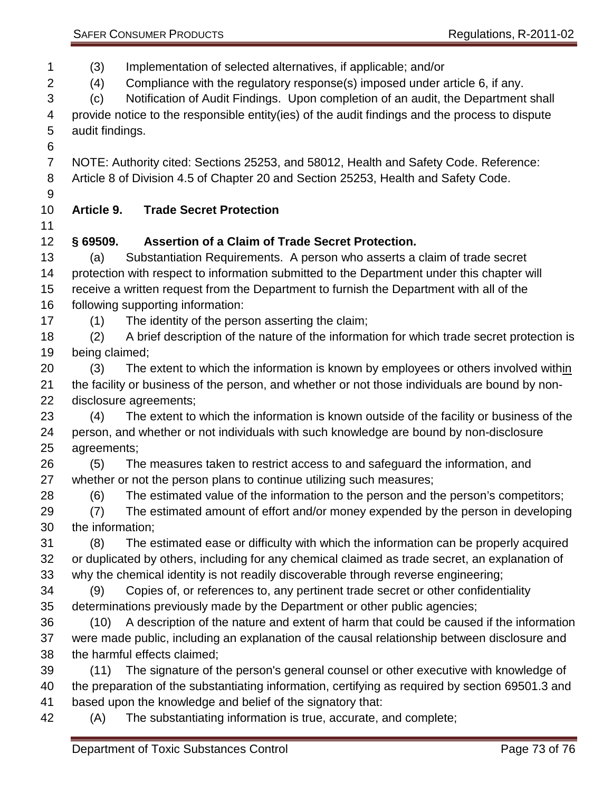(3) Implementation of selected alternatives, if applicable; and/or

(4) Compliance with the regulatory response(s) imposed under article 6, if any.

 (c) Notification of Audit Findings. Upon completion of an audit, the Department shall provide notice to the responsible entity(ies) of the audit findings and the process to dispute audit findings.

 NOTE: Authority cited: Sections 25253, and 58012, Health and Safety Code. Reference: Article 8 of Division 4.5 of Chapter 20 and Section 25253, Health and Safety Code.

## **Article 9. Trade Secret Protection**

## **§ 69509. Assertion of a Claim of Trade Secret Protection.**

 (a) Substantiation Requirements. A person who asserts a claim of trade secret protection with respect to information submitted to the Department under this chapter will receive a written request from the Department to furnish the Department with all of the following supporting information:

- (1) The identity of the person asserting the claim;
- (2) A brief description of the nature of the information for which trade secret protection is being claimed;
- (3) The extent to which the information is known by employees or others involved within the facility or business of the person, and whether or not those individuals are bound by non-disclosure agreements;

 (4) The extent to which the information is known outside of the facility or business of the person, and whether or not individuals with such knowledge are bound by non-disclosure agreements;

 (5) The measures taken to restrict access to and safeguard the information, and whether or not the person plans to continue utilizing such measures;

(6) The estimated value of the information to the person and the person's competitors;

 (7) The estimated amount of effort and/or money expended by the person in developing the information;

 (8) The estimated ease or difficulty with which the information can be properly acquired or duplicated by others, including for any chemical claimed as trade secret, an explanation of why the chemical identity is not readily discoverable through reverse engineering;

 (9) Copies of, or references to, any pertinent trade secret or other confidentiality determinations previously made by the Department or other public agencies;

 (10) A description of the nature and extent of harm that could be caused if the information were made public, including an explanation of the causal relationship between disclosure and the harmful effects claimed;

 (11) The signature of the person's general counsel or other executive with knowledge of the preparation of the substantiating information, certifying as required by section 69501.3 and based upon the knowledge and belief of the signatory that:

(A) The substantiating information is true, accurate, and complete;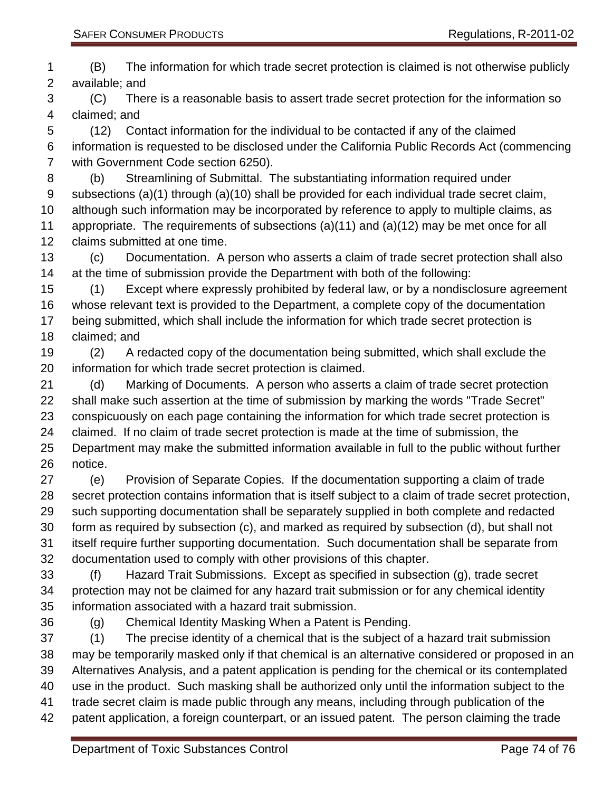(B) The information for which trade secret protection is claimed is not otherwise publicly available; and

 (C) There is a reasonable basis to assert trade secret protection for the information so claimed; and

 (12) Contact information for the individual to be contacted if any of the claimed information is requested to be disclosed under the California Public Records Act (commencing with Government Code section 6250).

 (b) Streamlining of Submittal. The substantiating information required under subsections (a)(1) through (a)(10) shall be provided for each individual trade secret claim,

 although such information may be incorporated by reference to apply to multiple claims, as appropriate. The requirements of subsections (a)(11) and (a)(12) may be met once for all claims submitted at one time.

 (c) Documentation. A person who asserts a claim of trade secret protection shall also at the time of submission provide the Department with both of the following:

 (1) Except where expressly prohibited by federal law, or by a nondisclosure agreement whose relevant text is provided to the Department, a complete copy of the documentation being submitted, which shall include the information for which trade secret protection is claimed; and

 (2) A redacted copy of the documentation being submitted, which shall exclude the information for which trade secret protection is claimed.

 (d) Marking of Documents. A person who asserts a claim of trade secret protection shall make such assertion at the time of submission by marking the words "Trade Secret" conspicuously on each page containing the information for which trade secret protection is claimed. If no claim of trade secret protection is made at the time of submission, the Department may make the submitted information available in full to the public without further notice.

 (e) Provision of Separate Copies. If the documentation supporting a claim of trade secret protection contains information that is itself subject to a claim of trade secret protection, such supporting documentation shall be separately supplied in both complete and redacted form as required by subsection (c), and marked as required by subsection (d), but shall not itself require further supporting documentation. Such documentation shall be separate from documentation used to comply with other provisions of this chapter.

 (f) Hazard Trait Submissions. Except as specified in subsection (g), trade secret protection may not be claimed for any hazard trait submission or for any chemical identity information associated with a hazard trait submission.

(g) Chemical Identity Masking When a Patent is Pending.

 (1) The precise identity of a chemical that is the subject of a hazard trait submission may be temporarily masked only if that chemical is an alternative considered or proposed in an Alternatives Analysis, and a patent application is pending for the chemical or its contemplated use in the product. Such masking shall be authorized only until the information subject to the trade secret claim is made public through any means, including through publication of the patent application, a foreign counterpart, or an issued patent. The person claiming the trade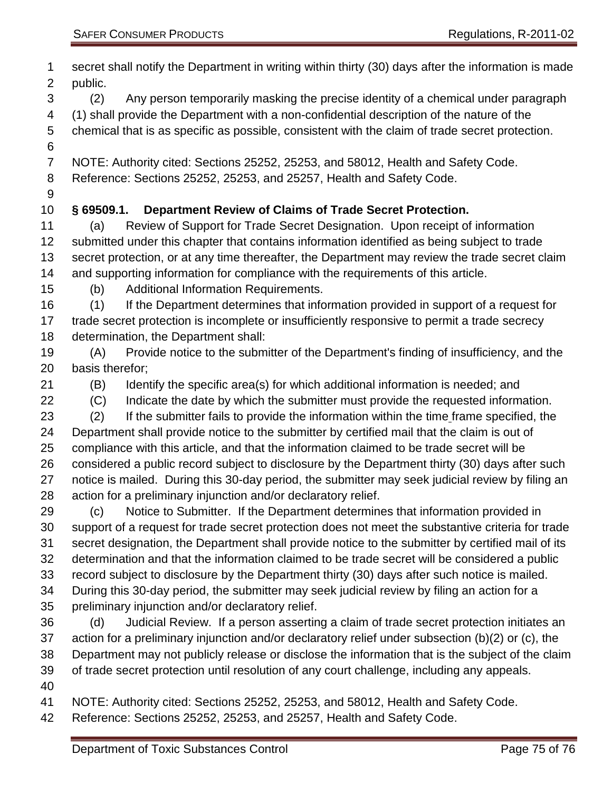| 1<br>$\overline{2}$ | secret shall notify the Department in writing within thirty (30) days after the information is made<br>public.                                                                                     |
|---------------------|----------------------------------------------------------------------------------------------------------------------------------------------------------------------------------------------------|
| 3                   | Any person temporarily masking the precise identity of a chemical under paragraph<br>(2)                                                                                                           |
| 4                   | (1) shall provide the Department with a non-confidential description of the nature of the                                                                                                          |
| 5                   | chemical that is as specific as possible, consistent with the claim of trade secret protection.                                                                                                    |
| 6                   |                                                                                                                                                                                                    |
| $\overline{7}$      | NOTE: Authority cited: Sections 25252, 25253, and 58012, Health and Safety Code.                                                                                                                   |
| 8                   | Reference: Sections 25252, 25253, and 25257, Health and Safety Code.                                                                                                                               |
| 9                   |                                                                                                                                                                                                    |
| 10<br>11            | Department Review of Claims of Trade Secret Protection.<br>$§$ 69509.1.<br>Review of Support for Trade Secret Designation. Upon receipt of information<br>(a)                                      |
| 12                  | submitted under this chapter that contains information identified as being subject to trade                                                                                                        |
| 13                  | secret protection, or at any time thereafter, the Department may review the trade secret claim                                                                                                     |
| 14                  | and supporting information for compliance with the requirements of this article.                                                                                                                   |
| 15                  | <b>Additional Information Requirements.</b><br>(b)                                                                                                                                                 |
| 16                  | If the Department determines that information provided in support of a request for<br>(1)                                                                                                          |
| 17                  | trade secret protection is incomplete or insufficiently responsive to permit a trade secrecy                                                                                                       |
| 18                  | determination, the Department shall:                                                                                                                                                               |
| 19                  | Provide notice to the submitter of the Department's finding of insufficiency, and the<br>(A)                                                                                                       |
| 20                  | basis therefor;                                                                                                                                                                                    |
| 21                  | Identify the specific area(s) for which additional information is needed; and<br>(B)                                                                                                               |
| 22                  | Indicate the date by which the submitter must provide the requested information.<br>(C)                                                                                                            |
| 23                  | If the submitter fails to provide the information within the time frame specified, the<br>(2)                                                                                                      |
| 24                  | Department shall provide notice to the submitter by certified mail that the claim is out of                                                                                                        |
| 25                  | compliance with this article, and that the information claimed to be trade secret will be                                                                                                          |
| 26                  | considered a public record subject to disclosure by the Department thirty (30) days after such                                                                                                     |
| 27                  | notice is mailed. During this 30-day period, the submitter may seek judicial review by filing an                                                                                                   |
| 28                  | action for a preliminary injunction and/or declaratory relief.                                                                                                                                     |
| 29                  | Notice to Submitter. If the Department determines that information provided in<br>(c)                                                                                                              |
| 30                  | support of a request for trade secret protection does not meet the substantive criteria for trade                                                                                                  |
| 31<br>32            | secret designation, the Department shall provide notice to the submitter by certified mail of its<br>determination and that the information claimed to be trade secret will be considered a public |
| 33                  | record subject to disclosure by the Department thirty (30) days after such notice is mailed.                                                                                                       |
| 34                  | During this 30-day period, the submitter may seek judicial review by filing an action for a                                                                                                        |
| 35                  | preliminary injunction and/or declaratory relief.                                                                                                                                                  |
| 36                  | Judicial Review. If a person asserting a claim of trade secret protection initiates an<br>(d)                                                                                                      |
| 37                  | action for a preliminary injunction and/or declaratory relief under subsection (b)(2) or (c), the                                                                                                  |
| 38                  | Department may not publicly release or disclose the information that is the subject of the claim                                                                                                   |
| 39                  | of trade secret protection until resolution of any court challenge, including any appeals.                                                                                                         |
| 40                  |                                                                                                                                                                                                    |
| 41                  | NOTE: Authority cited: Sections 25252, 25253, and 58012, Health and Safety Code.                                                                                                                   |
| 42                  | Reference: Sections 25252, 25253, and 25257, Health and Safety Code.                                                                                                                               |
|                     |                                                                                                                                                                                                    |